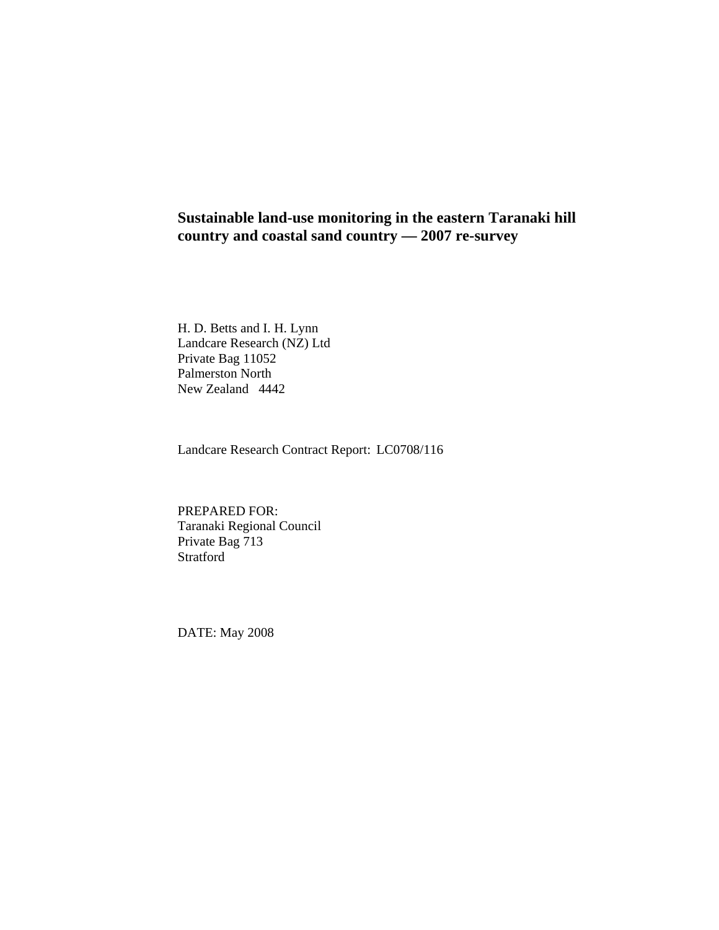# **Sustainable land-use monitoring in the eastern Taranaki hill country and coastal sand country — 2007 re-survey**

H. D. Betts and I. H. Lynn Landcare Research (NZ) Ltd Private Bag 11052 Palmerston North New Zealand 4442

Landcare Research Contract Report: LC0708/116

PREPARED FOR: Taranaki Regional Council Private Bag 713 Stratford

DATE: May 2008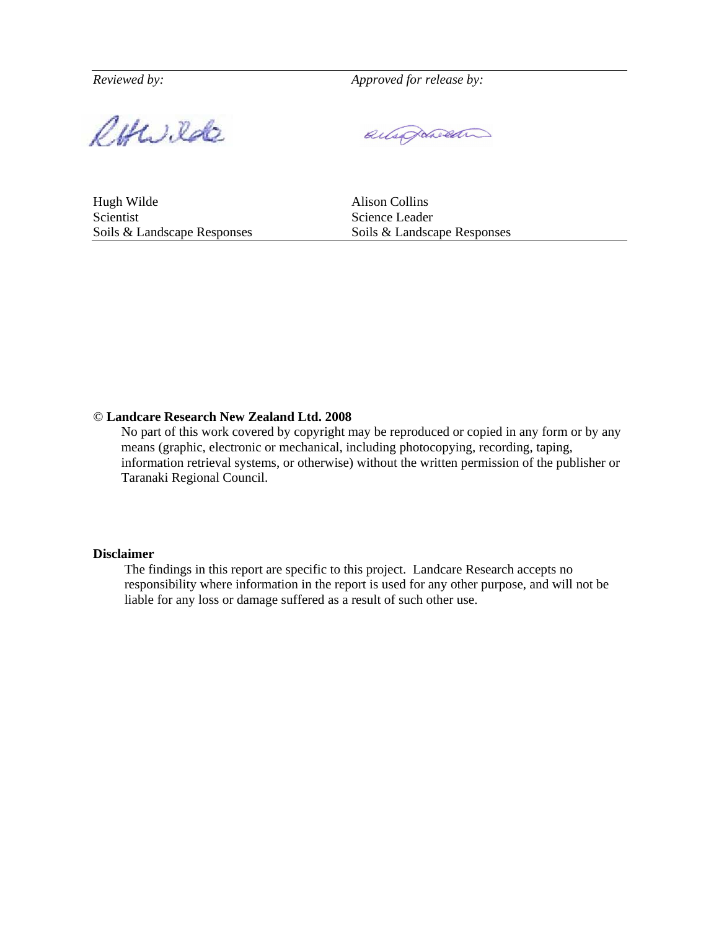*Reviewed by: Approved for release by:* 

RHWilde

ausprocen

Hugh Wilde Alison Collins Scientist Science Leader

Soils & Landscape Responses Soils & Landscape Responses

#### *©* **Landcare Research New Zealand Ltd. 2008**

No part of this work covered by copyright may be reproduced or copied in any form or by any means (graphic, electronic or mechanical, including photocopying, recording, taping, information retrieval systems, or otherwise) without the written permission of the publisher or Taranaki Regional Council.

#### **Disclaimer**

The findings in this report are specific to this project. Landcare Research accepts no responsibility where information in the report is used for any other purpose, and will not be liable for any loss or damage suffered as a result of such other use.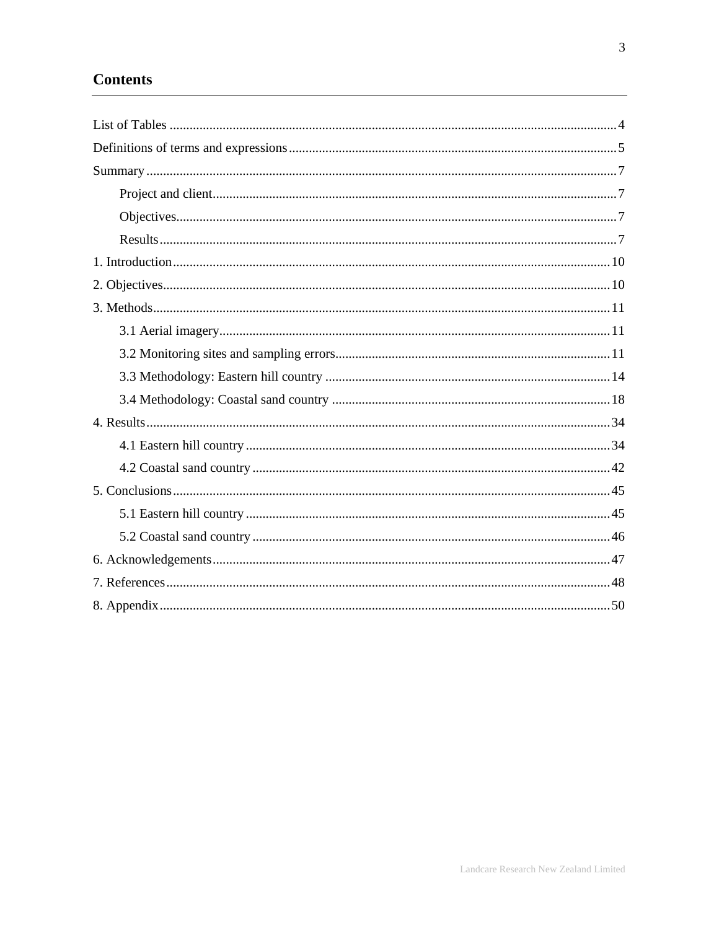# **Contents**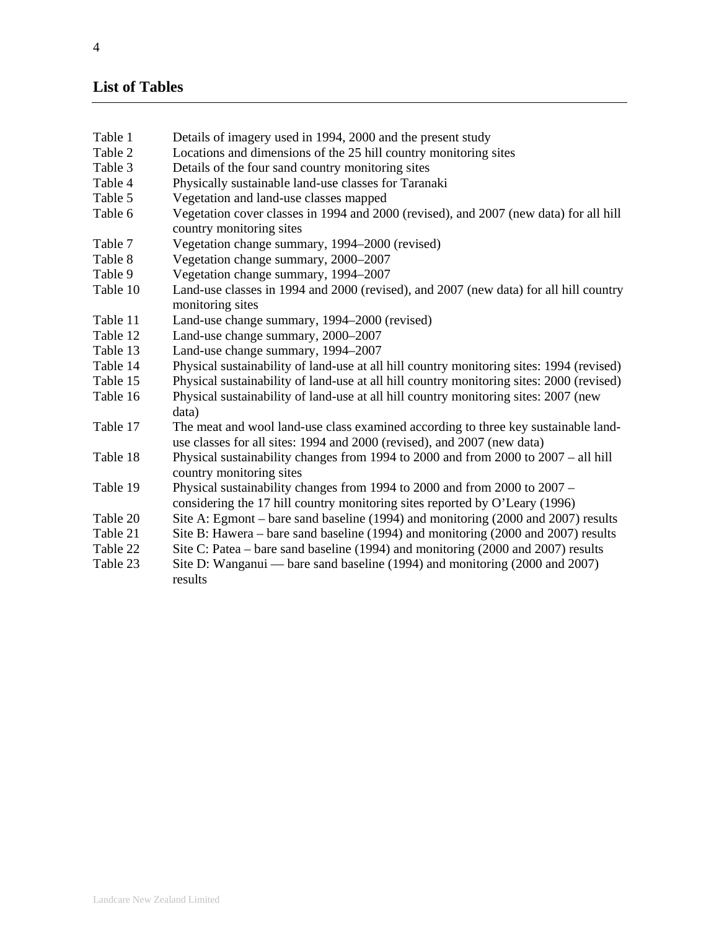# **List of Tables**

- Table 1 Details of imagery used in 1994, 2000 and the present study
- Table 2 Locations and dimensions of the 25 hill country monitoring sites
- Table 3 Details of the four sand country monitoring sites
- Table 4 Physically sustainable land-use classes for Taranaki
- Table 5 Vegetation and land-use classes mapped
- Table 6 Vegetation cover classes in 1994 and 2000 (revised), and 2007 (new data) for all hill country monitoring sites
- Table 7 Vegetation change summary, 1994–2000 (revised)
- Table 8 Vegetation change summary, 2000–2007
- Table 9 Vegetation change summary, 1994–2007
- Table 10 Land-use classes in 1994 and 2000 (revised), and 2007 (new data) for all hill country monitoring sites
- Table 11 Land-use change summary, 1994–2000 (revised)
- Table 12 Land-use change summary, 2000–2007
- Table 13 Land-use change summary, 1994–2007
- Table 14 Physical sustainability of land-use at all hill country monitoring sites: 1994 (revised)
- Table 15 Physical sustainability of land-use at all hill country monitoring sites: 2000 (revised)
- Table 16 Physical sustainability of land-use at all hill country monitoring sites: 2007 (new data)
- Table 17 The meat and wool land-use class examined according to three key sustainable landuse classes for all sites: 1994 and 2000 (revised), and 2007 (new data)
- Table 18 Physical sustainability changes from 1994 to 2000 and from 2000 to 2007 all hill country monitoring sites
- Table 19 Physical sustainability changes from 1994 to 2000 and from 2000 to 2007 considering the 17 hill country monitoring sites reported by O'Leary (1996)
- Table 20 Site A: Egmont bare sand baseline (1994) and monitoring (2000 and 2007) results
- Table 21 Site B: Hawera bare sand baseline (1994) and monitoring (2000 and 2007) results
- Table 22 Site C: Patea bare sand baseline (1994) and monitoring (2000 and 2007) results
- Table 23 Site D: Wanganui bare sand baseline (1994) and monitoring (2000 and 2007) results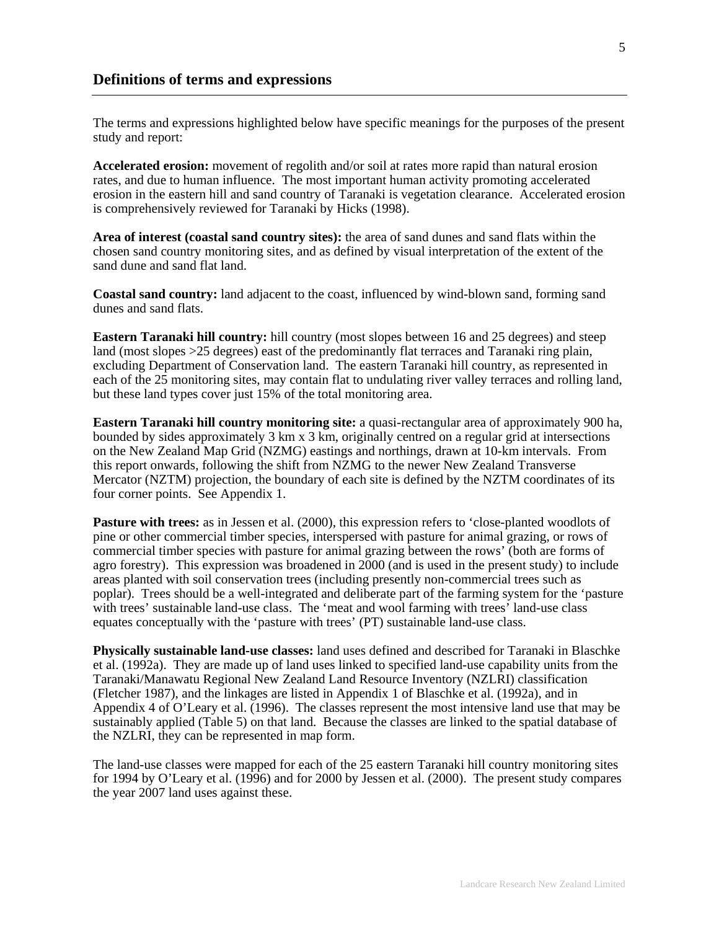The terms and expressions highlighted below have specific meanings for the purposes of the present study and report:

**Accelerated erosion:** movement of regolith and/or soil at rates more rapid than natural erosion rates, and due to human influence. The most important human activity promoting accelerated erosion in the eastern hill and sand country of Taranaki is vegetation clearance. Accelerated erosion is comprehensively reviewed for Taranaki by Hicks (1998).

**Area of interest (coastal sand country sites):** the area of sand dunes and sand flats within the chosen sand country monitoring sites, and as defined by visual interpretation of the extent of the sand dune and sand flat land.

**Coastal sand country:** land adjacent to the coast, influenced by wind-blown sand, forming sand dunes and sand flats.

**Eastern Taranaki hill country:** hill country (most slopes between 16 and 25 degrees) and steep land (most slopes >25 degrees) east of the predominantly flat terraces and Taranaki ring plain, excluding Department of Conservation land. The eastern Taranaki hill country, as represented in each of the 25 monitoring sites, may contain flat to undulating river valley terraces and rolling land, but these land types cover just 15% of the total monitoring area.

**Eastern Taranaki hill country monitoring site:** a quasi-rectangular area of approximately 900 ha, bounded by sides approximately 3 km x 3 km, originally centred on a regular grid at intersections on the New Zealand Map Grid (NZMG) eastings and northings, drawn at 10-km intervals. From this report onwards, following the shift from NZMG to the newer New Zealand Transverse Mercator (NZTM) projection, the boundary of each site is defined by the NZTM coordinates of its four corner points. See Appendix 1.

Pasture with trees: as in Jessen et al. (2000), this expression refers to 'close-planted woodlots of pine or other commercial timber species, interspersed with pasture for animal grazing, or rows of commercial timber species with pasture for animal grazing between the rows' (both are forms of agro forestry). This expression was broadened in 2000 (and is used in the present study) to include areas planted with soil conservation trees (including presently non-commercial trees such as poplar). Trees should be a well-integrated and deliberate part of the farming system for the 'pasture with trees' sustainable land-use class. The 'meat and wool farming with trees' land-use class equates conceptually with the 'pasture with trees' (PT) sustainable land-use class.

**Physically sustainable land-use classes:** land uses defined and described for Taranaki in Blaschke et al. (1992a). They are made up of land uses linked to specified land-use capability units from the Taranaki/Manawatu Regional New Zealand Land Resource Inventory (NZLRI) classification (Fletcher 1987), and the linkages are listed in Appendix 1 of Blaschke et al. (1992a), and in Appendix 4 of O'Leary et al. (1996). The classes represent the most intensive land use that may be sustainably applied (Table 5) on that land. Because the classes are linked to the spatial database of the NZLRI, they can be represented in map form.

The land-use classes were mapped for each of the 25 eastern Taranaki hill country monitoring sites for 1994 by O'Leary et al. (1996) and for 2000 by Jessen et al. (2000). The present study compares the year 2007 land uses against these.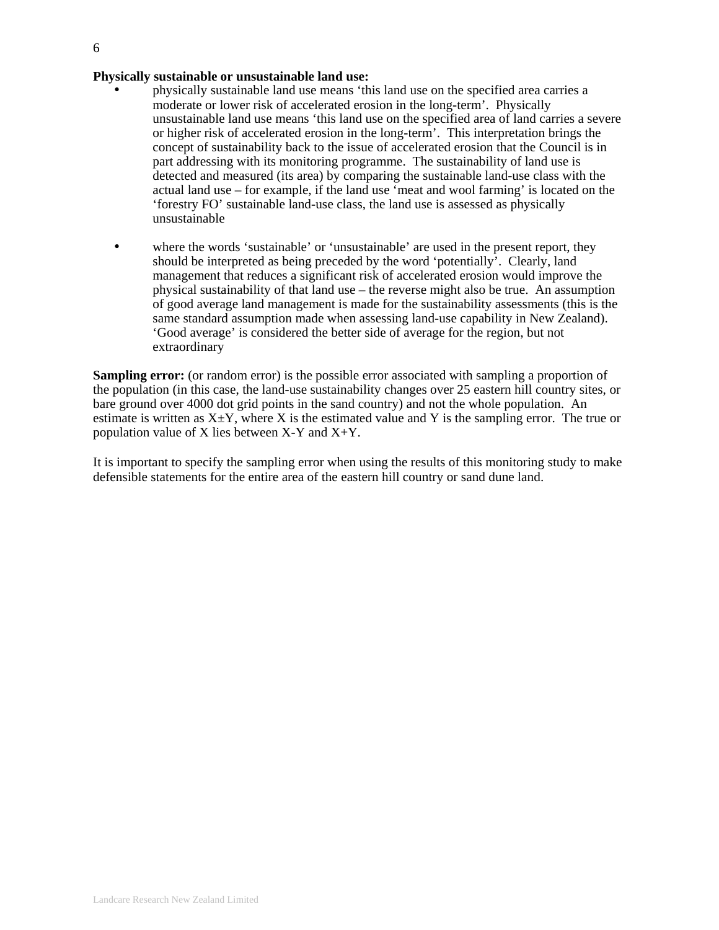#### **Physically sustainable or unsustainable land use:**

- physically sustainable land use means 'this land use on the specified area carries a moderate or lower risk of accelerated erosion in the long-term'. Physically unsustainable land use means 'this land use on the specified area of land carries a severe or higher risk of accelerated erosion in the long-term'. This interpretation brings the concept of sustainability back to the issue of accelerated erosion that the Council is in part addressing with its monitoring programme. The sustainability of land use is detected and measured (its area) by comparing the sustainable land-use class with the actual land use – for example, if the land use 'meat and wool farming' is located on the 'forestry FO' sustainable land-use class, the land use is assessed as physically unsustainable
- where the words 'sustainable' or 'unsustainable' are used in the present report, they should be interpreted as being preceded by the word 'potentially'. Clearly, land management that reduces a significant risk of accelerated erosion would improve the physical sustainability of that land use – the reverse might also be true. An assumption of good average land management is made for the sustainability assessments (this is the same standard assumption made when assessing land-use capability in New Zealand). 'Good average' is considered the better side of average for the region, but not extraordinary

**Sampling error:** (or random error) is the possible error associated with sampling a proportion of the population (in this case, the land-use sustainability changes over 25 eastern hill country sites, or bare ground over 4000 dot grid points in the sand country) and not the whole population. An estimate is written as  $X \pm Y$ , where X is the estimated value and Y is the sampling error. The true or population value of X lies between  $X-Y$  and  $X+Y$ .

It is important to specify the sampling error when using the results of this monitoring study to make defensible statements for the entire area of the eastern hill country or sand dune land.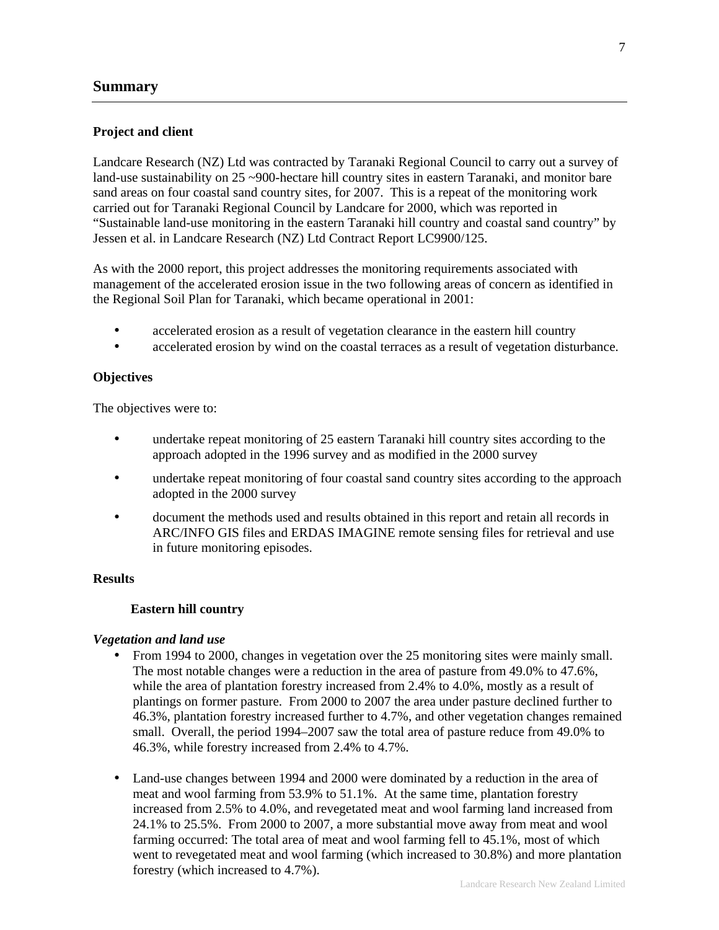### **Summary**

### **Project and client**

Landcare Research (NZ) Ltd was contracted by Taranaki Regional Council to carry out a survey of land-use sustainability on 25 ~900-hectare hill country sites in eastern Taranaki, and monitor bare sand areas on four coastal sand country sites, for 2007. This is a repeat of the monitoring work carried out for Taranaki Regional Council by Landcare for 2000, which was reported in "Sustainable land-use monitoring in the eastern Taranaki hill country and coastal sand country" by Jessen et al. in Landcare Research (NZ) Ltd Contract Report LC9900/125.

As with the 2000 report, this project addresses the monitoring requirements associated with management of the accelerated erosion issue in the two following areas of concern as identified in the Regional Soil Plan for Taranaki, which became operational in 2001:

- accelerated erosion as a result of vegetation clearance in the eastern hill country
- accelerated erosion by wind on the coastal terraces as a result of vegetation disturbance.

#### **Objectives**

The objectives were to:

- undertake repeat monitoring of 25 eastern Taranaki hill country sites according to the approach adopted in the 1996 survey and as modified in the 2000 survey
- undertake repeat monitoring of four coastal sand country sites according to the approach adopted in the 2000 survey
- document the methods used and results obtained in this report and retain all records in ARC/INFO GIS files and ERDAS IMAGINE remote sensing files for retrieval and use in future monitoring episodes.

#### **Results**

### **Eastern hill country**

#### *Vegetation and land use*

- From 1994 to 2000, changes in vegetation over the 25 monitoring sites were mainly small. The most notable changes were a reduction in the area of pasture from 49.0% to 47.6%, while the area of plantation forestry increased from 2.4% to 4.0%, mostly as a result of plantings on former pasture. From 2000 to 2007 the area under pasture declined further to 46.3%, plantation forestry increased further to 4.7%, and other vegetation changes remained small. Overall, the period 1994–2007 saw the total area of pasture reduce from 49.0% to 46.3%, while forestry increased from 2.4% to 4.7%.
- Land-use changes between 1994 and 2000 were dominated by a reduction in the area of meat and wool farming from 53.9% to 51.1%. At the same time, plantation forestry increased from 2.5% to 4.0%, and revegetated meat and wool farming land increased from 24.1% to 25.5%. From 2000 to 2007, a more substantial move away from meat and wool farming occurred: The total area of meat and wool farming fell to 45.1%, most of which went to revegetated meat and wool farming (which increased to 30.8%) and more plantation forestry (which increased to 4.7%).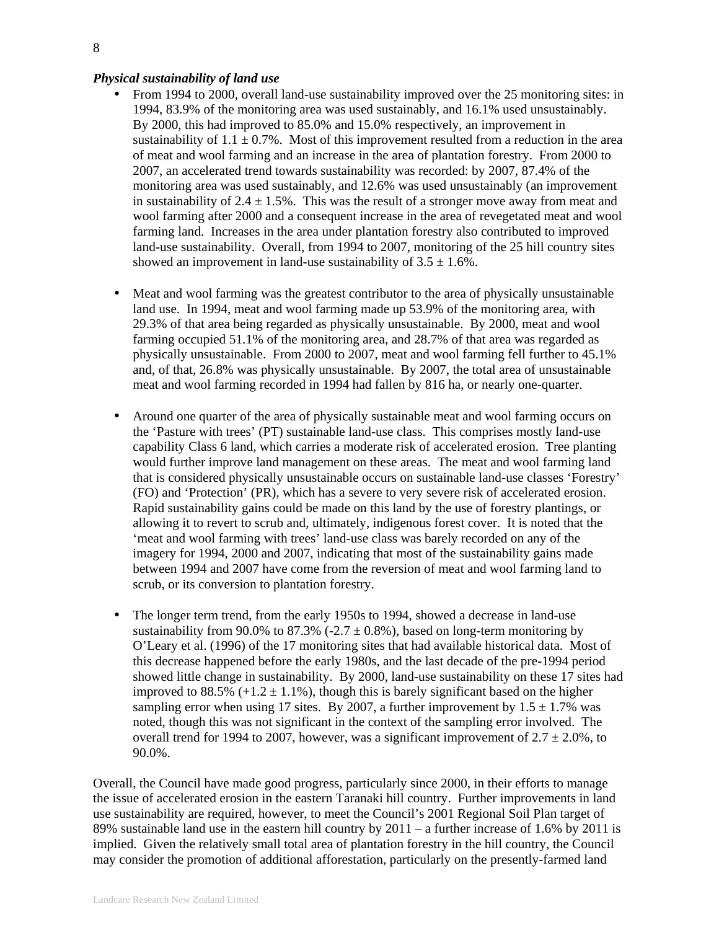#### *Physical sustainability of land use*

- From 1994 to 2000, overall land-use sustainability improved over the 25 monitoring sites: in 1994, 83.9% of the monitoring area was used sustainably, and 16.1% used unsustainably. By 2000, this had improved to 85.0% and 15.0% respectively, an improvement in sustainability of  $1.1 \pm 0.7\%$ . Most of this improvement resulted from a reduction in the area of meat and wool farming and an increase in the area of plantation forestry. From 2000 to 2007, an accelerated trend towards sustainability was recorded: by 2007, 87.4% of the monitoring area was used sustainably, and 12.6% was used unsustainably (an improvement in sustainability of  $2.4 \pm 1.5\%$ . This was the result of a stronger move away from meat and wool farming after 2000 and a consequent increase in the area of revegetated meat and wool farming land. Increases in the area under plantation forestry also contributed to improved land-use sustainability. Overall, from 1994 to 2007, monitoring of the 25 hill country sites showed an improvement in land-use sustainability of  $3.5 \pm 1.6\%$ .
- Meat and wool farming was the greatest contributor to the area of physically unsustainable land use. In 1994, meat and wool farming made up 53.9% of the monitoring area, with 29.3% of that area being regarded as physically unsustainable. By 2000, meat and wool farming occupied 51.1% of the monitoring area, and 28.7% of that area was regarded as physically unsustainable. From 2000 to 2007, meat and wool farming fell further to 45.1% and, of that, 26.8% was physically unsustainable. By 2007, the total area of unsustainable meat and wool farming recorded in 1994 had fallen by 816 ha, or nearly one-quarter.
- Around one quarter of the area of physically sustainable meat and wool farming occurs on the 'Pasture with trees' (PT) sustainable land-use class. This comprises mostly land-use capability Class 6 land, which carries a moderate risk of accelerated erosion. Tree planting would further improve land management on these areas. The meat and wool farming land that is considered physically unsustainable occurs on sustainable land-use classes 'Forestry' (FO) and 'Protection' (PR), which has a severe to very severe risk of accelerated erosion. Rapid sustainability gains could be made on this land by the use of forestry plantings, or allowing it to revert to scrub and, ultimately, indigenous forest cover. It is noted that the 'meat and wool farming with trees' land-use class was barely recorded on any of the imagery for 1994, 2000 and 2007, indicating that most of the sustainability gains made between 1994 and 2007 have come from the reversion of meat and wool farming land to scrub, or its conversion to plantation forestry.
- The longer term trend, from the early 1950s to 1994, showed a decrease in land-use sustainability from 90.0% to 87.3% (-2.7  $\pm$  0.8%), based on long-term monitoring by O'Leary et al. (1996) of the 17 monitoring sites that had available historical data. Most of this decrease happened before the early 1980s, and the last decade of the pre-1994 period showed little change in sustainability. By 2000, land-use sustainability on these 17 sites had improved to 88.5%  $(+1.2 \pm 1.1\%)$ , though this is barely significant based on the higher sampling error when using 17 sites. By 2007, a further improvement by 1.5  $\pm$  1.7% was noted, though this was not significant in the context of the sampling error involved. The overall trend for 1994 to 2007, however, was a significant improvement of  $2.7 \pm 2.0\%$ , to 90.0%.

Overall, the Council have made good progress, particularly since 2000, in their efforts to manage the issue of accelerated erosion in the eastern Taranaki hill country. Further improvements in land use sustainability are required, however, to meet the Council's 2001 Regional Soil Plan target of 89% sustainable land use in the eastern hill country by 2011 – a further increase of 1.6% by 2011 is implied. Given the relatively small total area of plantation forestry in the hill country, the Council may consider the promotion of additional afforestation, particularly on the presently-farmed land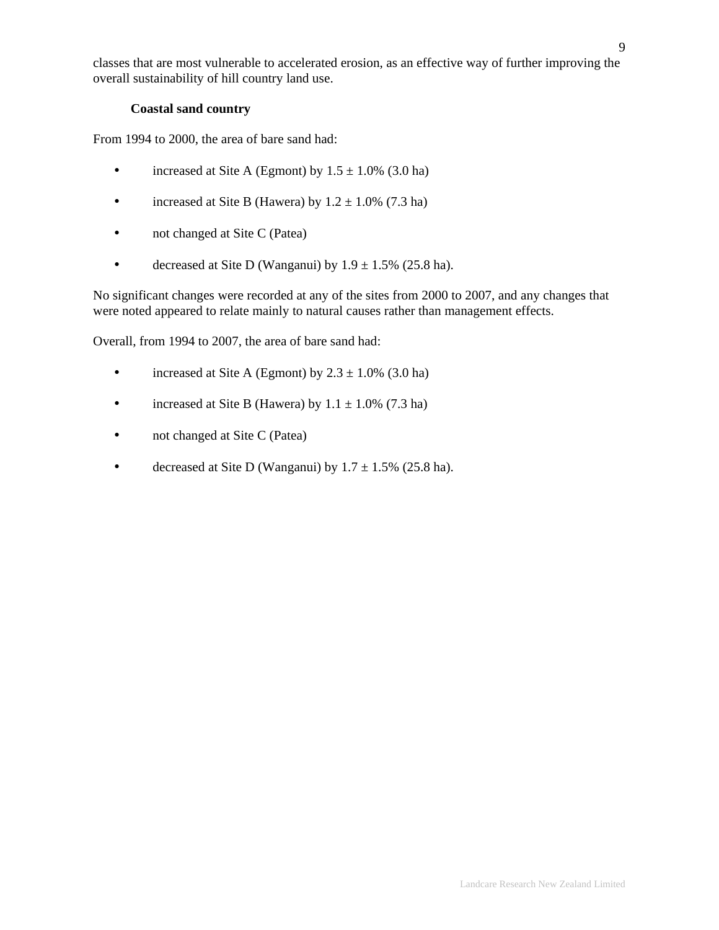classes that are most vulnerable to accelerated erosion, as an effective way of further improving the overall sustainability of hill country land use.

## **Coastal sand country**

From 1994 to 2000, the area of bare sand had:

- increased at Site A (Egmont) by  $1.5 \pm 1.0\%$  (3.0 ha)
- increased at Site B (Hawera) by  $1.2 \pm 1.0\%$  (7.3 ha)
- not changed at Site C (Patea)
- decreased at Site D (Wanganui) by  $1.9 \pm 1.5\%$  (25.8 ha).

No significant changes were recorded at any of the sites from 2000 to 2007, and any changes that were noted appeared to relate mainly to natural causes rather than management effects.

Overall, from 1994 to 2007, the area of bare sand had:

- increased at Site A (Egmont) by  $2.3 \pm 1.0\%$  (3.0 ha)
- increased at Site B (Hawera) by  $1.1 \pm 1.0\%$  (7.3 ha)
- not changed at Site C (Patea)
- decreased at Site D (Wanganui) by  $1.7 \pm 1.5\%$  (25.8 ha).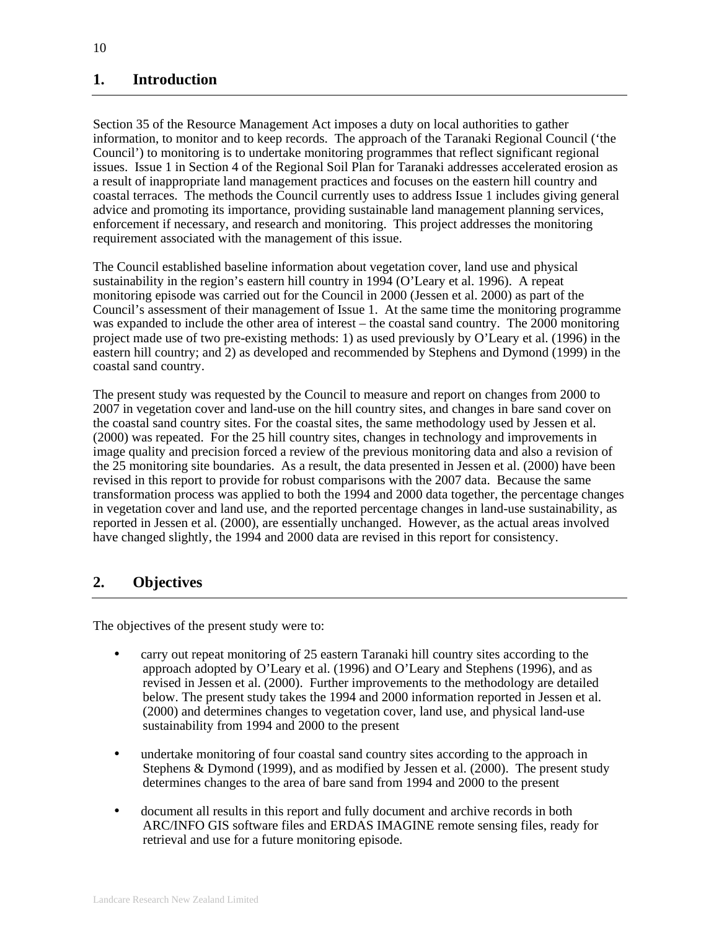# **1. Introduction**

Section 35 of the Resource Management Act imposes a duty on local authorities to gather information, to monitor and to keep records. The approach of the Taranaki Regional Council ('the Council') to monitoring is to undertake monitoring programmes that reflect significant regional issues. Issue 1 in Section 4 of the Regional Soil Plan for Taranaki addresses accelerated erosion as a result of inappropriate land management practices and focuses on the eastern hill country and coastal terraces. The methods the Council currently uses to address Issue 1 includes giving general advice and promoting its importance, providing sustainable land management planning services, enforcement if necessary, and research and monitoring. This project addresses the monitoring requirement associated with the management of this issue.

The Council established baseline information about vegetation cover, land use and physical sustainability in the region's eastern hill country in 1994 (O'Leary et al. 1996). A repeat monitoring episode was carried out for the Council in 2000 (Jessen et al. 2000) as part of the Council's assessment of their management of Issue 1. At the same time the monitoring programme was expanded to include the other area of interest – the coastal sand country. The 2000 monitoring project made use of two pre-existing methods: 1) as used previously by O'Leary et al. (1996) in the eastern hill country; and 2) as developed and recommended by Stephens and Dymond (1999) in the coastal sand country.

The present study was requested by the Council to measure and report on changes from 2000 to 2007 in vegetation cover and land-use on the hill country sites, and changes in bare sand cover on the coastal sand country sites. For the coastal sites, the same methodology used by Jessen et al. (2000) was repeated. For the 25 hill country sites, changes in technology and improvements in image quality and precision forced a review of the previous monitoring data and also a revision of the 25 monitoring site boundaries. As a result, the data presented in Jessen et al. (2000) have been revised in this report to provide for robust comparisons with the 2007 data. Because the same transformation process was applied to both the 1994 and 2000 data together, the percentage changes in vegetation cover and land use, and the reported percentage changes in land-use sustainability, as reported in Jessen et al. (2000), are essentially unchanged. However, as the actual areas involved have changed slightly, the 1994 and 2000 data are revised in this report for consistency.

# **2. Objectives**

The objectives of the present study were to:

- carry out repeat monitoring of 25 eastern Taranaki hill country sites according to the approach adopted by O'Leary et al. (1996) and O'Leary and Stephens (1996), and as revised in Jessen et al. (2000). Further improvements to the methodology are detailed below. The present study takes the 1994 and 2000 information reported in Jessen et al. (2000) and determines changes to vegetation cover, land use, and physical land-use sustainability from 1994 and 2000 to the present
- undertake monitoring of four coastal sand country sites according to the approach in Stephens & Dymond (1999), and as modified by Jessen et al. (2000). The present study determines changes to the area of bare sand from 1994 and 2000 to the present
- document all results in this report and fully document and archive records in both ARC/INFO GIS software files and ERDAS IMAGINE remote sensing files, ready for retrieval and use for a future monitoring episode.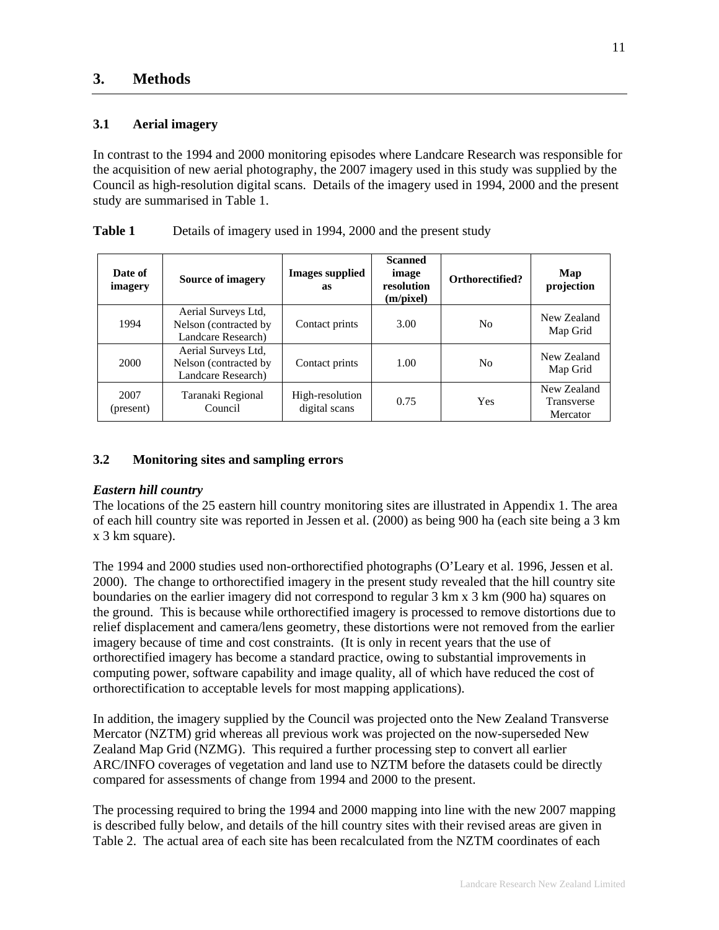## **3.1 Aerial imagery**

In contrast to the 1994 and 2000 monitoring episodes where Landcare Research was responsible for the acquisition of new aerial photography, the 2007 imagery used in this study was supplied by the Council as high-resolution digital scans. Details of the imagery used in 1994, 2000 and the present study are summarised in Table 1.

| Date of<br>imagery | Source of imagery                                                  | <b>Images supplied</b><br>as     | <b>Scanned</b><br>image<br>resolution<br>(m/pixel) | Orthorectified? | Map<br>projection                            |
|--------------------|--------------------------------------------------------------------|----------------------------------|----------------------------------------------------|-----------------|----------------------------------------------|
| 1994               | Aerial Surveys Ltd,<br>Nelson (contracted by<br>Landcare Research) | Contact prints                   | 3.00                                               | N <sub>0</sub>  | New Zealand<br>Map Grid                      |
| 2000               | Aerial Surveys Ltd,<br>Nelson (contracted by<br>Landcare Research) | Contact prints                   | 1.00                                               | N <sub>0</sub>  | New Zealand<br>Map Grid                      |
| 2007<br>(present)  | Taranaki Regional<br>Council                                       | High-resolution<br>digital scans | 0.75                                               | <b>Yes</b>      | New Zealand<br><b>Transverse</b><br>Mercator |

| <b>Table 1</b> | Details of imagery used in 1994, 2000 and the present study |  |
|----------------|-------------------------------------------------------------|--|
|                |                                                             |  |

## **3.2 Monitoring sites and sampling errors**

### *Eastern hill country*

The locations of the 25 eastern hill country monitoring sites are illustrated in Appendix 1. The area of each hill country site was reported in Jessen et al. (2000) as being 900 ha (each site being a 3 km x 3 km square).

The 1994 and 2000 studies used non-orthorectified photographs (O'Leary et al. 1996, Jessen et al. 2000). The change to orthorectified imagery in the present study revealed that the hill country site boundaries on the earlier imagery did not correspond to regular 3 km x 3 km (900 ha) squares on the ground. This is because while orthorectified imagery is processed to remove distortions due to relief displacement and camera/lens geometry, these distortions were not removed from the earlier imagery because of time and cost constraints. (It is only in recent years that the use of orthorectified imagery has become a standard practice, owing to substantial improvements in computing power, software capability and image quality, all of which have reduced the cost of orthorectification to acceptable levels for most mapping applications).

In addition, the imagery supplied by the Council was projected onto the New Zealand Transverse Mercator (NZTM) grid whereas all previous work was projected on the now-superseded New Zealand Map Grid (NZMG). This required a further processing step to convert all earlier ARC/INFO coverages of vegetation and land use to NZTM before the datasets could be directly compared for assessments of change from 1994 and 2000 to the present.

The processing required to bring the 1994 and 2000 mapping into line with the new 2007 mapping is described fully below, and details of the hill country sites with their revised areas are given in Table 2. The actual area of each site has been recalculated from the NZTM coordinates of each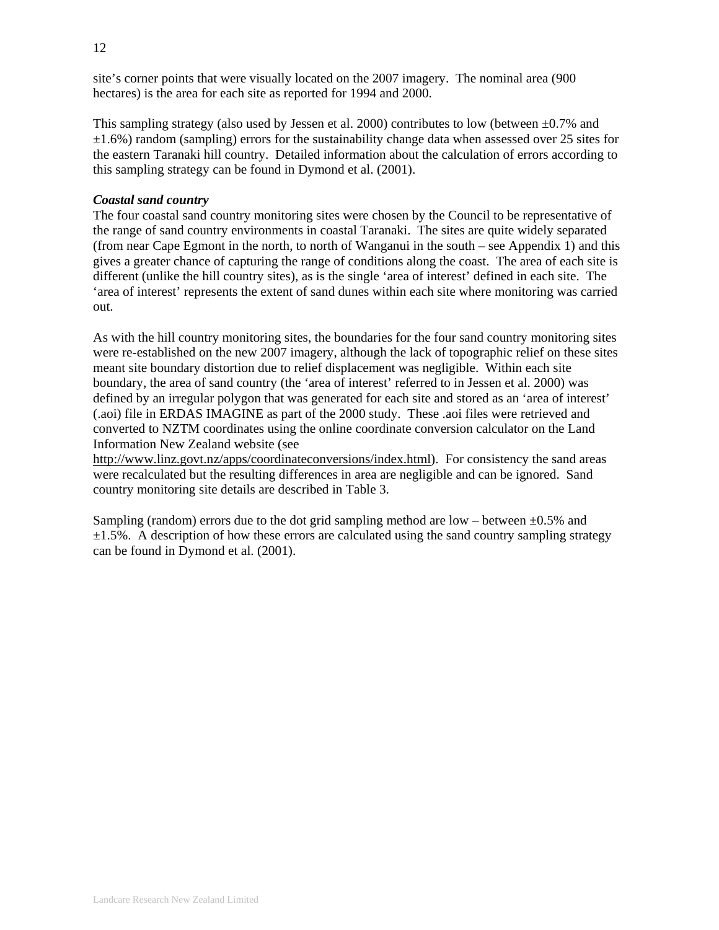site's corner points that were visually located on the 2007 imagery. The nominal area (900 hectares) is the area for each site as reported for 1994 and 2000.

This sampling strategy (also used by Jessen et al. 2000) contributes to low (between  $\pm 0.7\%$  and  $\pm 1.6\%$ ) random (sampling) errors for the sustainability change data when assessed over 25 sites for the eastern Taranaki hill country. Detailed information about the calculation of errors according to this sampling strategy can be found in Dymond et al. (2001).

### *Coastal sand country*

The four coastal sand country monitoring sites were chosen by the Council to be representative of the range of sand country environments in coastal Taranaki. The sites are quite widely separated (from near Cape Egmont in the north, to north of Wanganui in the south – see Appendix 1) and this gives a greater chance of capturing the range of conditions along the coast. The area of each site is different (unlike the hill country sites), as is the single 'area of interest' defined in each site. The 'area of interest' represents the extent of sand dunes within each site where monitoring was carried out.

As with the hill country monitoring sites, the boundaries for the four sand country monitoring sites were re-established on the new 2007 imagery, although the lack of topographic relief on these sites meant site boundary distortion due to relief displacement was negligible. Within each site boundary, the area of sand country (the 'area of interest' referred to in Jessen et al. 2000) was defined by an irregular polygon that was generated for each site and stored as an 'area of interest' (.aoi) file in ERDAS IMAGINE as part of the 2000 study. These .aoi files were retrieved and converted to NZTM coordinates using the online coordinate conversion calculator on the Land Information New Zealand website (see

http://www.linz.govt.nz/apps/coordinateconversions/index.html). For consistency the sand areas were recalculated but the resulting differences in area are negligible and can be ignored. Sand country monitoring site details are described in Table 3.

Sampling (random) errors due to the dot grid sampling method are low – between  $\pm 0.5\%$  and  $\pm 1.5\%$ . A description of how these errors are calculated using the sand country sampling strategy can be found in Dymond et al. (2001).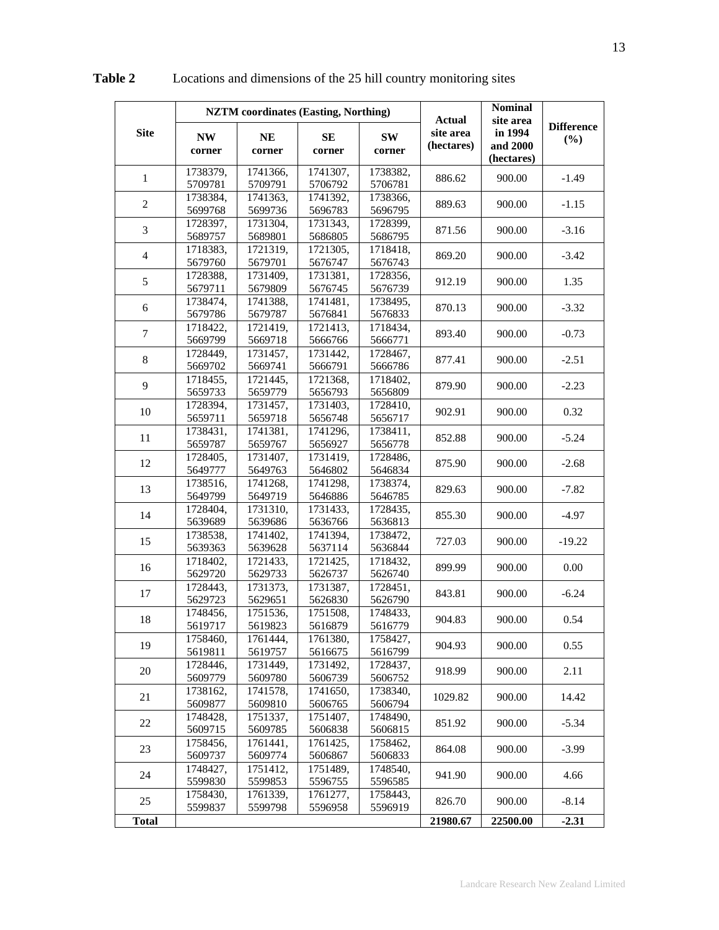|                |                                | <b>NZTM</b> coordinates (Easting, Northing) |                                |                                | <b>Actual</b>           | <b>Nominal</b><br>site area       |                          |
|----------------|--------------------------------|---------------------------------------------|--------------------------------|--------------------------------|-------------------------|-----------------------------------|--------------------------|
| <b>Site</b>    | <b>NW</b><br>corner            | <b>NE</b><br>corner                         | SE<br>corner                   | SW<br>corner                   | site area<br>(hectares) | in 1994<br>and 2000<br>(hectares) | <b>Difference</b><br>(%) |
| 1              | 1738379,<br>5709781            | 1741366,<br>5709791                         | 1741307,<br>5706792            | 1738382,<br>5706781            | 886.62                  | 900.00                            | $-1.49$                  |
| $\overline{c}$ | 1738384,<br>5699768            | 1741363,<br>5699736                         | 1741392,<br>5696783            | 1738366,<br>5696795            | 889.63                  | 900.00                            | $-1.15$                  |
| 3              | 1728397,<br>5689757            | 1731304,<br>5689801                         | 1731343,<br>5686805            | 1728399,<br>5686795            | 871.56                  | 900.00                            | $-3.16$                  |
| $\overline{4}$ | 1718383,<br>5679760            | 1721319,<br>5679701                         | 1721305.<br>5676747            | 1718418,<br>5676743            | 869.20                  | 900.00                            | $-3.42$                  |
| 5              | 1728388,<br>5679711            | 1731409,<br>5679809                         | 1731381,<br>5676745            | 1728356,<br>5676739            | 912.19                  | 900.00                            | 1.35                     |
| 6              | 1738474,<br>5679786            | 1741388,<br>5679787                         | 1741481,<br>5676841            | 1738495,<br>5676833            | 870.13                  | 900.00                            | $-3.32$                  |
| $\overline{7}$ | 1718422,                       | 1721419,                                    | 1721413,                       | 1718434,                       | 893.40                  | 900.00                            | $-0.73$                  |
| 8              | 5669799<br>1728449,            | 5669718<br>1731457,                         | 5666766<br>1731442,            | 5666771<br>1728467,            | 877.41                  | 900.00                            | $-2.51$                  |
| 9              | 5669702<br>1718455,<br>5659733 | 5669741<br>1721445,                         | 5666791<br>1721368,            | 5666786<br>1718402,            | 879.90                  | 900.00                            | $-2.23$                  |
| 10             | 1728394,<br>5659711            | 5659779<br>1731457,<br>5659718              | 5656793<br>1731403,<br>5656748 | 5656809<br>1728410,            | 902.91                  | 900.00                            | 0.32                     |
| 11             | 1738431,<br>5659787            | 1741381,<br>5659767                         | 1741296,<br>5656927            | 5656717<br>1738411,<br>5656778 | 852.88                  | 900.00                            | $-5.24$                  |
| 12             | 1728405,<br>5649777            | 1731407,<br>5649763                         | 1731419,<br>5646802            | 1728486,<br>5646834            | 875.90                  | 900.00                            | $-2.68$                  |
| 13             | 1738516,<br>5649799            | 1741268,<br>5649719                         | 1741298,<br>5646886            | 1738374,<br>5646785            | 829.63                  | 900.00                            | $-7.82$                  |
| 14             | 1728404,<br>5639689            | 1731310,<br>5639686                         | 1731433,<br>5636766            | 1728435,<br>5636813            | 855.30                  | 900.00                            | $-4.97$                  |
| 15             | 1738538,<br>5639363            | 1741402,<br>5639628                         | 1741394,<br>5637114            | 1738472,<br>5636844            | 727.03                  | 900.00                            | $-19.22$                 |
| 16             | 1718402,<br>5629720            | 1721433,<br>5629733                         | 1721425,<br>5626737            | 1718432,<br>5626740            | 899.99                  | 900.00                            | 0.00                     |
| 17             | 1728443,<br>5629723            | 1731373,<br>5629651                         | 1731387,<br>5626830            | 1728451,<br>5626790            | 843.81                  | 900.00                            | $-6.24$                  |
| 18             | 1748456,<br>5619717            | 1751536,<br>5619823                         | 1751508,<br>5616879            | 1748433,<br>5616779            | 904.83                  | 900.00                            | 0.54                     |
| 19             | 1758460.<br>5619811            | 1761444,<br>5619757                         | 1761380,<br>5616675            | 1758427,<br>5616799            | 904.93                  | 900.00                            | 0.55                     |
| 20             | 1728446,<br>5609779            | 1731449,<br>5609780                         | 1731492,<br>5606739            | 1728437,<br>5606752            | 918.99                  | 900.00                            | 2.11                     |
| 21             | 1738162,<br>5609877            | 1741578,<br>5609810                         | 1741650,<br>5606765            | 1738340,<br>5606794            | 1029.82                 | 900.00                            | 14.42                    |
| 22             | 1748428,<br>5609715            | 1751337,<br>5609785                         | 1751407,<br>5606838            | 1748490,<br>5606815            | 851.92                  | 900.00                            | $-5.34$                  |
| 23             | 1758456,<br>5609737            | 1761441,<br>5609774                         | 1761425,<br>5606867            | 1758462,<br>5606833            | 864.08                  | 900.00                            | $-3.99$                  |
| 24             | 1748427,<br>5599830            | 1751412,<br>5599853                         | 1751489,<br>5596755            | 1748540,<br>5596585            | 941.90                  | 900.00                            | 4.66                     |
| 25             | 1758430,<br>5599837            | 1761339,<br>5599798                         | 1761277,<br>5596958            | 1758443,<br>5596919            | 826.70                  | 900.00                            | $-8.14$                  |
| <b>Total</b>   |                                |                                             |                                |                                | 21980.67                | 22500.00                          | $-2.31$                  |

**Table 2** Locations and dimensions of the 25 hill country monitoring sites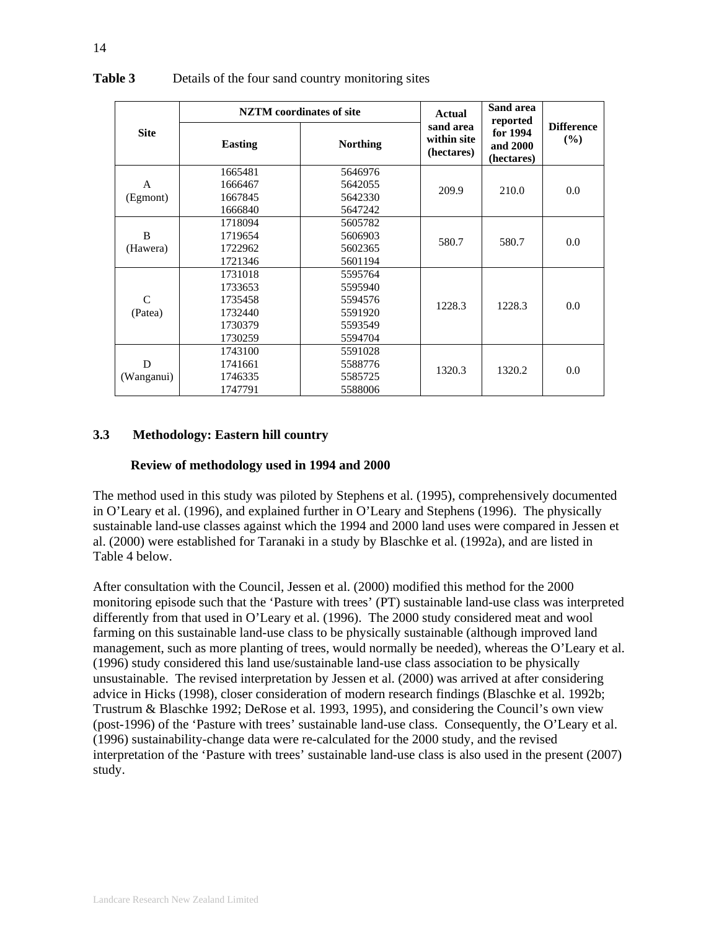|             |                | <b>NZTM</b> coordinates of site | Actual                                 | Sand area<br>reported              |                          |
|-------------|----------------|---------------------------------|----------------------------------------|------------------------------------|--------------------------|
| <b>Site</b> | <b>Easting</b> | <b>Northing</b>                 | sand area<br>within site<br>(hectares) | for 1994<br>and 2000<br>(hectares) | <b>Difference</b><br>(%) |
|             | 1665481        | 5646976                         |                                        |                                    |                          |
| A           | 1666467        | 5642055                         | 209.9                                  | 210.0                              | 0.0                      |
| (Egmont)    | 1667845        | 5642330                         |                                        |                                    |                          |
|             | 1666840        | 5647242                         |                                        |                                    |                          |
|             | 1718094        | 5605782                         |                                        |                                    |                          |
| B           | 1719654        | 5606903                         | 580.7                                  | 580.7                              | 0.0                      |
| (Hawera)    | 1722962        | 5602365                         |                                        |                                    |                          |
|             | 1721346        | 5601194                         |                                        |                                    |                          |
|             | 1731018        | 5595764                         |                                        |                                    |                          |
|             | 1733653        | 5595940                         |                                        |                                    |                          |
| C           | 1735458        | 5594576                         | 1228.3                                 | 1228.3                             | 0.0                      |
| (Patea)     | 1732440        | 5591920                         |                                        |                                    |                          |
|             | 1730379        | 5593549                         |                                        |                                    |                          |
|             | 1730259        | 5594704                         |                                        |                                    |                          |
|             | 1743100        | 5591028                         |                                        |                                    |                          |
| D           | 1741661        | 5588776                         | 1320.3                                 | 1320.2                             | 0.0                      |
| (Wanganui)  | 1746335        | 5585725                         |                                        |                                    |                          |
|             | 1747791        | 5588006                         |                                        |                                    |                          |

### **Table 3** Details of the four sand country monitoring sites

## **3.3 Methodology: Eastern hill country**

#### **Review of methodology used in 1994 and 2000**

The method used in this study was piloted by Stephens et al. (1995), comprehensively documented in O'Leary et al. (1996), and explained further in O'Leary and Stephens (1996). The physically sustainable land-use classes against which the 1994 and 2000 land uses were compared in Jessen et al. (2000) were established for Taranaki in a study by Blaschke et al. (1992a), and are listed in Table 4 below.

After consultation with the Council, Jessen et al. (2000) modified this method for the 2000 monitoring episode such that the 'Pasture with trees' (PT) sustainable land-use class was interpreted differently from that used in O'Leary et al. (1996). The 2000 study considered meat and wool farming on this sustainable land-use class to be physically sustainable (although improved land management, such as more planting of trees, would normally be needed), whereas the O'Leary et al. (1996) study considered this land use/sustainable land-use class association to be physically unsustainable. The revised interpretation by Jessen et al. (2000) was arrived at after considering advice in Hicks (1998), closer consideration of modern research findings (Blaschke et al. 1992b; Trustrum & Blaschke 1992; DeRose et al. 1993, 1995), and considering the Council's own view (post-1996) of the 'Pasture with trees' sustainable land-use class. Consequently, the O'Leary et al. (1996) sustainability-change data were re-calculated for the 2000 study, and the revised interpretation of the 'Pasture with trees' sustainable land-use class is also used in the present (2007) study.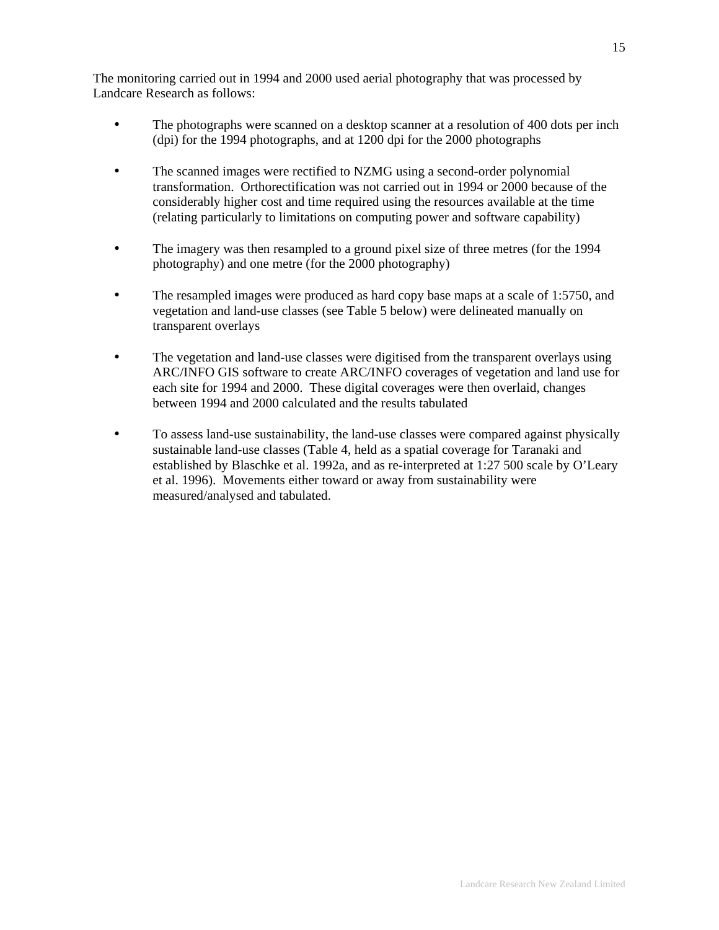The monitoring carried out in 1994 and 2000 used aerial photography that was processed by Landcare Research as follows:

- The photographs were scanned on a desktop scanner at a resolution of 400 dots per inch (dpi) for the 1994 photographs, and at 1200 dpi for the 2000 photographs
- The scanned images were rectified to NZMG using a second-order polynomial transformation. Orthorectification was not carried out in 1994 or 2000 because of the considerably higher cost and time required using the resources available at the time (relating particularly to limitations on computing power and software capability)
- The imagery was then resampled to a ground pixel size of three metres (for the 1994) photography) and one metre (for the 2000 photography)
- The resampled images were produced as hard copy base maps at a scale of 1:5750, and vegetation and land-use classes (see Table 5 below) were delineated manually on transparent overlays
- The vegetation and land-use classes were digitised from the transparent overlays using ARC/INFO GIS software to create ARC/INFO coverages of vegetation and land use for each site for 1994 and 2000. These digital coverages were then overlaid, changes between 1994 and 2000 calculated and the results tabulated
- To assess land-use sustainability, the land-use classes were compared against physically sustainable land-use classes (Table 4, held as a spatial coverage for Taranaki and established by Blaschke et al. 1992a, and as re-interpreted at 1:27 500 scale by O'Leary et al. 1996). Movements either toward or away from sustainability were measured/analysed and tabulated.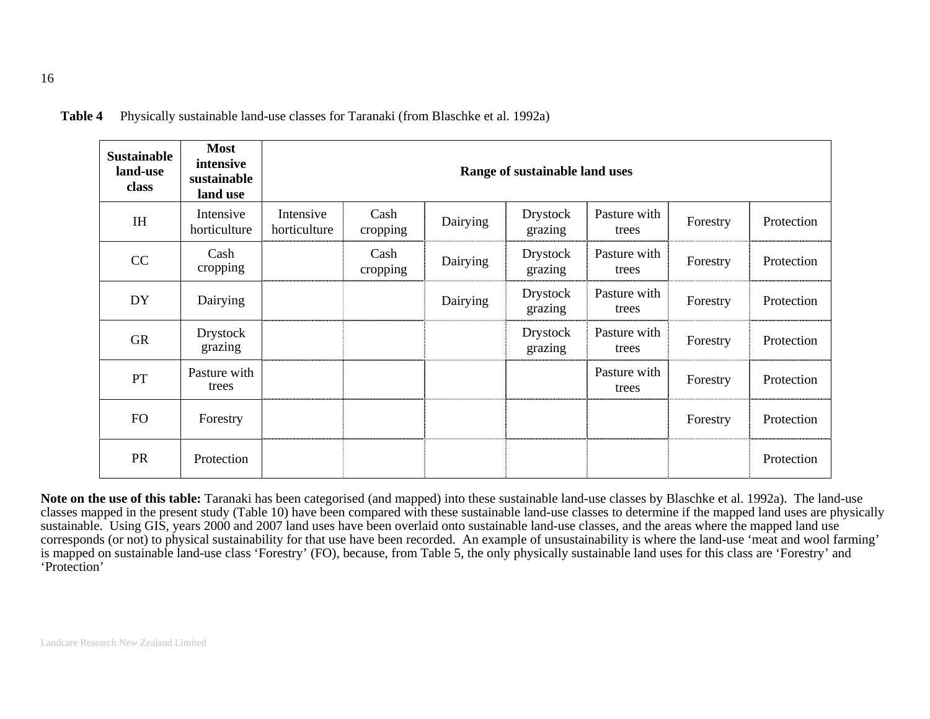| <b>Sustainable</b><br>land-use<br>class | <b>Most</b><br>intensive<br>sustainable<br>land use |                           |                  |          | Range of sustainable land uses |                       |          |            |
|-----------------------------------------|-----------------------------------------------------|---------------------------|------------------|----------|--------------------------------|-----------------------|----------|------------|
| IH                                      | Intensive<br>horticulture                           | Intensive<br>horticulture | Cash<br>cropping | Dairying | <b>Drystock</b><br>grazing     | Pasture with<br>trees | Forestry | Protection |
| CC                                      | Cash<br>cropping                                    |                           | Cash<br>cropping | Dairying | <b>Drystock</b><br>grazing     | Pasture with<br>trees | Forestry | Protection |
| DY                                      | Dairying                                            |                           |                  | Dairying | <b>Drystock</b><br>grazing     | Pasture with<br>trees | Forestry | Protection |
| <b>GR</b>                               | Drystock<br>grazing                                 |                           |                  |          | Drystock<br>grazing            | Pasture with<br>trees | Forestry | Protection |
| PT                                      | Pasture with<br>trees                               |                           |                  |          |                                | Pasture with<br>trees | Forestry | Protection |
| <b>FO</b>                               | Forestry                                            |                           |                  |          |                                |                       | Forestry | Protection |
| <b>PR</b>                               | Protection                                          |                           |                  |          |                                |                       |          | Protection |

**Table 4** Physically sustainable land-use classes for Taranaki (from Blaschke et al. 1992a)

**Note on the use of this table:** Taranaki has been categorised (and mapped) into these sustainable land-use classes by Blaschke et al. 1992a). The land-use classes mapped in the present study (Table 10) have been compared with these sustainable land-use classes to determine if the mapped land uses are physically sustainable. Using GIS, years 2000 and 2007 land uses have been overlaid onto sustainable land-use classes, and the areas where the mapped land use corresponds (or not) to physical sustainability for that use have been recorded. An example of unsustainability is where the land-use 'meat and wool farming' is mapped on sustainable land-use class 'Forestry' (FO), because, from Table 5, the only physically sustainable land uses for this class are 'Forestry' and 'Protection'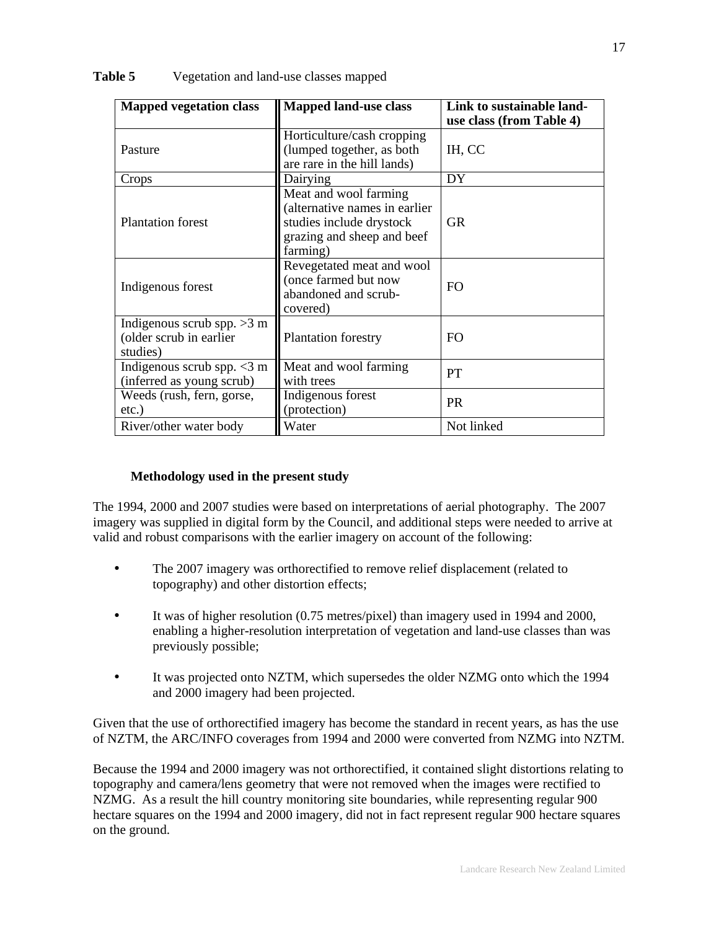| <b>Mapped vegetation class</b>                                      | <b>Mapped land-use class</b>                                                                                                 | Link to sustainable land-<br>use class (from Table 4) |
|---------------------------------------------------------------------|------------------------------------------------------------------------------------------------------------------------------|-------------------------------------------------------|
| Pasture                                                             | Horticulture/cash cropping<br>(lumped together, as both<br>are rare in the hill lands)                                       | IH, CC                                                |
| Crops                                                               | Dairying                                                                                                                     | DY                                                    |
| <b>Plantation forest</b>                                            | Meat and wool farming<br>(alternative names in earlier<br>studies include drystock<br>grazing and sheep and beef<br>farming) | <b>GR</b>                                             |
| Indigenous forest                                                   | Revegetated meat and wool<br>(once farmed but now<br>abandoned and scrub-<br>covered)                                        | F <sub>O</sub>                                        |
| Indigenous scrub spp. $>3$ m<br>(older scrub in earlier<br>studies) | Plantation forestry                                                                                                          | F <sub>O</sub>                                        |
| Indigenous scrub spp. $<$ 3 m<br>(inferred as young scrub)          | Meat and wool farming<br>with trees                                                                                          | PT                                                    |
| Weeds (rush, fern, gorse,<br>$etc.$ )                               | Indigenous forest<br>(protection)                                                                                            | <b>PR</b>                                             |
| River/other water body                                              | Water                                                                                                                        | Not linked                                            |

**Table 5** Vegetation and land-use classes mapped

### **Methodology used in the present study**

The 1994, 2000 and 2007 studies were based on interpretations of aerial photography. The 2007 imagery was supplied in digital form by the Council, and additional steps were needed to arrive at valid and robust comparisons with the earlier imagery on account of the following:

- The 2007 imagery was orthorectified to remove relief displacement (related to topography) and other distortion effects;
- It was of higher resolution (0.75 metres/pixel) than imagery used in 1994 and 2000, enabling a higher-resolution interpretation of vegetation and land-use classes than was previously possible;
- It was projected onto NZTM, which supersedes the older NZMG onto which the 1994 and 2000 imagery had been projected.

Given that the use of orthorectified imagery has become the standard in recent years, as has the use of NZTM, the ARC/INFO coverages from 1994 and 2000 were converted from NZMG into NZTM.

Because the 1994 and 2000 imagery was not orthorectified, it contained slight distortions relating to topography and camera/lens geometry that were not removed when the images were rectified to NZMG. As a result the hill country monitoring site boundaries, while representing regular 900 hectare squares on the 1994 and 2000 imagery, did not in fact represent regular 900 hectare squares on the ground.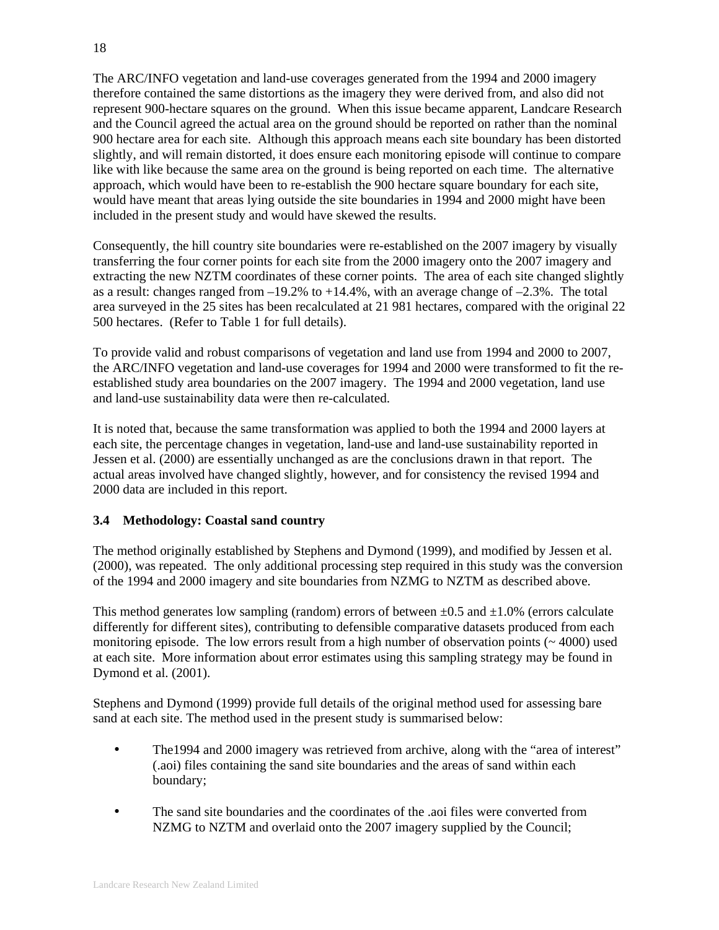The ARC/INFO vegetation and land-use coverages generated from the 1994 and 2000 imagery therefore contained the same distortions as the imagery they were derived from, and also did not represent 900-hectare squares on the ground. When this issue became apparent, Landcare Research and the Council agreed the actual area on the ground should be reported on rather than the nominal 900 hectare area for each site. Although this approach means each site boundary has been distorted slightly, and will remain distorted, it does ensure each monitoring episode will continue to compare like with like because the same area on the ground is being reported on each time. The alternative approach, which would have been to re-establish the 900 hectare square boundary for each site, would have meant that areas lying outside the site boundaries in 1994 and 2000 might have been included in the present study and would have skewed the results.

Consequently, the hill country site boundaries were re-established on the 2007 imagery by visually transferring the four corner points for each site from the 2000 imagery onto the 2007 imagery and extracting the new NZTM coordinates of these corner points. The area of each site changed slightly as a result: changes ranged from  $-19.2\%$  to  $+14.4\%$ , with an average change of  $-2.3\%$ . The total area surveyed in the 25 sites has been recalculated at 21 981 hectares, compared with the original 22 500 hectares. (Refer to Table 1 for full details).

To provide valid and robust comparisons of vegetation and land use from 1994 and 2000 to 2007, the ARC/INFO vegetation and land-use coverages for 1994 and 2000 were transformed to fit the reestablished study area boundaries on the 2007 imagery. The 1994 and 2000 vegetation, land use and land-use sustainability data were then re-calculated.

It is noted that, because the same transformation was applied to both the 1994 and 2000 layers at each site, the percentage changes in vegetation, land-use and land-use sustainability reported in Jessen et al. (2000) are essentially unchanged as are the conclusions drawn in that report. The actual areas involved have changed slightly, however, and for consistency the revised 1994 and 2000 data are included in this report.

### **3.4 Methodology: Coastal sand country**

The method originally established by Stephens and Dymond (1999), and modified by Jessen et al. (2000), was repeated. The only additional processing step required in this study was the conversion of the 1994 and 2000 imagery and site boundaries from NZMG to NZTM as described above.

This method generates low sampling (random) errors of between  $\pm 0.5$  and  $\pm 1.0$ % (errors calculate differently for different sites), contributing to defensible comparative datasets produced from each monitoring episode. The low errors result from a high number of observation points ( $\sim$  4000) used at each site. More information about error estimates using this sampling strategy may be found in Dymond et al. (2001).

Stephens and Dymond (1999) provide full details of the original method used for assessing bare sand at each site. The method used in the present study is summarised below:

- The 1994 and 2000 imagery was retrieved from archive, along with the "area of interest" (.aoi) files containing the sand site boundaries and the areas of sand within each boundary;
- The sand site boundaries and the coordinates of the .aoi files were converted from NZMG to NZTM and overlaid onto the 2007 imagery supplied by the Council;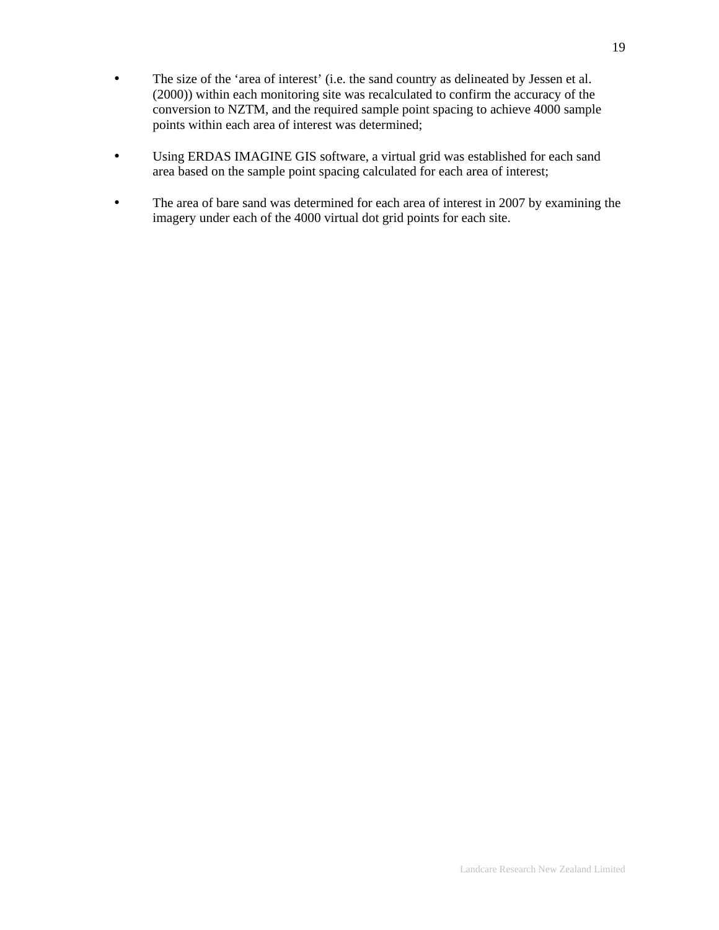- The size of the 'area of interest' (i.e. the sand country as delineated by Jessen et al. (2000)) within each monitoring site was recalculated to confirm the accuracy of the conversion to NZTM, and the required sample point spacing to achieve 4000 sample points within each area of interest was determined;
- Using ERDAS IMAGINE GIS software, a virtual grid was established for each sand area based on the sample point spacing calculated for each area of interest;
- The area of bare sand was determined for each area of interest in 2007 by examining the imagery under each of the 4000 virtual dot grid points for each site.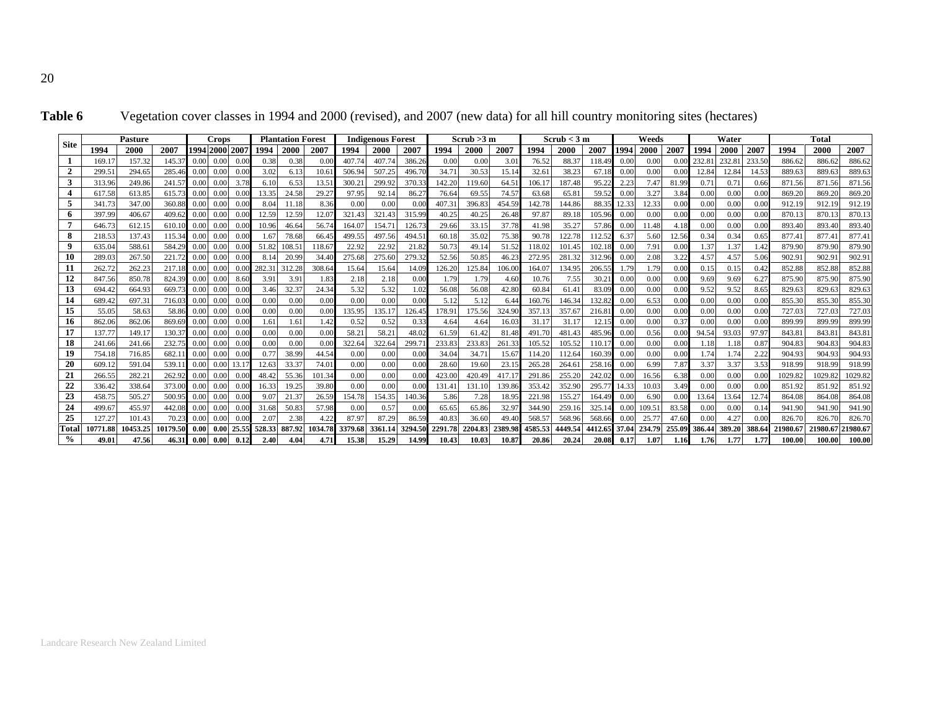| <b>Site</b>    |                  | Pasture         |                  |              | <b>Crops</b>   |              |              | <b>Plantation Forest</b> |                |               | <b>Indigenous Forest</b> |               |               | Scrub >3 m    |                |                 | Scrub < 3 m     |                 |              | Weeds        |              |               | Water        |               |                  | <b>Total</b>    |                 |
|----------------|------------------|-----------------|------------------|--------------|----------------|--------------|--------------|--------------------------|----------------|---------------|--------------------------|---------------|---------------|---------------|----------------|-----------------|-----------------|-----------------|--------------|--------------|--------------|---------------|--------------|---------------|------------------|-----------------|-----------------|
|                | 1994             | 2000            | 2007             |              | 1994 2000 2007 |              | 1994         | 2000                     | 2007           | 1994          | 2000                     | 2007          | 1994          | 2000          | 2007           | 1994            | 2000            | 2007            | 1994         | 2000         | 2007         | 1994          | 2000         | 2007          | 1994             | 2000            | 2007            |
|                | 169.1            | 157.32          | 145.37           | 0.00         | 0.00           | 0.0          | 0.38         | 0.38                     | 0.0(           | 407.7         | 407.74                   | 386.26        | 0.00          | 0.00          | 3.01           | 76.52           | 88.37           | 118.49          | 0.00         | 0.00         |              | 232.8         | 232.8        | 233.50        | 886.62           | 886.6           | 886.62          |
| $\overline{2}$ | 299.5            | 294.65          | 285.46           | 0.00         | 0.00           | 0.00         | 3.02         | 6.13                     | 10.6           | 506.94        | 507.25                   | 496.70        | 34.71         | 30.53         | 15.14          | 32.6            | 38.23           | 67.18           | 0.00         | 0.00         | 0.00         | 12.84         | 12.84        | 14.53         | 889.63           | 889.6           | 889.63          |
| 3              | 313.96           | 249.86          | 241.57           | 0.00         | 0.00           | 3.78         | 6.1          | 6.53                     | 13.5           | 300.2         | 299.92                   | 370.33        | 142.20        | 119.60        | 64.51          | 106.1           | 187.48          | 95.22           | 2.23         | 7.47         | 81.99        | 0.7           | 0.71         | 0.66          | 871.56           | 871.56          | 871.56          |
| 4              | 617.58           | 613.85          | 615.73           | 0.00         |                |              | 13.35        | 24.58                    | $29.2^{\circ}$ | 97.95         | 92.14                    | 86.27         | 76.64         | 69.55         | 74.57          | 63.68           | 65.81           | 59.52           | 0.00         | 3.27         | 3.84         | 0.00          | 0.00         | 0.00          | 869.20           | 869.20          | 869.20          |
| 5              | 341.73           | 347.00          | 360.88           | 0.00         |                |              | 8.04         |                          | 8.36           | 0.00          | 0.00                     | 0.00          | 407.31        | 396.83        | 454.59         | 142.78          | 144.86          | 88.35           | 12.33        | 12.33        | 0.00         | 0.00          | 0.00         | 0.00          | 912.19           | 912.19          | 912.19          |
| 6              | 397.99           | 406.67          | 409.62           | 0.00         | 0.00           | 0.00         | 12.59        | 12.59                    | 12.0           | 321.43        | 321.43                   | 315.99        | 40.25         | 40.25         | 26.48          | 97.87           | 89.18           | 105.96          | 0.00         | 0.00         | 0.00         | 0.00          | 0.00         | 0.00          | 870.13           | 870.1           | 870.13          |
| 7              | 646.73           | 612.15          | 610.10           | 0.00         | 0.00           |              | 10.9         | 46.64                    | 56.74          | 164.0         | 154.7                    | 126.73        | 29.66         | 33.15         | 37.78          | 41.98           | 35.27           | 57.86           | 0.00         | 11.48        | 4.18         | 0.00          | 0.00         | 0.0(          | 893.40           | 893.40          | 893.40          |
| 8              | 218.53           | 137.43          | 115.34           | 0.00         | 0.00           | 0.00         | $.6^{\circ}$ | 78.68                    | 66.4           | 499.55        | 497.56                   | 494.51        | 60.18         | 35.02         | 75.38          | 90.78           | 122.78          | 112.52          | 6.37         | 5.60         | 12.56        | 0.34          | 0.34         | 0.65          | 877.41           | 877.4           | 877.41          |
| 9              | 635.04           | 588.61          | 584.29           | 0.00         | 0.00           | 0.00         | 51.8         | 108.5                    | 118.6          | 22.92         | 22.92                    | 21.82         | 50.73         | 49.14         | 51.52          | 118.02          | 101.45          | 102.18          | 0.00         | 7.91         | 0.00         | 1.37          | 1.37         | 1.42          | 879.90           | 879.9           | 879.90          |
| 10             | 289.0            | 267.50          | 221.72           | 0.00         | 0.00           | 0.00         | 8.1          | 20.9                     | 34.4           | 275.68        | 275.60                   | 279.32        | 52.56         | 50.85         | 46.23          | 272.9           | 281.32          | 312.96          | 0.00         | 2.08         | 3.22         | $4.5^{\circ}$ | 4.57         | 5.06          | 902.9            | 902.9           | 902.91          |
| 11             | 262.72           | 262.23          | 217.18           | 0.00         |                |              | 282.3        | 312.28                   | 308.64         | 15.64         | 15.64                    | 14.09         | 126.20        | 125.84        | 106.0          | 164.07          | 134.95          | 206.55          | 1.79         | 1.79         | 0.00         | 0.13          | 0.15         | 0.42          | 852.88           | 852.88          | 852.88          |
| 12             | 847.56           | 850.78          | 824.39           | 0.00         |                | 8.60         | 3.9          | 3.91                     | 1.83           | 2.18          | 2.18                     | 0.00          | 1.79          | 1.79          | 4.60           | 10.76           | 7.55            | 30.2            | 0.00         | 0.00         | 0.00         | 9.69          | 9.69         | 6.2           | 875.90           | 875.9           | 875.90          |
| 13             | 694.42           | 664.93          | 669.73           | 0.00         |                |              | 3.46         | 32.37                    | 24.34          | 5.32          | 5.32                     | 1.02          | 56.08         | 56.08         | 42.80          | 60.84           | 61.41           | 83.09           | 0.00         | 0.00         | 0.00         | 9.52          | 9.52         | 8.65          | 829.63           | 829.63          | 829.63          |
| 14             | 689.42           | 697.31          | 716.03           |              |                |              | 0.00         | 0.00                     | 0.00           | 0.00          | 0.00                     | 0.00          | 5.12          | 5.12          | 6.44           | 160.76          | 146.34          | 132.82          | 0.00         | 6.53         | 0.00         | 0.00          | 0.00         | 0.0(          | 855.30           | 855.30          | 855.30          |
| 15<br>16       | 55.05            | 58.63<br>862.06 | 58.86            | 0.00         | 0.00           | 0.00         | 0.00         | 0.00<br>1.61             | 0.00<br>1.42   | 135.95        | 135.17                   | 126.45        | 178.91        | 175.56        | 324.90         | 357.1           | 357.67          | 216.81          | 0.00         | 0.00         | 0.00<br>0.37 | 0.00<br>0.00  | 0.00<br>0.00 | 0.00<br>0.00  | 727.03<br>899.99 | 727.0<br>899.99 | 727.03          |
| 17             | 862.06<br>137.77 | 149.17          | 869.69<br>130.37 | 0.00<br>0.00 |                | 0.00<br>0.00 | .6<br>0.00   | 0.00                     | 0.00           | 0.52<br>58.21 | 0.52<br>58.21            | 0.33<br>48.02 | 4.64<br>61.59 | 4.64<br>61.42 | 16.03<br>81.48 | 31.17<br>491.70 | 31.17<br>481.43 | 12.15           | 0.00<br>0.00 | 0.00         | 0.00         | 94.54         |              | 97.97         | 843.81           | 843.8           | 899.99<br>843.8 |
| 18             | 241.66           | 241.66          | 232.75           | 0.00         | 0.00<br>0.00   | 0.00         | 0.0(         | 0.00                     | 0.00           | 322.6         | 322.64                   | 299.71        | 233.83        | 233.83        | 261.33         | 105.52          | 105.52          | 485.96<br>110.1 | 0.00         | 0.56<br>0.00 | 0.00         | 1.18          | 93.03        | $0.8^{\circ}$ | 904.83           | 904.83          | 904.83          |
| 19             | 754.18           | 716.85          | 682.11           | 0.00         |                | 0.00         | 0.7          | 38.99                    | 44.54          | 0.00          | 0.00                     | 0.00          | 34.04         | 34.71         | 15.67          | 114.20          | 112.64          | 160.39          | 0.00         | 0.00         | 0.00         | 1.74          | 1.74         | 2.22          | 904.93           | 904.9           | 904.93          |
| 20             | 609.12           | 591.04          | 539.11           | 0.00         | 0.00           | 13.1         | 12.6         | 33.37                    | 74.01          | 0.00          | 0.00                     | 0.00          | 28.60         | 19.60         | 23.15          | 265.28          | 264.61          | 258.16          | 0.00         | 6.99         | 7.87         | 3.37          | 3.37         | 3.53          | 918.99           | 918.99          | 918.99          |
| 21             | 266.55           | 282.21          | 262.92           | 0.00         | 0.00           | 0.0(         | 48.4         | 55.36                    | 101.34         | 0.00          | 0.00                     | 0.00          | 423.00        | 420.4         | 417.1          | 291.8           | 255.20          | 242.02          | 0.00         | 16.56        | 6.38         | 0.00          | 0.00         | 0.0(          | 1029.82          | 1029.8          | 1029.82         |
| 22             | 336.42           | 338.64          | 373.00           | 0.00         | 0.00           | 0.0(         | 16.33        | 19.25                    | 39.80          | 0.00          | 0.00                     | 0.00          | 131.41        | 131.10        | 139.86         | 353.42          | 352.90          | 295.7           | 14.33        | 10.03        | 3.49         | 0.00          | 0.00         | 0.0(          | 851.92           | 851.9           | 851.92          |
| 23             | 458.75           | 505.27          | 500.95           | 0.00         |                |              | 9.0          | 21.37                    | 26.59          | 154.78        | 154.35                   | 140.36        | 5.86          | 7.28          | 18.95          | 221.98          | 155.27          | 164.49          | 0.00         | 6.90         | 0.00         | 13.64         | 13.64        | 12.74         | 864.08           | 864.08          | 864.08          |
| 24             | 499.6            | 455.97          | 442.08           | 0.00         | 0.00           |              | 31.6         | 50.83                    | 57.98          | 0.00          | 0.57                     | 0.00          | 65.65         | 65.86         | 32.97          | 344.90          | 259.16          | 325.14          | 0.00         | 109.5        | 83.58        | 0.00          | 0.00         | 0.1           | 941.90           | 941.90          | 941.90          |
| 25             | 127.27           | 101.43          | 70.23            |              |                |              | 2.0          | 2.38                     | 4.22           | 87.9          | 87.29                    | 86.59         | 40.83         | 36.60         | 49.40          | 568.57          | 568.96          | 568.66          | 0.00         | 25.7         | 47.60        | 0.0(          | 4.27         | 0.0(          | 826.70           | 826.70          | 826.70          |
| Total          | 10771.88         | 10453.25        | 10179.50         | 0.00         | 0.00           | 25.55        | 528.33       | 887.92                   | 1034.78        | 3379.68       | 3361.14                  | 3294.50       | 2291.78       | 2204.83       | 2389.98        | 4585.53         | 4449.54         | 4412.65         | 37.04        | 234.79       | 255.09       | 386.44        | 389.20       | 388.64        | 21980.67         | 21980.6         | 21980.67        |
| $\%$           | 49.01            | 47.56           | 46.31            | 0.00         | 0.00           | 0.12         | 2.40         | 4.04                     | 4.71           | 15.38         | 15.29                    | 14.99         | 10.43         | 10.03         | 10.87          | 20.86           | 20.24           | 20.08           | 0.17         | 1.07         | 1.16         | 1.76          | 1.77         | 1.77          | 100.00           | 100.00          | 100.00          |

| <b>Table 6</b><br>Vegetation cover classes in 1994 and 2000 (revised), and 2007 (new data) for all hill country monitoring sites (hectares) |
|---------------------------------------------------------------------------------------------------------------------------------------------|
|---------------------------------------------------------------------------------------------------------------------------------------------|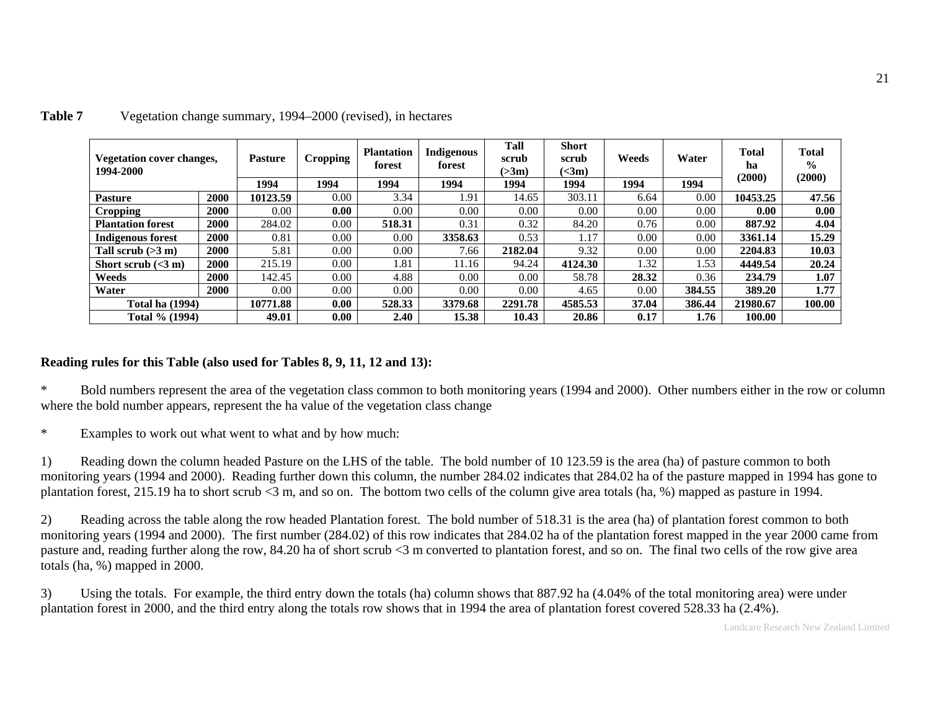| Vegetation cover changes,<br>1994-2000 |      | <b>Pasture</b> | <b>Cropping</b> | <b>Plantation</b><br>forest | <b>Indigenous</b><br>forest | Tall<br>scrub<br>( > 3m) | <b>Short</b><br>scrub<br>$\left(\text{<}3\text{m}\right)$ | Weeds | Water  | <b>Total</b><br>ha<br>(2000) | <b>Total</b><br>$\frac{6}{9}$<br>(2000) |
|----------------------------------------|------|----------------|-----------------|-----------------------------|-----------------------------|--------------------------|-----------------------------------------------------------|-------|--------|------------------------------|-----------------------------------------|
|                                        |      | 1994           | 1994            | 1994                        | 1994                        | 1994                     | 1994                                                      | 1994  | 1994   |                              |                                         |
| <b>Pasture</b>                         | 2000 | 10123.59       | $0.00\,$        | 3.34                        | 1.91                        | 14.65                    | 303.11                                                    | 6.64  | 0.00   | 10453.25                     | 47.56                                   |
| <b>Cropping</b>                        | 2000 | 0.00           | 0.00            | 0.00                        | 0.00                        | 0.00                     | 0.00                                                      | 0.00  | 0.00   | 0.00                         | 0.00                                    |
| <b>Plantation forest</b>               | 2000 | 284.02         | 0.00            | 518.31                      | 0.31                        | 0.32                     | 84.20                                                     | 0.76  | 0.00   | 887.92                       | 4.04                                    |
| <b>Indigenous forest</b>               | 2000 | 0.81           | $0.00\,$        | 0.00                        | 3358.63                     | 0.53                     | 1.17                                                      | 0.00  | 0.00   | 3361.14                      | 15.29                                   |
| Tall scrub $(>3 m)$                    | 2000 | 5.81           | $0.00\,$        | 0.00                        | 7.66                        | 2182.04                  | 9.32                                                      | 0.00  | 0.00   | 2204.83                      | 10.03                                   |
| Short scrub $(<3 m)$                   | 2000 | 215.19         | 0.00            | 1.81                        | 11.16                       | 94.24                    | 4124.30                                                   | 1.32  | 1.53   | 4449.54                      | 20.24                                   |
| Weeds                                  | 2000 | 142.45         | $0.00\,$        | 4.88                        | 0.00                        | 0.00                     | 58.78                                                     | 28.32 | 0.36   | 234.79                       | 1.07                                    |
| Water                                  | 2000 | $0.00\,$       | $0.00\,$        | $0.00\,$                    | 0.00                        | 0.00                     | 4.65                                                      | 0.00  | 384.55 | 389.20                       | 1.77                                    |
| <b>Total ha</b> (1994)                 |      | 10771.88       | 0.00            | 528.33                      | 3379.68                     | 2291.78                  | 4585.53                                                   | 37.04 | 386.44 | 21980.67                     | 100.00                                  |
| Total % (1994)                         |      | 49.01          | 0.00            | 2.40                        | 15.38                       | 10.43                    | 20.86                                                     | 0.17  | 1.76   | 100.00                       |                                         |

#### **Table 7** Vegetation change summary, 1994–2000 (revised), in hectares

#### **Reading rules for this Table (also used for Tables 8, 9, 11, 12 and 13):**

\* Bold numbers represent the area of the vegetation class common to both monitoring years (1994 and 2000). Other numbers either in the row or column where the bold number appears, represent the ha value of the vegetation class change

\* Examples to work out what went to what and by how much:

1) Reading down the column headed Pasture on the LHS of the table. The bold number of 10 123.59 is the area (ha) of pasture common to both monitoring years (1994 and 2000). Reading further down this column, the number 284.02 indicates that 284.02 ha of the pasture mapped in 1994 has gone toplantation forest, 215.19 ha to short scrub <3 m, and so on. The bottom two cells of the column give area totals (ha, %) mapped as pasture in 1994.

2) Reading across the table along the row headed Plantation forest. The bold number of 518.31 is the area (ha) of plantation forest common to both monitoring years (1994 and 2000). The first number (284.02) of this row indicates that 284.02 ha of the plantation forest mapped in the year 2000 came from pasture and, reading further along the row, 84.20 ha of short scrub <3 m converted to plantation forest, and so on. The final two cells of the row give area totals (ha, %) mapped in 2000.

3) Using the totals. For example, the third entry down the totals (ha) column shows that 887.92 ha (4.04% of the total monitoring area) were under plantation forest in 2000, and the third entry along the totals row shows that in 1994 the area of plantation forest covered 528.33 ha (2.4%).

Landcare Research New Zealand Limited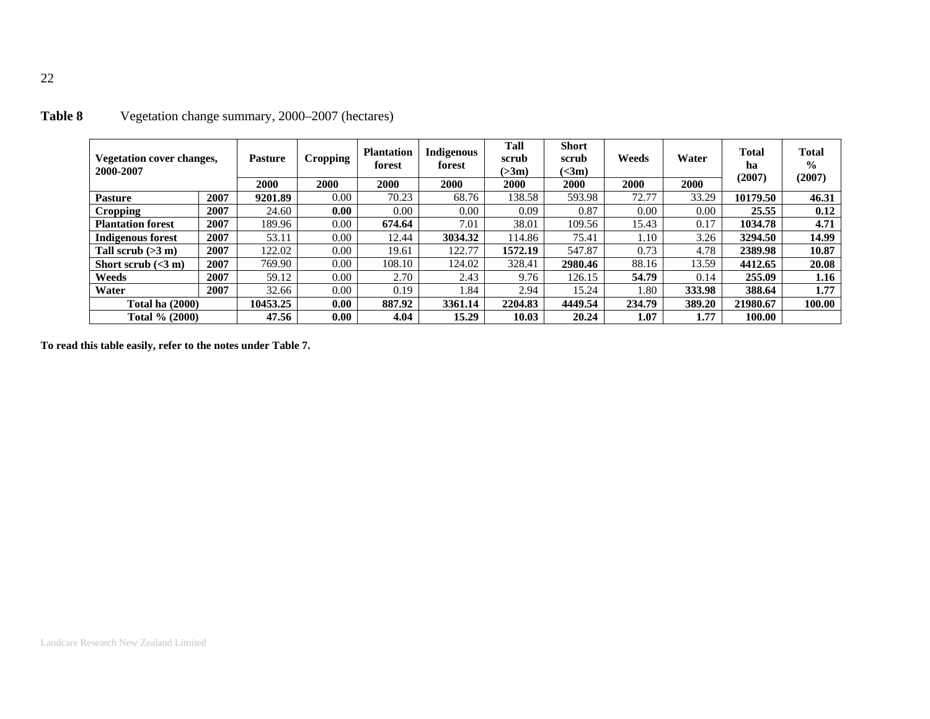| <b>Vegetation cover changes,</b><br>2000-2007 |      | Pasture  | <b>Cropping</b> | <b>Plantation</b><br>forest | <b>Indigenous</b><br>forest | Tall<br>scrub<br>( > 3m) | <b>Short</b><br>scrub<br>(<3m) | Weeds  | Water  | <b>Total</b><br>ha<br>(2007) | <b>Total</b><br>$\frac{0}{0}$<br>(2007) |
|-----------------------------------------------|------|----------|-----------------|-----------------------------|-----------------------------|--------------------------|--------------------------------|--------|--------|------------------------------|-----------------------------------------|
|                                               |      | 2000     | 2000            | 2000                        | <b>2000</b>                 | 2000                     | 2000                           | 2000   | 2000   |                              |                                         |
| <b>Pasture</b>                                | 2007 | 9201.89  | 0.00            | 70.23                       | 68.76                       | 138.58                   | 593.98                         | 72.77  | 33.29  | 10179.50                     | 46.31                                   |
| Cropping                                      | 2007 | 24.60    | 0.00            | 0.00                        | 0.00                        | 0.09                     | 0.87                           | 0.00   | 0.00   | 25.55                        | 0.12                                    |
| <b>Plantation forest</b>                      | 2007 | 189.96   | 0.00            | 674.64                      | 7.01                        | 38.01                    | 109.56                         | 15.43  | 0.17   | 1034.78                      | 4.71                                    |
| <b>Indigenous forest</b>                      | 2007 | 53.11    | 0.00            | 12.44                       | 3034.32                     | 114.86                   | 75.41                          | 1.10   | 3.26   | 3294.50                      | 14.99                                   |
| Tall scrub $(>3 m)$                           | 2007 | 122.02   | 0.00            | 19.61                       | 122.77                      | 1572.19                  | 547.87                         | 0.73   | 4.78   | 2389.98                      | 10.87                                   |
| Short scrub $(<3 m)$                          | 2007 | 769.90   | 0.00            | 108.10                      | 124.02                      | 328.41                   | 2980.46                        | 88.16  | 13.59  | 4412.65                      | 20.08                                   |
| Weeds                                         | 2007 | 59.12    | 0.00            | 2.70                        | 2.43                        | 9.76                     | 126.15                         | 54.79  | 0.14   | 255.09                       | 1.16                                    |
| Water                                         | 2007 | 32.66    | 0.00            | 0.19                        | 1.84                        | 2.94                     | 15.24                          | 1.80   | 333.98 | 388.64                       | 1.77                                    |
| <b>Total ha (2000)</b>                        |      | 10453.25 | 0.00            | 887.92                      | 3361.14                     | 2204.83                  | 4449.54                        | 234.79 | 389.20 | 21980.67                     | 100.00                                  |
| Total % (2000)                                |      | 47.56    | 0.00            | 4.04                        | 15.29                       | 10.03                    | 20.24                          | 1.07   | 1.77   | 100.00                       |                                         |

# **Table 8** Vegetation change summary, 2000–2007 (hectares)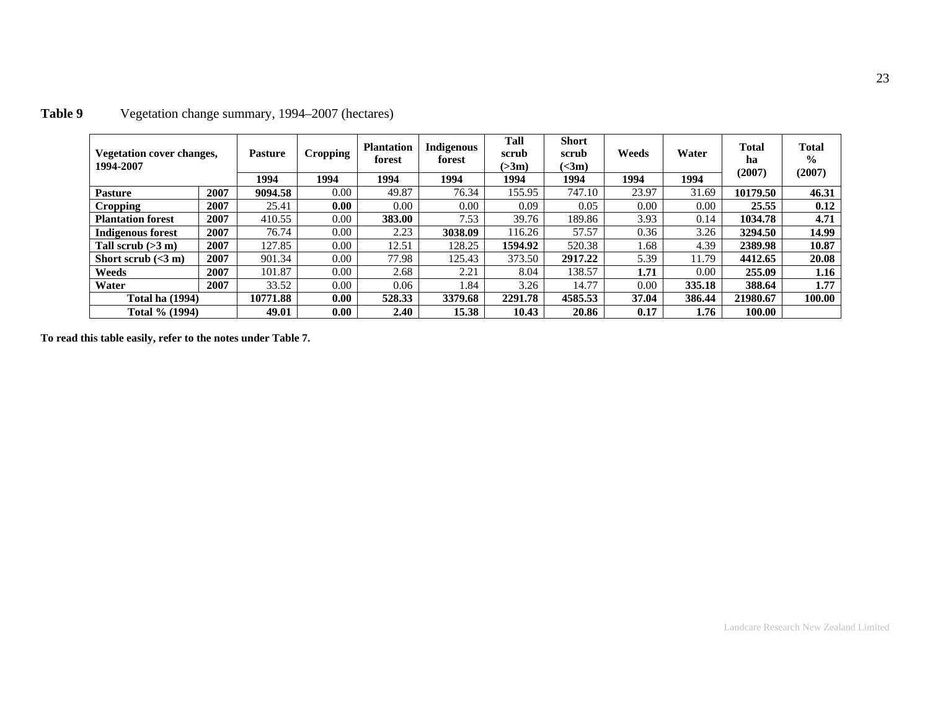| Vegetation cover changes,<br>1994-2007 |      | <b>Pasture</b> | <b>Cropping</b> | <b>Plantation</b><br>forest | <b>Indigenous</b><br>forest | Tall<br>scrub<br>(>3m) | <b>Short</b><br>scrub<br>$\left(\text{<}3\text{m}\right)$ | Weeds | Water      | <b>Total</b><br>ha<br>(2007) | <b>Total</b><br>$\frac{0}{0}$<br>(2007) |
|----------------------------------------|------|----------------|-----------------|-----------------------------|-----------------------------|------------------------|-----------------------------------------------------------|-------|------------|------------------------------|-----------------------------------------|
|                                        |      | 1994           | 1994            | 1994                        | 1994                        | 1994                   | 1994                                                      | 1994  | 1994       |                              |                                         |
| <b>Pasture</b>                         | 2007 | 9094.58        | 0.00            | 49.87                       | 76.34                       | 155.95                 | 747.10                                                    | 23.97 | 31.69      | 10179.50                     | 46.31                                   |
| <b>Cropping</b>                        | 2007 | 25.41          | 0.00            | 0.00                        | $0.00\,$                    | 0.09                   | 0.05                                                      | 0.00  | 0.00       | 25.55                        | 0.12                                    |
| <b>Plantation forest</b>               | 2007 | 410.55         | 0.00            | 383.00                      | 7.53                        | 39.76                  | 189.86                                                    | 3.93  | 0.14       | 1034.78                      | 4.71                                    |
| <b>Indigenous forest</b>               | 2007 | 76.74          | 0.00            | 2.23                        | 3038.09                     | 116.26                 | 57.57                                                     | 0.36  | 3.26       | 3294.50                      | 14.99                                   |
| Tall scrub $(>3 m)$                    | 2007 | 127.85         | 0.00            | 12.51                       | 128.25                      | 1594.92                | 520.38                                                    | 1.68  | 4.39       | 2389.98                      | 10.87                                   |
| Short scrub $(<3 m)$                   | 2007 | 901.34         | 0.00            | 77.98                       | 125.43                      | 373.50                 | 2917.22                                                   | 5.39  | 11.79      | 4412.65                      | 20.08                                   |
| Weeds                                  | 2007 | 101.87         | 0.00            | 2.68                        | 2.21                        | 8.04                   | 138.57                                                    | 1.71  | $0.00^{-}$ | 255.09                       | 1.16                                    |
| Water                                  | 2007 | 33.52          | 0.00            | 0.06                        | .84                         | 3.26                   | 14.77                                                     | 0.00  | 335.18     | 388.64                       | 1.77                                    |
| <b>Total ha (1994)</b>                 |      | 10771.88       | 0.00            | 528.33                      | 3379.68                     | 2291.78                | 4585.53                                                   | 37.04 | 386.44     | 21980.67                     | 100.00                                  |
| Total % (1994)                         |      | 49.01          | 0.00            | 2.40                        | 15.38                       | 10.43                  | 20.86                                                     | 0.17  | 1.76       | 100.00                       |                                         |

# **Table 9** Vegetation change summary, 1994–2007 (hectares)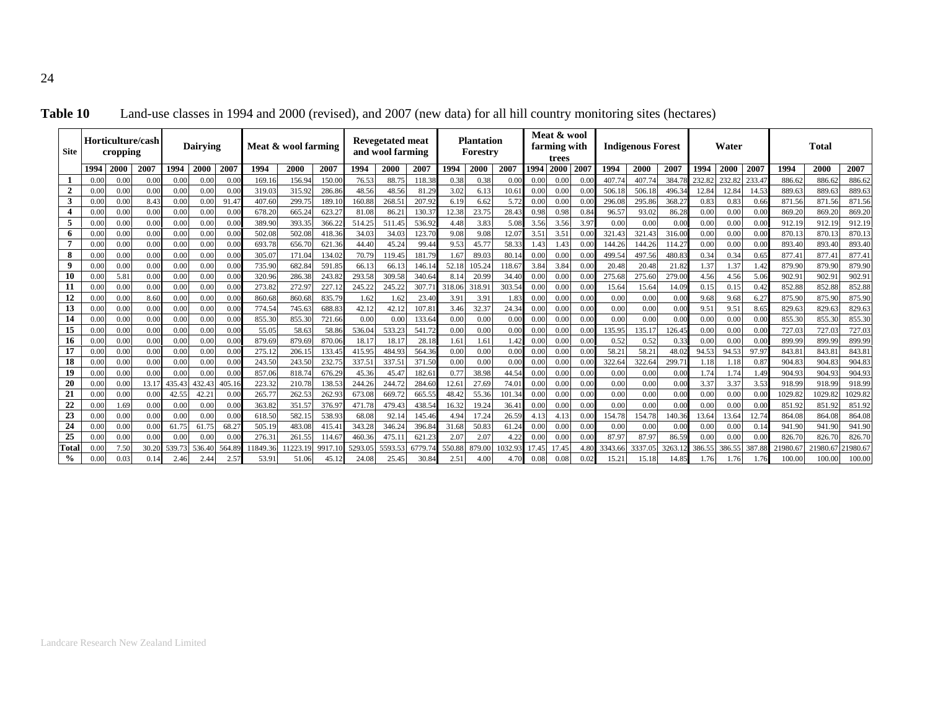| <b>Site</b>    |              | cropping     | Horticulture/cash |              | <b>Dairving</b> |              |                  | Meat & wool farming |                 |                | <b>Revegetated meat</b><br>and wool farming |                  |              | <b>Plantation</b><br>Forestry |               |              | Meat & wool<br>farming with<br>trees |              |              | <b>Indigenous Forest</b> |              |              | Water        |              |                  | <b>Total</b>    |                  |
|----------------|--------------|--------------|-------------------|--------------|-----------------|--------------|------------------|---------------------|-----------------|----------------|---------------------------------------------|------------------|--------------|-------------------------------|---------------|--------------|--------------------------------------|--------------|--------------|--------------------------|--------------|--------------|--------------|--------------|------------------|-----------------|------------------|
|                | 1994         | 2000         | 2007              | 1994         | 2000            | 2007         | 1994             | 2000                | 2007            | 1994           | 2000                                        | 2007             | 1994         | 2000                          | 2007          | 1994         | <b>2000</b>                          | 2007         | 1994         | 2000                     | <b>200</b>   | 1994         | 2000         | 2007         | 1994             | 2000            | 2007             |
|                | 0.0(         | 0.00         | 0.00              | 0.00         | 0.00            | 0.0(         | 169.16           | 156.94              | 150.0           | 76.53          | 88.75                                       | 118.38           | 0.38         | 0.38                          | 0.00          | 0.00         | 0.00                                 | 0.0          | 407.74       | 407.74                   | 384.         | 232.82       | 232.82       | 233.4        | 886.62           | 886.6           | 886.62           |
| $\overline{2}$ | 0.0(         | 0.00         | 0.00              | 0.00         | 0.00            | 0.00         | 319.03           | 315.92              | 286.86          | 48.56          | 48.56                                       | 81.29            | 3.02         | 6.13                          | 10.61         | 0.00         | 0.00                                 | 0.0          | 506.18       | 506.18                   | 496.3        | 12.84        | 12.84        | 14.53        | 889.63           | 889.6           | 889.63           |
| 3              | 0.0(         | 0.00         | 8.43              | 0.00         | 0.0             | 91.47        | 407.60           | 299.7               | 189.1           | 160.88         | 268.5                                       | 207.92           | 6.19         | 6.62                          | 5.72          | 0.00         | 0.00                                 | 0.0          | 296.0        | 295.86                   | 368.2        | 0.83         | 0.83         | 0.66         | 871.56           | 871.5           | 871.56           |
|                | 0.0(         | 0.00         | 0.00              | 0.00         | 0.00            | 0.00         | 678.20           | 665.24              | 623.27          | 81.08          | 86.21                                       | 130.3            | 12.38        | 23.75                         | 28.43         | 0.98         | 0.98                                 | 0.84         | 96.57        | 93.02                    | 86.28        | 0.00         | 0.00         | 0.00         | 869.20           | 869.20          | 869.20           |
| 5              | 0.00         | 0.00         | 0.00              | 0.00         | 0.00            | 0.00         | 389.90           | 393.3:              | 366.2           | 514.25         | 511.45                                      | 536.92           | 4.48         | 3.83                          | 5.08          | 3.56         | 3.56                                 | 3.97         | 0.00         | 0.00                     | 0.00         | 0.00         | 0.00         | 0.00         | 912.19           | 912.1           | 912.19           |
| 6              | 0.0(         | 0.00         | 0.00              | 0.00         | 0.00            | 0.00         | 502.08           | 502.0               | 418.36          | 34.03          | 34.03                                       | 123.70           | 9.08         | 9.08                          | 12.07         | 3.51         | 3.51                                 | 0.00         | 321.43       | 321.43                   | 316.00       | 0.00         | 0.00         | 0.00         | 870.13           | 870.1           | 870.13           |
| 7              | 0.0(         | 0.00         | 0.00              | 0.00         | 0.00            | 0.00         | 693.78           | 656.7               | 621.36          | 44.40          | 45.24                                       | 99.44            | 9.53         | 45.77                         | 58.33         | 1.43         | 1.43                                 | 0.00         | 144.26       | 144.26                   | 114.27       | 0.00         | 0.00         | 0.00         | 893.40           | 893.4           | 893.40           |
| 8              | 0.0(         | 0.00         | 0.00              | 0.00         | 0.00            | 0.00         | 305.07           | 171.0               | 134.0           | 70.79          | 119.45                                      | 181.79           | 1.67         | 89.03                         | 80.1          | 0.00         | 0.00                                 | 0.00         | 499.54       | 497.56                   | 480.8        | 0.34         | 0.34         | 0.65         | 877.4            | 877.4           | 877.4            |
|                | 0.0          | 0.00         | 0.00              | 0.00         | 0.00            | 0.00         | 735.90           | 682.8               | 591.8           | 66.13          | 66.13                                       | 146.14           | 52.18        | 105.24                        | 118.67        | 3.84         | 3.84                                 | 0.0          | 20.48        | 20.48                    | 21.82        | 1.37         | 1.37         | 1.42         | 879.90           | 879.9           | 879.90           |
| 10             | 0.0(         | 5.81         | 0.00              | 0.00         | 0.00            | 0.00         | 320.96           | 286.3               | 243.8           | 293.58         | 309.58                                      | 340.64           | 8.14         | 20.99                         | 34.40         | 0.00         | 0.00                                 | 0.0          | 275.68       | 275.60                   | 279.0        | 4.56         | 4.56         | 5.06         | 902.9            | 902.9           | 902.9            |
| 11             | 0.0(         | 0.00         | 0.00              | 0.00         | 0.00            | 0.00         | 273.82           | 272.9               | 227.1           | 245.22         | 245.22                                      | 307.7            | 318.06       | 318.91                        | 303.54        | 0.00         | 0.00                                 | 0.00         | 15.64        | 15.64                    | 14.09        | 0.15         | 0.15         | 0.42         | 852.88           | 852.8           | 852.88           |
| 12             | 0.00         | 0.00         | 8.60              | 0.00         | 0.00            | 0.00         | 860.68           | 860.6               | 835.79          | 1.62           | 1.62                                        | 23.40            | 3.91         | 3.91                          | 1.83          | 0.00         | 0.00                                 | 0.00         | 0.00         | 0.00                     | 0.00         | 9.68         | 9.68         | 6.27         | 875.90           | 875.90          | 875.90           |
| 13<br>14       | 0.00         | 0.00<br>0.00 | 0.00<br>0.00      | 0.00         | 0.00            | 0.00<br>0.00 | 774.54<br>855.30 | 745.63              | 688.8<br>721.66 | 42.12          | 42.12<br>0.00                               | 107.8            | 3.46<br>0.00 | 32.37<br>0.00                 | 24.34<br>0.00 | 0.00         | 0.00                                 | 0.00<br>0.00 | 0.00<br>0.00 | 0.00<br>0.00             | 0.00<br>0.00 | 9.5          | 9.51<br>0.00 | 8.65         | 829.63<br>855.30 | 829.6           | 829.63           |
| 15             | 0.0(<br>0.00 | 0.00         | 0.00              | 0.00<br>0.00 | 0.00<br>0.00    | 0.00         | 55.05            | 855.30<br>58.63     | 58.86           | 0.00<br>536.04 | 533.23                                      | 133.64<br>541.72 | 0.00         | 0.00                          | 0.00          | 0.00<br>0.00 | 0.00<br>0.00                         | 0.00         | 135.95       | 135.17                   | 126.45       | 0.00<br>0.00 | 0.00         | 0.00<br>0.00 | 727.03           | 855.30<br>727.0 | 855.30<br>727.03 |
| 16             | 0.0(         | 0.00         | 0.00              | 0.00         | 0.00            | 0.00         | 879.69           | 879.69              | 870.06          | $18.1^{\circ}$ | 18.17                                       | 28.18            | 1.61         | 1.61                          | 1.42          | 0.00         | 0.00                                 | 0.00         | 0.52         | 0.52                     | 0.33         | 0.00         | 0.00         | 0.00         | 899.99           | 899.99          | 899.99           |
| 17             | 0.00         | 0.00         | 0.00              | 0.00         | 0.00            | 0.00         | 275.12           | 206.1               | 133.4           | 415.95         | 484.93                                      | 564.36           | 0.00         | 0.00                          | 0.00          | 0.00         | 0.00                                 | 0.00         | 58.21        | 58.21                    | 48.0         | 94.53        | 94.53        | 97.97        | 843.8            | 843.8           | 843.8            |
| 18             | 0.0(         | 0.00         | 0.00              | 0.00         | 0.00            | 0.00         | 243.50           | 243.5               | 232.7           | 337.5          | 337.51                                      | 371.50           | 0.00         | 0.00                          | 0.00          | 0.00         | 0.00                                 | 0.0          | 322.64       | 322.64                   | 299.7        | 1.18         | 1.18         | 0.87         | 904.83           | 904.8           | 904.83           |
| 19             | 0.0(         | 0.00         | 0.00              | 0.00         | 0.00            | 0.00         | 857.06           | 818.7               | 676.29          | 45.36          | 45.47                                       | 182.6            | 0.77         | 38.98                         | 44.54         | 0.00         | 0.00                                 | 0.00         | 0.00         | 0.00                     | 0.00         | 1.74         | 1.74         | 1.49         | 904.93           | 904.9           | 904.9            |
| 20             | 0.00         | 0.00         | 13.1              | 435.43       | 432.4           | 405.16       | 223.32           | 210.7               | 138.5           | 244.26         | 244.72                                      | 284.60           | 12.61        | 27.69                         | 74.0          | 0.00         | 0.00                                 | 0.00         | 0.00         | 0.00                     | 0.00         | 3.37         | 3.37         | 3.53         | 918.99           | 918.9           | 918.99           |
| 21             | 0.00         | 0.00         | 0.00              | 42.55        | 42.21           | 0.00         | 265.77           | 262.5               | 262.9           | 673.08         | 669.72                                      | 665.55           | 48.42        | 55.36                         | 101.34        | 0.00         | 0.00                                 | 0.00         | 0.00         | 0.00                     | 0.00         | 0.00         | 0.00         | 0.00         | 1029.82          | 1029.8          | 1029.82          |
| 22             | 0.00         | 1.69         | 0.00              | 0.00         | 0.00            | 0.00         | 363.82           | 351.5               | 376.9           | 471.78         | 479.43                                      | 438.54           | 16.32        | 19.24                         | 36.4          | 0.00         | 0.00                                 | 0.00         | 0.00         | 0.00                     | 0.00         | 0.00         | 0.00         | 0.00         | 851.92           | 851.9           | 851.92           |
| 23             | 0.00         | 0.00         | 0.00              | 0.00         | 0.00            | 0.00         | 618.50           | 582.1               | 538.9           | 68.08          | 92.14                                       | 145.46           | 4.94         | 17.24                         | 26.59         | 4.13         | 4.13                                 | 0.00         | 154.78       | 154.78                   | 140.36       | 13.64        | 13.64        | 12.74        | 864.08           | 864.0           | 864.08           |
| 24             | 0.00         | 0.00         | 0.00              | 61.75        | 61.75           | 68.27        | 505.19           | 483.0               | 415.4           | 343.28         | 346.24                                      | 396.84           | 31.68        | 50.83                         | 61.24         | 0.00         | 0.00                                 | 0.00         | 0.00         | 0.00                     | 0.00         | 0.00         | 0.00         | 0.14         | 941.90           | 941.9           | 941.90           |
| 25             | 0.0          | 0.00         | 0.00              | 0.00         | 0.00            | 0.0(         | 276.3            | 261.5:              | 114.6           | 460.36         | 475.1                                       | 621.23           | 2.07         | 2.07                          | 4.22          | 0.00         | 0.00                                 | 0.0          | 87.97        | 87.97                    | 86.59        | 0.00         | 0.00         | 0.00         | 826.70           | 826.7           | 826.70           |
| Total          | 0.0(         | 7.50         | 30.2              | 539.7        | 536.40          | 564.89       | 1849.36          | 1223.19             | 9917.1          | 5293.0         | 5593.53                                     | 6779             | 550.88       | 879.00                        | 1032.9        | 17.45        | 17.45                                | 4.80         | 3343.66      | 3337.05                  | 3263.        | 386.5:       | 386.55       | 387.88       | 21980.6          | 21980.6         | 1980.67          |
| $\%$           | 0.00         | 0.03         | 0.1               | 2.46         | 2.44            | 2.57         | 53.91            | 51.06               | 45.1            | 24.08          | 25.45                                       | 30.84            | 2.51         | 4.00                          |               | 0.08         | 0.08                                 | 0.02         | 15.21        | 15.18                    |              |              |              | 1.76         | 100.00           | 100.0           | 100.00           |

**Table 10** Land-use classes in 1994 and 2000 (revised), and 2007 (new data) for all hill country monitoring sites (hectares)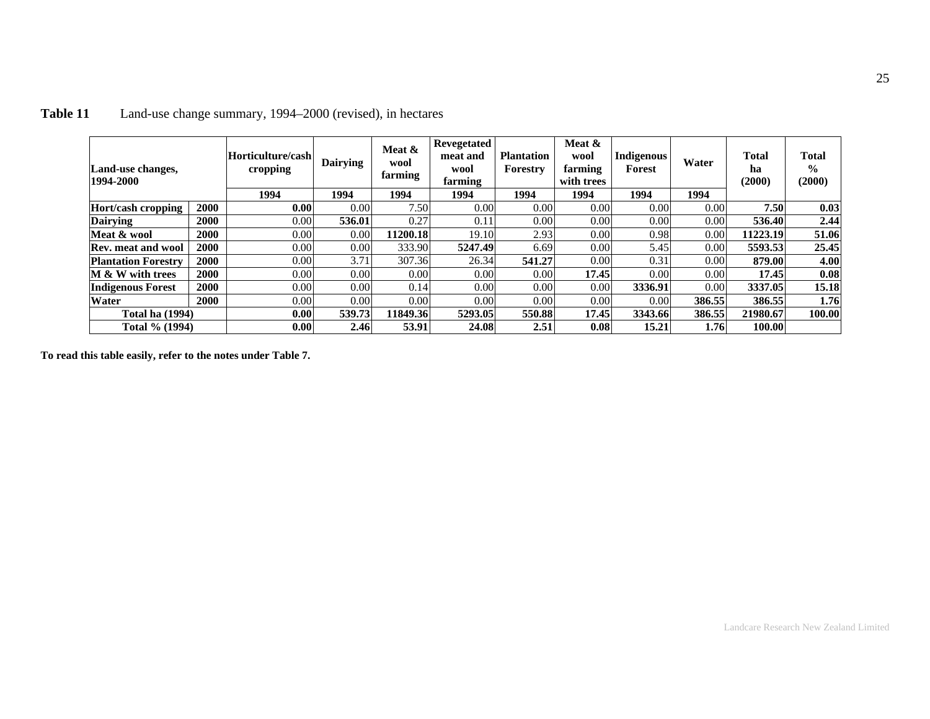| Land-use changes,<br>1994-2000 |             | Horticulture/cash<br>cropping<br>1994 | <b>Dairying</b><br>1994 | Meat &<br>wool<br>farming<br>1994 | <b>Revegetated</b><br>meat and<br>wool<br>farming<br>1994 | <b>Plantation</b><br>Forestry<br>1994 | Meat &<br>wool<br>farming<br>with trees<br>1994 | Indigenous<br>Forest<br>1994 | Water<br>1994 | <b>Total</b><br>ha<br>(2000) | <b>Total</b><br>$\frac{6}{9}$<br>(2000) |
|--------------------------------|-------------|---------------------------------------|-------------------------|-----------------------------------|-----------------------------------------------------------|---------------------------------------|-------------------------------------------------|------------------------------|---------------|------------------------------|-----------------------------------------|
| Hort/cash cropping             | <b>2000</b> | 0.00                                  | 0.00                    | 7.50                              | 0.00                                                      | 0.00                                  | 0.00                                            | 0.00                         | 0.00          | 7.50                         | 0.03                                    |
| <b>Dairying</b>                | 2000        | 0.00                                  | 536.01                  | 0.27                              | 0.11                                                      | 0.00                                  | 0.00                                            | 0.00                         | 0.00          | 536.40                       | 2.44                                    |
| Meat & wool                    | <b>2000</b> | 0.00                                  | 0.00                    | 11200.18                          | 19.10                                                     | 2.93                                  | 0.00                                            | 0.98                         | 0.00          | 11223.19                     | 51.06                                   |
| Rev. meat and wool             | <b>2000</b> | 0.00                                  | 0.00                    | 333.90                            | 5247.49                                                   | 6.69                                  | 0.00                                            | 5.45                         | 0.00          | 5593.53                      | 25.45                                   |
| <b>Plantation Forestry</b>     | <b>2000</b> | 0.00                                  | 3.71                    | 307.36                            | 26.34                                                     | 541.27                                | 0.00                                            | 0.31                         | 0.00          | 879.00                       | 4.00                                    |
| M & W with trees               | <b>2000</b> | 0.00                                  | 0.00                    | 0.00                              | 0.00                                                      | 0.00                                  | 17.45                                           | 0.00                         | 0.00          | 17.45                        | 0.08                                    |
| <b>Indigenous Forest</b>       | <b>2000</b> | 0.00                                  | 0.00                    | 0.14                              | 0.00                                                      | 0.00                                  | 0.00                                            | 3336.91                      | 0.00          | 3337.05                      | 15.18                                   |
| Water                          | <b>2000</b> | 0.00                                  | 0.00                    | 0.00                              | 0.00                                                      | 0.00                                  | 0.00                                            | 0.00                         | 386.55        | 386.55                       | 1.76                                    |
| <b>Total ha (1994)</b>         |             | 0.00                                  | 539.73                  | 11849.36                          | 5293.05                                                   | 550.88                                | 17.45                                           | 3343.66                      | 386.55        | 21980.67                     | 100.00                                  |
| Total % (1994)                 |             | 0.00                                  | 2.46                    | 53.91                             | 24.08                                                     | 2.51                                  | 0.08                                            | 15.21                        | 1.76          | 100.00                       |                                         |

# **Table 11** Land-use change summary, 1994–2000 (revised), in hectares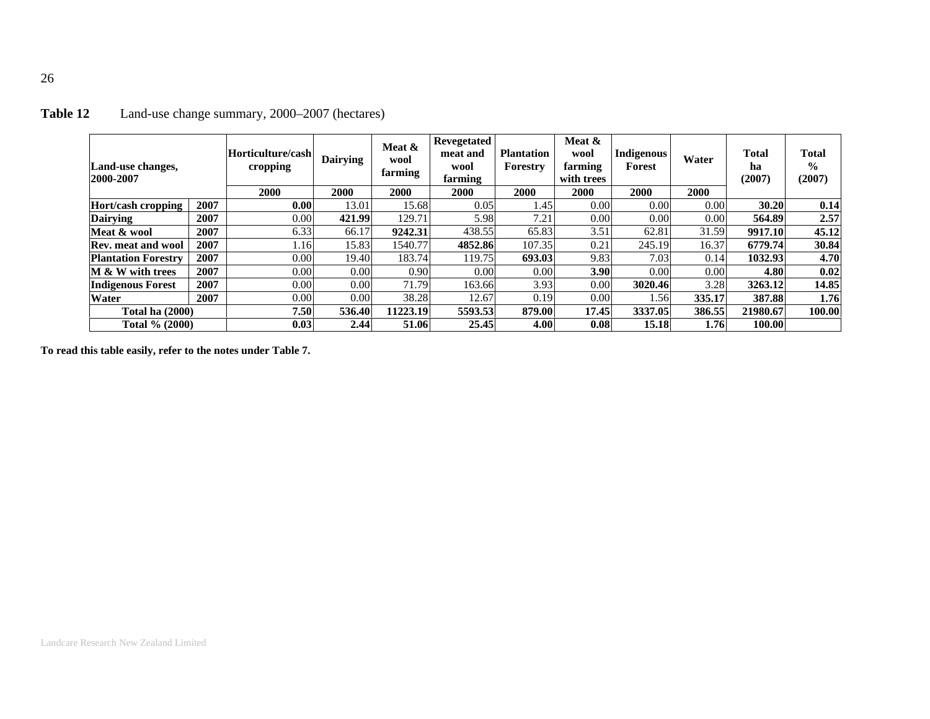| Land-use changes,<br>2000-2007 |      | Horticulture/cash<br>cropping | <b>Dairying</b> | Meat &<br>wool<br>farming | Revegetated<br>meat and<br>wool<br>farming | <b>Plantation</b><br>Forestry | Meat &<br>wool<br>farming<br>with trees | <b>Indigenous</b><br>Forest | Water  | <b>Total</b><br>ha<br>(2007) | <b>Total</b><br>$\frac{0}{0}$<br>(2007) |
|--------------------------------|------|-------------------------------|-----------------|---------------------------|--------------------------------------------|-------------------------------|-----------------------------------------|-----------------------------|--------|------------------------------|-----------------------------------------|
|                                |      | 2000                          | 2000            | 2000                      | 2000                                       | 2000                          | 2000                                    | <b>2000</b>                 | 2000   |                              |                                         |
| Hort/cash cropping             | 2007 | 0.00                          | 13.01           | 15.68                     | 0.05                                       | 1.45                          | 0.00                                    | 0.00                        | 0.00   | 30.20                        | 0.14                                    |
| <b>Dairving</b>                | 2007 | 0.00                          | 421.99          | 129.71                    | 5.98                                       | 7.21                          | 0.00                                    | 0.00                        | 0.00   | 564.89                       | 2.57                                    |
| Meat & wool                    | 2007 | 6.33                          | 66.17           | 9242.31                   | 438.55                                     | 65.83                         | 3.51                                    | 62.81                       | 31.59  | 9917.10                      | 45.12                                   |
| <b>Rev. meat and wool</b>      | 2007 | 1.16                          | 15.83           | 1540.77                   | 4852.86                                    | 107.35                        | 0.21                                    | 245.19                      | 16.37  | 6779.74                      | 30.84                                   |
| <b>Plantation Forestry</b>     | 2007 | 0.00                          | 19.40           | 183.74                    | 119.75                                     | 693.03                        | 9.83                                    | 7.03                        | 0.14   | 1032.93                      | 4.70                                    |
| M & W with trees               | 2007 | 0.00                          | 0.00            | 0.90                      | 0.00                                       | 0.00                          | 3.90                                    | 0.00                        | 0.00   | 4.80                         | 0.02                                    |
| <b>Indigenous Forest</b>       | 2007 | 0.00                          | 0.00            | 71.79                     | 163.66                                     | 3.93                          | 0.00                                    | 3020.46                     | 3.28   | 3263.12                      | 14.85                                   |
| <b>Water</b>                   | 2007 | 0.00                          | 0.00            | 38.28                     | 12.67                                      | 0.19                          | 0.00                                    | .56                         | 335.17 | 387.88                       | 1.76                                    |
| <b>Total ha (2000)</b>         |      | 7.50                          | 536.40          | 11223.19                  | 5593.53                                    | 879.00                        | 17.45                                   | 3337.05                     | 386.55 | 21980.67                     | 100.00                                  |
| Total % (2000)                 |      | 0.03                          | 2.44            | 51.06                     | 25.45                                      | 4.00                          | 0.08                                    | 15.18                       | 1.76   | 100.00                       |                                         |

# **Table 12** Land-use change summary, 2000–2007 (hectares)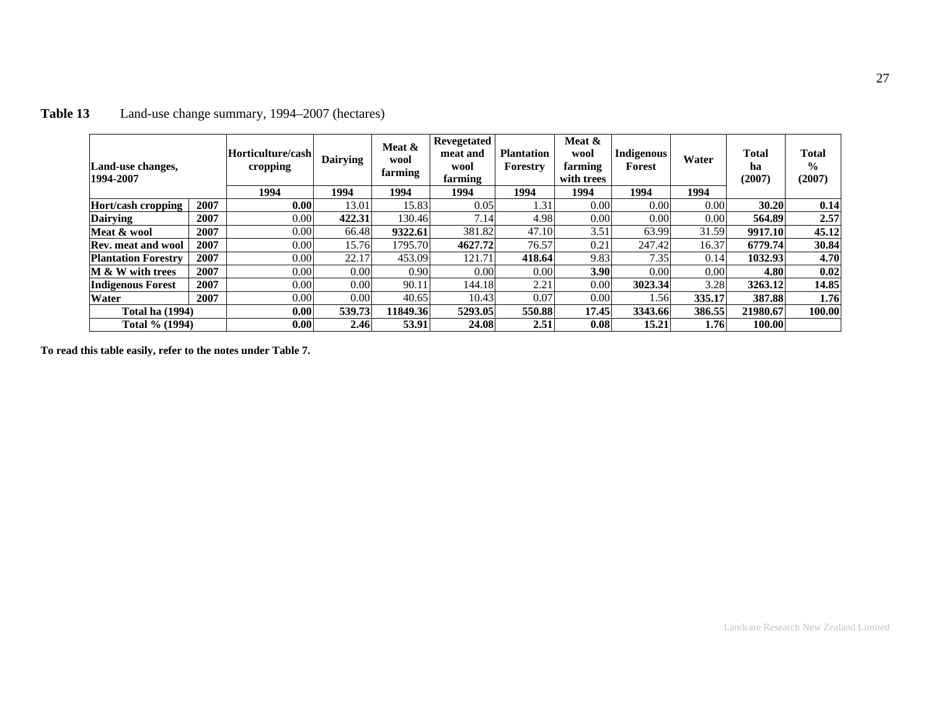| Land-use changes,<br>1994-2007 |      | Horticulture/cash<br>cropping<br>1994 | <b>Dairying</b><br>1994 | Meat &<br>wool<br>farming<br>1994 | Revegetated<br>meat and<br>wool<br>farming<br>1994 | <b>Plantation</b><br>Forestry<br>1994 | Meat &<br>wool<br>farming<br>with trees<br>1994 | <b>Indigenous</b><br>Forest<br>1994 | Water<br>1994 | <b>Total</b><br>ha<br>(2007) | <b>Total</b><br>$\frac{6}{6}$<br>(2007) |
|--------------------------------|------|---------------------------------------|-------------------------|-----------------------------------|----------------------------------------------------|---------------------------------------|-------------------------------------------------|-------------------------------------|---------------|------------------------------|-----------------------------------------|
| Hort/cash cropping             | 2007 | 0.00 <sub>l</sub>                     | 13.01                   | 15.83                             | 0.05                                               | 1.31                                  | 0.00                                            | 0.00                                | 0.00          | 30.20                        | 0.14                                    |
| <b>Dairying</b>                | 2007 | 0.00                                  | 422.31                  | 130.46                            | 7.14                                               | 4.98                                  | 0.00                                            | 0.00                                | 0.00          | 564.89                       | 2.57                                    |
| Meat & wool                    | 2007 | 0.00                                  | 66.48                   | 9322.61                           | 381.82                                             | 47.10                                 | 3.51                                            | 63.99                               | 31.59         | 9917.10                      | 45.12                                   |
| <b>Rev. meat and wool</b>      | 2007 | 0.00                                  | 15.76                   | 1795.70                           | 4627.72                                            | 76.57                                 | 0.21                                            | 247.42                              | 16.37         | 6779.74                      | 30.84                                   |
| <b>Plantation Forestry</b>     | 2007 | 0.00                                  | 22.17                   | 453.09                            | 121.71                                             | 418.64                                | 9.83                                            | 7.35                                | 0.14          | 1032.93                      | 4.70                                    |
| M & W with trees               | 2007 | 0.00                                  | 0.00                    | 0.90                              | 0.00                                               | 0.00                                  | 3.90                                            | 0.00                                | 0.00          | 4.80                         | 0.02                                    |
| <b>Indigenous Forest</b>       | 2007 | 0.00                                  | 0.00                    | 90.11                             | 144.18                                             | 2.21                                  | 0.00                                            | 3023.34                             | 3.28          | 3263.12                      | 14.85                                   |
| Water                          | 2007 | 0.00                                  | 0.00                    | 40.65                             | 10.43                                              | 0.07                                  | 0.00                                            | .56                                 | 335.17        | 387.88                       | 1.76                                    |
| <b>Total ha (1994)</b>         |      | 0.00 <sub>l</sub>                     | 539.73                  | 11849.36                          | 5293.05                                            | 550.88                                | 17.45                                           | 3343.66                             | 386.55        | 21980.67                     | 100.00                                  |
| Total % (1994)                 |      | 0.00 <sub>l</sub>                     | 2.46                    | 53.91                             | 24.08                                              | 2.51                                  | 0.08                                            | 15.21                               | 1.76          | 100.00                       |                                         |

# **Table 13** Land-use change summary, 1994–2007 (hectares)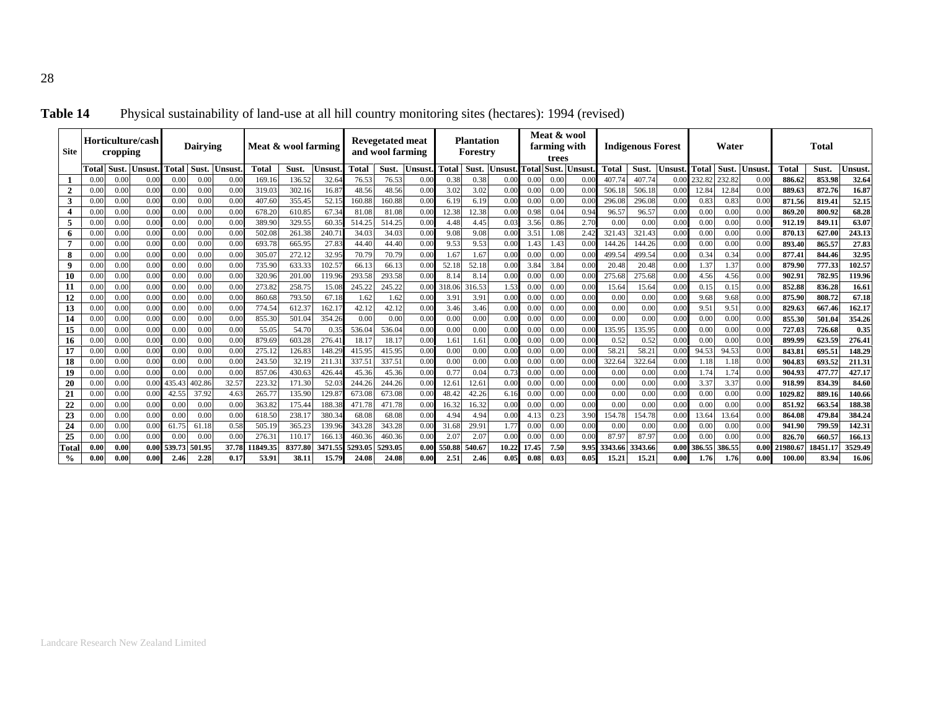| <b>Site</b>            |              | cropping     | Horticulture/cash |               | <b>Dairving</b> |                | Meat & wool farming |                 |                 |                  | <b>Revegetated meat</b><br>and wool farming |              |               | <b>Plantation</b><br>Forestry |                          |              | Meat & wool<br>farming with<br>trees |              |               | <b>Indigenous Forest</b> |              |              | Water         |              |                    | Total            |                  |
|------------------------|--------------|--------------|-------------------|---------------|-----------------|----------------|---------------------|-----------------|-----------------|------------------|---------------------------------------------|--------------|---------------|-------------------------------|--------------------------|--------------|--------------------------------------|--------------|---------------|--------------------------|--------------|--------------|---------------|--------------|--------------------|------------------|------------------|
|                        | Total        | Sust.        | <b>Unsust</b>     | Total         | Sust.           | <b>Jnsus</b> t | Total               | Sust.           | Jnsust          | <b>Total</b>     | Sust.                                       | Jnsust       | <b>Total</b>  | Sust.                         | Jnsust                   | Total        | <b>Sust</b>                          | Unsust       | Total         | Sust.                    | Jnsust       | <b>Total</b> | Sust.         | Unsus        | Total              | Sust.            | Unsust           |
|                        | 0.00         | 0.00         | 0.0               | 0.00          | 0.00            | 0.00           | 169.1               | 136.52          | 32.64           | 76.53            | 76.53                                       | 0.00         | 0.38          | 0.38                          | 0.00                     | 0.OC         | 0.00                                 | 0.0          | 407.74        | 407.74                   | 0.0          | 232.82       | 232.82        | 0.0          | 886.62             | 853.98           | 32.64            |
| $\overline{2}$         | 0.00         | 0.00         | 0.00              | 0.00          | 0.00            | 0.00           | 319.03              | 302.16          | 16.87           | 48.56            | 48.56                                       | 0.00         | 3.02          | 3.02                          | 0.00                     | 0.00         | 0.00                                 | 0.00         | 506.18        | 506.18                   | 0.00         | 12.84        | 12.84         | 0.00         | 889.63             | 872.76           | 16.87            |
| 3                      | 0.0(         | 0.00         | 0.00              | 0.00          | 0.00            | 0.00           | 407.60              | 355.45          | 52.1            | 160.88           | 160.88                                      | 0.00         | 6.19          | 6.19                          | 0.00                     | 0.00         | 0.00                                 | 0.00         | 296.08        | 296.08                   | 0.00         | 0.83         | 0.83          | 0.00         | 871.56             | 819.41           | 52.15            |
| 4                      | 0.00         | 0.00         | 0.0               | 0.00          | 0.00            | 0.00           | 678.20              | 610.85          | 67.34           | 81.08            | 81.08                                       | 0.00         | 12.38         | 12.38                         | 0.00                     | 0.98         | 0.04                                 | 0.94         | 96.57         | 96.57                    | 0.00         | 0.00         | 0.00          | 0.00         | 869.20             | 800.92           | 68.28            |
| 5                      | 0.00         | 0.00         | 0.00              | 0.00          | 0.00            | 0.00           | 389.90              | 329.55          | 60.35           | 514.25           | 514.25                                      | 0.00         | 4.48          | 4.45                          | 0.03                     | 3.56         | 0.86                                 | 2.70         | 0.00          | 0.00                     | 0.00         | 0.00         | 0.00          | 0.00         | 912.19             | 849.11           | 63.07            |
| 6                      | 0.0(         | 0.00         | 0.00              | 0.00          | 0.00            | 0.00           | 502.08              | 261.38          | 240.7           | 34.03            | 34.03                                       | 0.00         | 9.08          | 9.08                          | 0.00                     | 3.51         | 1.08                                 | 2.42         | 321.43        | 321.43                   | 0.00         | 0.00         | 0.00          | 0.00         | 870.13             | 627.00           | 243.13           |
| 7                      | 0.00         | 0.00         | 0.00              | 0.00          | 0.00            | 0.00           | 693.78              | 665.95          | 27.83           | 44.40            | 44.40                                       | 0.00         | 9.53          | 9.53                          | 0.00                     | 1.43         | 1.43                                 | 0.00         | 144.26        | 144.26                   | 0.00         | 0.00         | 0.00          | 0.00         | 893.4              | 865.57           | 27.83            |
| 8                      | 0.00         | 0.00         | 0.00              | 0.00          | 0.00            | 0.00           | 305.07              | 272.12          | 32.95           | 70.79            | 70.79                                       | 0.00         | 1.67          | 1.67                          | 0.00                     | 0.00         | 0.00                                 | 0.00         | 499.54        | 499.54                   | 0.00         | 0.34         | 0.34          | 0.00         | 877.41             | 844.46           | 32.95            |
| 9                      | 0.00         | 0.00         | 0.00              | 0.00          | 0.00            | 0.00           | 735.90              | 633.33          | $102.5^{\circ}$ | 66.13            | 66.13                                       | 0.00         | 52.18         | 52.18                         | 0.00                     | 3.84         | 3.84                                 | 0.00         | 20.48         | 20.48                    | 0.00         | 1.37         | 1.37          | 0.00         | 879.90             | 777.33           | 102.57           |
| 10                     | 0.00         | 0.00         | 0.0               | 0.00          | 0.00            | 0.00           | 320.96              | 201.00          | 119.96          | 293.58           | 293.58                                      | 0.00         | 8.14          | 8.14                          | 0.00                     | 0.00         | 0.00                                 | 0.00         | 275.68        | 275.68                   | 0.00         | 4.56         | 4.56          | 0.00         | 902.91             | 782.9            | 119.96           |
| 11                     | 0.00         | 0.00         | 0.00              | 0.00          | 0.00            | 0.00           | 273.82              | 258.75          | 15.08           | 245.22           | 245.22                                      | 0.00         | 318.06        | 316.53                        | 1.53                     | 0.00         | 0.00                                 | 0.00         | 15.64         | 15.64                    | 0.00         | 0.15         | 0.15          | 0.00         | 852.88             | 836.28           | 16.61            |
| 12                     | 0.00         | 0.00         | 0.00              | 0.00          | 0.00            | 0.00           | 860.68              | 793.50          | 67.18           | 1.62             | 1.62                                        | 0.00         | 3.91          | 3.91                          | 0.00                     | 0.00         | 0.00                                 | 0.00         | 0.00          | 0.00                     | 0.00         | 9.68         | 9.68          | 0.00         | 875.90             | 808.72           | 67.18            |
| 13                     | 0.0(         | 0.00         | 0.00              | 0.00          | 0.00            | 0.00           | 774.54              | 612.37          | 162.1           | 42.12            | 42.12                                       | 0.00         | 3.46          | 3.46                          | 0.00                     | 0.00         | 0.00                                 | 0.00         | 0.00          | 0.00                     | 0.00         | 9.51         | 9.51          | 0.00         | 829.63             | 667.46           | 162.17           |
| 14                     | 0.00         | 0.00         | 0.0               | 0.00          | 0.00            | 0.00           | 855.30              | 501.0           | 354.26          | 0.00             | 0.00                                        | 0.00         | 0.00          | 0.00                          | 0.00                     | 0.0(         | 0.00                                 | 0.00         | 0.00          | 0.00                     | 0.00         | 0.00         | 0.00          | 0.00         | 855.30             | 501.0            | 354.26           |
| 15                     | 0.00         | 0.00         | 0.0               | 0.00          | 0.00            | 0.00           | 55.05               | 54.70           | 0.35            | 536.04           | 536.04                                      | 0.00         | 0.00          | 0.00                          | 0.0(                     | 0.00         | 0.00                                 | 0.00         | 135.95        | 135.95                   | 0.00         | 0.00         | 0.00          | 0.00         | 727.03             | 726.68           | 0.35             |
| 16                     | 0.00         | 0.00         | 0.00              | 0.00          | 0.00            | 0.00           | 879.69              | 603.28          | 276.4           | 18.17            | 18.17                                       | 0.00         | 1.61          | 1.61                          | 0.00                     | 0.00         | 0.00                                 | 0.00         | 0.52          | 0.52                     | 0.00         | 0.00         | 0.00          | 0.00         | 899.99             | 623.59           | 276.41           |
| 17                     | 0.00         | 0.00         | 0.00              | 0.00          | 0.00            | 0.00           | 275.13              | 126.83          | 148.2           | 415.95           | 415.95                                      | 0.00         | 0.00          | 0.00                          | 0.00                     | 0.00         | 0.00                                 | 0.00         | 58.21         | 58.21                    | 0.00         | 94.53        | 94.53         | 0.00         | 843.81             | 695.5            | 148.29           |
| 18                     | 0.00         | 0.00         | 0.00              | 0.00          | 0.00            | 0.00           | 243.50              | 32.19           | 211.3           | 337.51           | 337.51                                      | 0.00         | 0.00          | 0.00                          | 0.00                     | 0.00         | 0.00                                 | 0.00         | 322.64        | 322.64                   | 0.00         | 1.18         | 1.18          | 0.00         | 904.83             | 693.52           | 211.31           |
| 19                     | 0.00         | 0.00         | 0.00              | 0.00          | 0.00            | 0.00           | 857.0               | 430.63          | 426.4           | 45.36            | 45.36                                       | 0.00         | 0.77          | 0.04                          | 0.73                     | 0.00         | 0.00                                 | 0.00         | 0.00          | 0.00                     | 0.00         | 1.74         | 1.74          | 0.00         | 904.93             | 477.7            | 427.17           |
| 20                     | 0.00         | 0.00         | 0.00              | 435.4         | 402.86          | 32.57          | 223.32              | 171.30          | 52.03           | 244.26           | 244.26                                      | 0.00         | 12.61         | 12.61                         | 0.00                     | 0.00         | 0.00                                 | 0.00         | 0.00          | 0.00                     | 0.00         | 3.37         | 3.37          | 0.00         | 918.99             | 834.39           | 84.60            |
| 21                     | 0.00         | 0.00         | 0.0               | 42.55         | 37.92           | 4.63           | 265.7'              | 135.90          | 129.8           | 673.08           | 673.08<br>471.78                            | 0.00         | 48.42         | 42.26                         | 6.16                     | 0.00         | 0.00                                 | 0.00         | 0.00          | 0.00                     | 0.00         | 0.00         | 0.00          | 0.00         | 1029.82            | 889.16           | 140.66           |
| 22                     | 0.00         | 0.00         | 0.00              | 0.00          | 0.00            | 0.00           | 363.82              | 175.44          | 188.3           | 471.78           |                                             | 0.00         | 16.32         | 16.32                         | 0.00                     | 0.00         | 0.00                                 | 0.00         | 0.00          | 0.00                     | 0.00         | 0.00         | 0.00          | 0.00         | 851.92             | 663.54           | 188.38           |
| 23                     | 0.00         | 0.00         | 0.00<br>0.0       | 0.00          | 0.00            | 0.00           | 618.50              | 238.1           | 380.3           | 68.08            | 68.08<br>343.28                             | 0.00         | 4.94          | 4.94                          | 0.00                     | 4.1          | 0.23                                 | 3.90         | 154.78        | 154.78                   | 0.00<br>0.00 | 13.64        | 13.64<br>0.00 | 0.00         | 864.08             | 479.84           | 384.24<br>142.31 |
| 24                     | 0.00<br>0.00 | 0.00         | 0.00              | 61.75<br>0.00 | 61.18<br>0.00   | 0.58<br>0.00   | 505.19<br>276.3     | 365.23<br>110.1 | 139.96<br>166.  | 343.28<br>460.36 | 460.36                                      | 0.00<br>0.00 | 31.68<br>2.07 | 29.91<br>2.07                 | $1.7^{^{\circ}}$<br>0.00 | 0.00<br>0.0( | 0.00                                 | 0.00<br>0.00 | 0.00<br>87.97 | 0.00<br>87.97            | 0.00         | 0.00<br>0.00 | 0.00          | 0.00<br>0.00 | 941.90             | 799.59           | 166.13           |
| 25                     | 0.00         | 0.00<br>0.00 | 0.00              | 539.73        | 501.95          | 37.78          | 1849.3              | 8377.80         | 3471.5          | 5293.05          | 5293.05                                     | 0.00         | 550.88        | 540.67                        | 10.22                    | 17.45        | 0.00<br>7.50                         | 9.95         | 3343.66       | 3343.66                  | 0.00         | 386.55       | 386.55        | 0.00         | 826.70<br>21980.67 | 660.5<br>18451.1 | 3529.49          |
| Total<br>$\frac{0}{0}$ | 0.00         | 0.00         | 0.00              | 2.46          | 2.28            | 0.17           | 53.91               | 38.11           | 15.79           | 24.08            | 24.08                                       | 0.00         | 2.51          | 2.46                          | 0.05                     | 0.08         | 0.03                                 | 0.05         | 15.21         | 15.21                    | 0.00         | 1.76         | 1.76          | 0.00         | 100.00             | 83.94            | 16.06            |
|                        |              |              |                   |               |                 |                |                     |                 |                 |                  |                                             |              |               |                               |                          |              |                                      |              |               |                          |              |              |               |              |                    |                  |                  |

**Table 14** Physical sustainability of land-use at all hill country monitoring sites (hectares): 1994 (revised)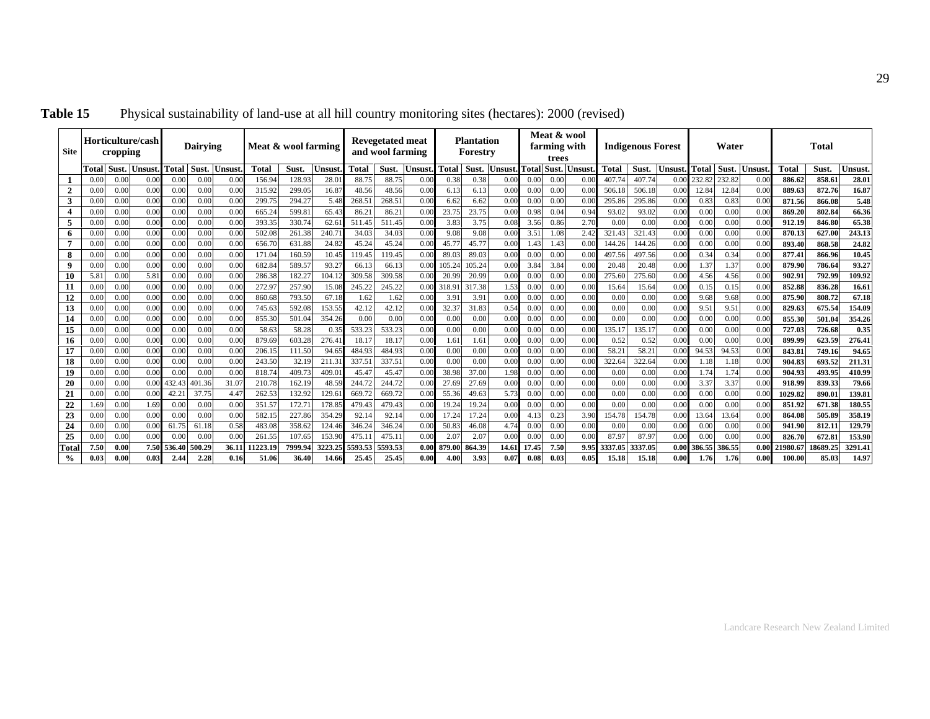| <b>Site</b>             |       | cropping | Horticulture/cash |              | <b>Dairving</b> |                | Meat & wool farming |         |         |         | <b>Revegetated meat</b><br>and wool farming |                   |        | <b>Plantation</b><br>Forestry |        |               | Meat & wool<br>farming with<br>trees |        |              | <b>Indigenous Forest</b> |       |                  | Water  |        |          | Total  |         |
|-------------------------|-------|----------|-------------------|--------------|-----------------|----------------|---------------------|---------|---------|---------|---------------------------------------------|-------------------|--------|-------------------------------|--------|---------------|--------------------------------------|--------|--------------|--------------------------|-------|------------------|--------|--------|----------|--------|---------|
|                         | Total | Sust.    | Unsus             | <b>Total</b> | <b>Sust</b>     | Jnsust         | Total               | Sust.   | Jnsust  | Total   | Sust.                                       | Unsust            | Total  | Sust.                         | Unsust | <b>Total</b>  | Sust.                                | Unsust | <b>Total</b> | Sust.                    | Unsus | <b>Total</b>     | Sust.  | Jnsust | Total    | Sust.  | Unsust  |
|                         | 0.00  | 0.00     | 0.0               | 0.0(         | 0.00            | 0.0(           | 156.94              | 128.93  | 28.0    | 88.75   | 88.75                                       | 0.00              | 0.38   | 0.38                          | 0.00   | 0.00          | 0.00                                 | 0.0(   | 407.74       | 407.74                   |       | 232.82           | 232.82 | 0.00   | 886.62   | 858.6  | 28.01   |
| $\overline{2}$          | 0.00  | 0.00     | 0.00              | 0.00         | 0.00            | 0.0(           | 315.92              | 299.05  | 16.87   | 48.56   | 48.56                                       | 0.00              | 6.13   | 6.13                          | 0.00   | 0.00          | 0.00                                 | 0.00   | 506.1        | 506.18                   | 0.00  | 12.84            | 12.84  | 0.00   | 889.63   | 872.76 | 16.87   |
| 3                       | 0.0   | 0.00     | 0.0(              | 0.00         | 0.00            | 0.0(           | 299.75              | 294.27  | 5.48    | 268.51  | 268.51                                      | 0.00              | 6.62   | 6.62                          | 0.00   | 0.00          | 0.00                                 | 0.0(   | 295.8        | 295.86                   | 0.00  | 0.83             | 0.83   | 0.00   | 871.56   | 866.08 | 5.48    |
| $\overline{\mathbf{4}}$ | 0.00  | 0.00     | 0.00              | 0.00         | 0.00            | 0.0(           | 665.24              | 599.8   | 65.43   | 86.21   | 86.21                                       | 0.00              | 23.75  | 23.75                         | 0.00   | 0.98          | 0.04                                 | 0.94   | 93.0         | 93.02                    | 0.00  | 0.00             | 0.00   | 0.00   | 869.20   | 802.84 | 66.36   |
| 5                       | 0.0   | 0.00     | 0.00              | 0.00         | 0.00            | 0.0(           | 393.35              | 330.74  | 62.6    | 511.45  | 511.45                                      | 0.00              | 3.83   | 3.75                          | 0.08   | 3.56          | 0.86                                 | 2.70   | 0.00         | 0.00                     | 0.00  | 0.00             | 0.00   | 0.00   | 912.19   | 846.80 | 65.38   |
| 6                       | 0.0   | 0.00     | 0.00              | 0.00         | 0.00            | 0.0(           | 502.08              | 261.38  | 240.7   | 34.03   | 34.03                                       | 0.00              | 9.08   | 9.08                          | 0.00   | 3.51          | 1.08                                 | 2.42   | 321.43       | 321.43                   | 0.00  | 0.00             | 0.00   | 0.00   | 870.13   | 627.00 | 243.13  |
|                         | 0.0   | 0.00     | 0.0(              | 0.00         | 0.00            | 0.0(           | 656.70              | 631.88  | 24.82   | 45.24   | 45.24                                       | 0.00              | 45.77  | 45.77                         | 0.00   | $1.4^{\circ}$ | 1.43                                 | 0.0(   | 144.26       | 144.26                   | 0.00  | 0.00             | 0.00   | 0.00   | 893.40   | 868.58 | 24.82   |
| 8                       | 0.0   | 0.00     | 0.0(              | 0.00         | 0.00            | 0.0(           | 171.0               | 160.59  | 10.45   | 119.45  | 119.45                                      | 0.00              | 89.03  | 89.03                         | 0.00   | 0.00          | 0.00                                 | 0.0(   | 497.5        | 497.56                   | 0.00  | 0.34             | 0.34   | 0.00   | 877.41   | 866.96 | 10.45   |
| 9                       | 0.00  | 0.00     | 0.0(              | 0.00         | 0.00            | 0.0(           | 682.84              | 589.57  | 93.21   | 66.13   | 66.13                                       | 0.00              | 105.24 | 105.24                        | 0.00   | 3.84          | 3.84                                 | 0.00   | 20.48        | 20.48                    | 0.00  | 1.37             | 1.37   | 0.00   | 879.90   | 786.64 | 93.27   |
| 10                      | 5.81  | 0.00     | 5.81              | 0.00         | 0.00            | 0.00           | 286.38              | 182.27  | 104.12  | 309.58  | 309.58                                      | 0.00              | 20.99  | 20.99                         | 0.00   | 0.00          | 0.00                                 | 0.0(   | 275.60       | 275.60                   | 0.00  | 4.56             | 4.56   | 0.00   | 902.91   | 792.99 | 109.92  |
| 11                      | 0.0   | 0.00     | 0.0(              | 0.00         | 0.00            | 0.0(           | 272.97              | 257.90  | 15.08   | 245.22  | 245.22                                      | 0.00              | 318.91 | 317.38                        | 1.53   | 0.00          | 0.00                                 | 0.0(   | 15.64        | 15.64                    | 0.00  | 0.13             | 0.15   | 0.00   | 852.88   | 836.28 | 16.61   |
| 12                      | 0.0   | 0.00     | 0.00              | 0.00         | 0.00            | 0.0(           | 860.68              | 793.50  | 67.18   | 1.62    | 1.62                                        | 0.00              | 3.91   | 3.91                          | 0.00   | 0.00          | 0.00                                 | 0.00   | 0.00         | 0.00                     | 0.00  | 9.68             | 9.68   | 0.00   | 875.90   | 808.72 | 67.18   |
| 13                      | 0.00  | 0.00     | 0.00              | 0.00         | 0.00            | 0.0(           | 745.63              | 592.08  | 153.55  | 42.12   | 42.12                                       | 0.00              | 32.37  | 31.83                         | 0.54   | 0.00          | 0.00                                 | 0.00   | 0.00         | 0.00                     | 0.00  | 9.5              | 9.51   | 0.00   | 829.63   | 675.5  | 154.09  |
| 14                      | 0.00  | 0.00     | 0.00              | 0.00         | 0.00            | 0.0(           | 855.30              | 501.04  | 354.26  | 0.00    | 0.00                                        | 0.00              | 0.00   | 0.00                          | 0.00   | 0.00          | 0.00                                 | 0.00   | 0.00         | 0.00                     | 0.00  | 0.00             | 0.00   | 0.00   | 855.30   | 501.04 | 354.26  |
| 15                      | 0.0   | 0.00     | 0.0(              | 0.00         | 0.00            | 0.00           | 58.63               | 58.28   | 0.35    | 533.23  | 533.23                                      | 0.00              | 0.00   | 0.00                          | 0.00   | 0.0           | 0.00                                 | 0.00   | 135.1'       | 135.17                   | 0.00  | 0.00             | 0.00   | 0.00   | 727.03   | 726.68 | 0.35    |
| 16                      | 0.0   | 0.00     | 0.00              | 0.00         | 0.00            | 0.0(           | 879.69              | 603.28  | 276.4   | 18.1'   | 18.17                                       | 0.00              | 1.61   | 1.61                          | 0.00   | 0.00          | 0.00                                 | 0.00   | 0.52         | 0.52                     | 0.00  | 0.00             | 0.00   | 0.00   | 899.99   | 623.59 | 276.41  |
| 17                      | 0.00  | 0.00     | 0.0(              | 0.00         | 0.00            | 0.0(           | 206.1               | 111.50  | 94.6    | 484.93  | 484.93                                      | 0.00              | 0.00   | 0.00                          | 0.00   | 0.00          | 0.00                                 | 0.00   | 58.2         | 58.21                    | 0.00  | 94.53            | 94.53  | 0.00   | 843.8    | 749.1  | 94.65   |
| 18                      | 0.00  | 0.00     | 0.00              | 0.00         | 0.00            | 0.0(           | 243.50              | 32.19   | 211.3   | 337.51  | 337.51                                      | 0.00              | 0.00   | 0.00                          | 0.00   | 0.00          | 0.00                                 | 0.0(   | 322.64       | 322.64                   | 0.00  | 1.18             | 1.18   | 0.00   | 904.83   | 693.52 | 211.31  |
| 19                      | 0.00  | 0.00     | 0.0(              | 0.00         | 0.00            | 0.0(           | 818.74              | 409.73  | 409.0   | 45.47   | 45.47                                       | 0.00              | 38.98  | 37.00                         | 1.98   | 0.00          | 0.00                                 | 0.00   | 0.00         | 0.00                     | 0.00  | 1.74             | 1.74   | 0.00   | 904.93   | 493.95 | 410.99  |
| 20                      | 0.0   | 0.00     | 0.00              | 432.43       | 401.36          | $31.0^{\circ}$ | 210.78              | 162.19  | 48.59   | 244.72  | 244.72                                      | 0.00              | 27.69  | 27.69                         | 0.00   | 0.00          | 0.00                                 | 0.00   | 0.00         | 0.00                     | 0.00  | 3.37             | 3.37   | 0.00   | 918.99   | 839.33 | 79.66   |
| 21                      | 0.00  | 0.00     | 0.00              | 42.21        | 37.75           | $4.4^{\circ}$  | 262.53              | 132.92  | 129.6   | 669.72  | 669.72                                      | 0.00              | 55.36  | 49.63                         | 5.73   | 0.00          | 0.00                                 | 0.00   | 0.00         | 0.00                     | 0.00  | 0.00             | 0.00   | 0.00   | 1029.82  | 890.01 | 139.81  |
| 22                      | 1.69  | 0.00     | 1.69              | 0.00         | 0.00            | 0.0(           | 351.57              | 172.7   | 178.85  | 479.43  | 479.43                                      | 0.00              | 19.24  | 19.24                         | 0.00   | 0.00          | 0.00                                 | 0.00   | 0.00         | 0.00                     | 0.00  | 0.00             | 0.00   | 0.00   | 851.92   | 671.38 | 180.5   |
| 23                      | 0.00  | 0.00     | 0.00              | 0.00         | 0.00            | 0.0(           | 582.15              | 227.86  | 354.29  | 92.14   | 92.14                                       | 0.00              | 17.24  | 17.24                         | 0.00   | 4.1           | 0.23                                 | 3.90   | 54.78        | 154.78                   | 0.00  | 13.64            | 13.64  | 0.00   | 864.08   | 505.89 | 358.19  |
| 24                      | 0.00  | 0.00     | 0.0(              | 61.75        | 61.18           | 0.58           | 483.08              | 358.62  | 124.46  | 346.24  | 346.24                                      | 0.00              | 50.8   | 46.08                         | 4.74   | 0.00          | 0.00                                 | 0.00   | 0.00         | 0.00                     | 0.00  | 0.00             | 0.00   | 0.00   | 941.90   | 812.1  | 129.79  |
| 25                      | 0.00  | 0.00     | 0.0(              | 0.00         | 0.00            | 0.0(           | 261.55              | 107.65  | 153.90  | 475.1   | 475.11                                      | 0.00              | 2.07   | 2.07                          | 0.00   | 0.0           | 0.00                                 | 0.00   | 87.9         | 87.97                    | 0.00  | 0.00             | 0.00   | 0.00   | 826.70   | 672.8  | 153.90  |
| Tota                    | 7.5(  | 0.00     | 7.50              | 536.40       | 500.29          | 36.11          | 11223.19            | 7999.94 | 3223.25 | 5593.53 | 5593.53                                     | 0.00 <sub>l</sub> | 879.00 | 864.39                        | 14.61  | 17.4          | 7.50                                 | 9.95   | 3337.05      | 3337.05                  | 0.00  | 386.55           | 386.55 | 0.00   | 21980.67 | 8689.2 | 3291.41 |
| $\%$                    | 0.03  | 0.00     | 0.03              | 2.44         | 2.28            | 0.16           | 51.06               | 36.40   | 14.66   | 25.45   | 25.45                                       | 0.00              | 4.00   | 3.93                          | 0.07   | 0.08          | 0.03                                 | 0.05   | 15.18        | 15.18                    | 0.00  | 1.7 <sub>0</sub> | 1.76   | 0.00   | 100.00   | 85.03  | 14.97   |

Table 15 Physical sustainability of land-use at all hill country monitoring sites (hectares): 2000 (revised)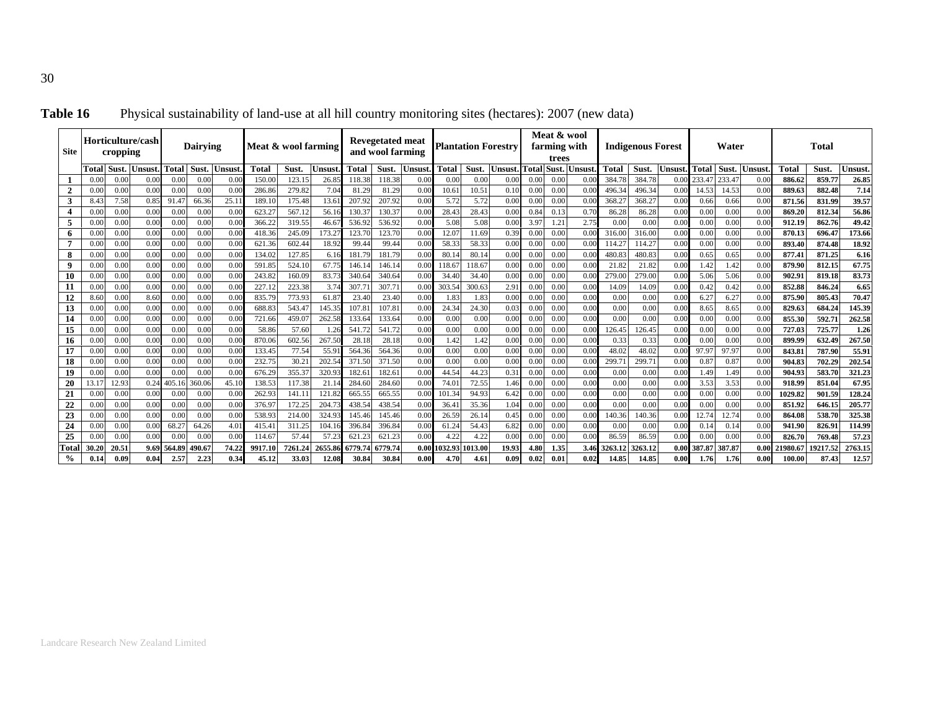| <b>Site</b>    |              | cropping     | Horticulture/cash |                | <b>Dairving</b> |              | Meat & wool farming |                  |                |                 | <b>Revegetated meat</b><br>and wool farming |               |                 |                | <b>Plantation Forestry</b> |              | Meat & wool<br>farming with<br>trees |              |              | <b>Indigenous Forest</b> |              |               | Water         |              |                   | <b>Total</b>     |                  |
|----------------|--------------|--------------|-------------------|----------------|-----------------|--------------|---------------------|------------------|----------------|-----------------|---------------------------------------------|---------------|-----------------|----------------|----------------------------|--------------|--------------------------------------|--------------|--------------|--------------------------|--------------|---------------|---------------|--------------|-------------------|------------------|------------------|
|                | Total        | Sust.        | <b>Unsust</b>     | <b>Total</b>   | Sust.           | Unsust       | Total               | Sust.            | Unsust         | Total           | Sust.                                       | <b>Unsust</b> | <b>Total</b>    | Sust.          | <b>Unsust</b>              | Total        | <b>Sust</b>                          | Unsust       | <b>Total</b> | Sust.                    | Unsust       | <b>Total</b>  | Sust.         | Unsust       | <b>Total</b>      | Sust.            | Unsust           |
|                | 0.00         | 0.00         | 0.00              | 0.00           | 0.00            | 0.00         | 150.00              | 123.15           | 26.85          | 118.38          | 118.38                                      | 0.00          | 0.00            | 0.00           | 0.0(                       | 0.00         | 0.00                                 | 0.00         | 384.78       | 384.78                   | 0.00         | 233.4         | 233.47        | 0.0          | 886.62            | 859.77           | 26.85            |
| $\overline{2}$ | 0.00         | 0.00         | 0.00              | 0.00           | 0.00            | 0.00         | 286.86              | 279.82           | 7.04           | 81.29           | 81.29                                       | 0.00          | 10.61           | 10.51          | 0.10                       | 0.00         | 0.00                                 | 0.00         | 496.34       | 496.34                   | 0.00         | 14.53         | 14.53         | 0.00         | 889.63            | 882.48           | 7.14             |
| 3              | 8.43         | 7.58         | $0.8^{\circ}$     | 91.47          | 66.36           | 25.1         | 189.10              | 175.48           | 13.61          | 207.9           | 207.92                                      | 0.00          | 5.72            | 5.72           | 0.00                       | 0.0(         | 0.00                                 | 0.0(         | 368.2        | 368.27                   | 0.00         | 0.66          | 0.66          | 0.0(         | 871.56            | 831.99           | 39.57            |
| $\overline{4}$ | 0.00         | 0.00         | 0.00              | 0.00           | 0.00            | 0.00         | 623.27              | 567.1            | 56.16          | 130.3           | 130.37                                      | 0.00          | 28.43           | 28.43          | 0.00                       | 0.84         | 0.13                                 | 0.70         | 86.28        | 86.28                    | 0.00         | 0.00          | 0.00          | 0.0(         | 869.20            | 812.34           | 56.86            |
| 5              | 0.00         | 0.00         | 0.00              | 0.00           | 0.00            | 0.00         | 366.22              | 319.55           | 46.67          | 536.92          | 536.92                                      | 0.00          | 5.08            | 5.08           | 0.00                       | 3.97         | 1.21                                 | 2.75         | 0.00         | 0.00                     | 0.00         | 0.00          | 0.00          | 0.0(         | 912.19            | 862.76           | 49.42            |
| 6              | 0.00         | 0.00         | 0.00              | 0.00           | 0.00            | 0.00         | 418.36              | 245.09           | 173.27         | 123.7           | 123.70                                      | 0.00          | 12.07           | 11.69          | 0.39                       | 0.00         | 0.00                                 | 0.00         | 316.00       | 316.00                   | 0.00         | 0.00          | 0.00          | 0.0(         | 870.13            | 696.47           | 173.66           |
| $\overline{7}$ | 0.00         | 0.00         | 0.00              | 0.00           | 0.00            | 0.00         | 621.36              | 602.44           | 18.92          | 99.44           | 99.44                                       | 0.00          | 58.33           | 58.33          | 0.00                       | 0.00         | 0.00                                 | 0.00         | 114.27       | 114.27                   | 0.00         | 0.00          | 0.00          | 0.0(         | 893.4             | 874.48           | 18.92            |
| 8              | 0.00         | 0.00         | 0.00              | 0.00           | 0.00            | 0.00         | 134.02              | 127.85           | 6.16           | 181.7           | 181.79                                      | 0.00          | 80.14           | 80.14          | 0.00                       | 0.00         | 0.00                                 | 0.0(         | 480.83       | 480.83                   | 0.00         | 0.65          | 0.65          | 0.0(         | 877.41            | 871.25           | 6.16             |
| 9              | 0.00         | 0.00         | 0.00              | 0.00           | 0.00            | 0.00         | 591.85              | 524.10           | 67.75          | 146.1           | 146.14                                      | 0.00          | 118.67          | 118.67         | 0.00                       | 0.00         | 0.00                                 | 0.00         | 21.82        | 21.82                    | 0.00         | 1.42          | 1.42          | 0.0(         | 879.90            | 812.15           | 67.75            |
| 10             | 0.00         | 0.00         | 0.0(              | 0.00           | 0.00            | 0.00         | 243.82              | 160.09           | 83.73          | 340.6           | 340.64                                      | 0.00          | 34.40           | 34.40          | 0.0(                       | 0.0(         | 0.00                                 | 0.0(         | 279.00       | 279.00                   | 0.00         | 5.06          | 5.06          | 0.0(         | 902.91            | 819.18           | 83.73            |
| 11             | 0.00         | 0.00         | 0.00              | 0.00           | 0.00            | 0.00         | 227.12              | 223.38           | 3.74           | 307.7           | 307.71                                      | 0.00          | 303.54          | 300.63         | 2.9                        | 0.00         | 0.00                                 | 0.0(         | 14.09        | 14.09                    | 0.00         | 0.42          | 0.42          | 0.0(         | 852.88            | 846.24           | 6.65             |
| 12             | 8.60         | 0.00         | 8.60              | 0.00           | 0.00            | 0.00         | 835.79              | 773.93           | 61.87          | 23.40           | 23.40                                       | 0.00          | 1.83            | 1.83           | 0.0(                       | 0.00         | 0.00                                 | 0.00         | 0.00         | 0.00                     | 0.00         | 6.27          | 6.27          | 0.0(         | 875.90            | 805.43           | 70.47            |
| 13             | 0.00         | 0.00         | 0.00              | 0.00           | 0.00            | 0.00         | 688.83              | 543.47           | 145.35         | 107.8           | 07.81                                       | 0.00          | 24.34           | 24.30          | 0.03                       | 0.0(         | 0.00                                 | 0.00         | 0.00         | 0.00                     | 0.00         | 8.65          | 8.65          | 0.0(         | 829.63            | 684.24           | 145.39           |
| 14             | 0.00         | 0.00         | 0.0(              | 0.00           | 0.00            | 0.00         | 721.66              | 459.07           | 262.58         | 133.64          | 133.64                                      | 0.00          | 0.00            | 0.00           | 0.00                       | 0.0(         | 0.00                                 | 0.00         | 0.00         | 0.00                     | 0.00         | 0.00          | 0.00          | 0.0(         | 855.30            | 592.7            | 262.58           |
| 15             | 0.00         | 0.00         | 0.00              | 0.00           | 0.00            | 0.00         | 58.86               | 57.60            | 1.26           | 541.7           | 541.72                                      | 0.00          | 0.00            | 0.00           | 0.0(                       | 0.00         | 0.00                                 | 0.00         | 126.45       | 126.45                   | 0.00         | 0.00          | 0.00          | 0.0(         | 727.03            | 725.77           | 1.26             |
| 16             | 0.00         | 0.00         | 0.00              | 0.00           | 0.00            | 0.00         | 870.06              | 602.56           | 267.50         | 28.18           | 28.18                                       | 0.00          | 1.42            | 1.42           | 0.00                       | 0.00         | 0.00                                 | 0.00         | 0.33         | 0.33                     | 0.00         | 0.00          | 0.00          | 0.00         | 899.99            | 632.49           | 267.50           |
| 17             | 0.00         | 0.00         | 0.00              | 0.00           | 0.00            | 0.00         | 133.45              | 77.54            | 55.91          | 564.36          | 564.36                                      | 0.00          | 0.00            | 0.00           | 0.00                       | 0.00         | 0.00                                 | 0.00         | 48.02        | 48.02                    | 0.00         | 97.97         | 97.97         | 0.0(         | 843.81            | 787.90           | 55.91            |
| 18             | 0.00         | 0.00         | 0.00              | 0.00           | 0.00            | 0.00         | 232.75              | 30.2             | 202.54         | 371.50          | 371.50                                      | 0.00          | 0.00            | 0.00           | 0.00                       | 0.0(         | 0.00                                 | 0.00         | 299.7        | 299.71                   | 0.00         | 0.87          | 0.87          | 0.00         | 904.83            | 702.29           | 202.54           |
| 19             | 0.00         | 0.00         | 0.00              | 0.00           | 0.00            | 0.00         | 676.29              | 355.37           | 320.93         | 182.6           | 182.61                                      | 0.00          | 44.54           | 44.23          | 0.31                       | 0.0(         | 0.00                                 | 0.00         | 0.00         | 0.00                     | 0.00         | 1.49          | 1.49          | 0.0(         | 904.93            | 583.70           | 321.23           |
| 20             | 13.1'        | 12.93        | 0.24              | 405.16         | 360.06          | 45.10        | 138.53              | 117.38           | 21.14          | 284.6           | 284.60                                      | 0.00          | 74.01           | 72.55          | 1.46                       | 0.00         | 0.00                                 | 0.00         | 0.00         | 0.00                     | 0.00         | 3.53          | 3.53          | 0.00         | 918.99<br>1029.82 | 851.04           | 67.95            |
| 21             | 0.00         | 0.00         | 0.00<br>0.00      | 0.00           | 0.00            | 0.00<br>0.00 | 262.93<br>376.9     | 141.1            | 121.82         | 665.5<br>438.54 | 665.55<br>438.54                            | 0.00<br>0.00  | 101.34<br>36.41 | 94.93          | 6.42                       | 0.00         | 0.00                                 | 0.00<br>0.00 | 0.00<br>0.00 | 0.00<br>0.00             | 0.00<br>0.00 | 0.00          | 0.00<br>0.00  | 0.0          |                   | 901.59           | 128.24           |
| 22             | 0.00<br>0.00 | 0.00<br>0.00 | 0.00              | 0.00<br>0.00   | 0.00<br>0.00    | 0.00         | 538.9               | 172.25<br>214.00 | 204.<br>324.93 | 145.4           |                                             | 0.00          | 26.59           | 35.36<br>26.14 | 1.04<br>0.45               | 0.00<br>0.00 | 0.00<br>0.00                         | 0.0(         | 140.36       | 140.36                   | 0.00         | 0.00<br>12.74 |               | 0.0(         | 851.92<br>864.08  | 646.15<br>538.70 | 205.77           |
| 23             | 0.00         | 0.00         | 0.00              | 68.27          | 64.26           | 4.01         | 415.41              | 311.25           | 104.1          | 396.84          | 145.46<br>396.84                            | 0.00          | 61.24           | 54.43          | 6.82                       | 0.0(         | 0.00                                 | 0.00         | 0.00         | 0.00                     | 0.00         | 0.14          | 12.74<br>0.14 | 0.0(<br>0.0( | 941.90            | 826.91           | 325.38<br>114.99 |
| 24             | 0.00         | 0.00         | 0.00              | 0.00           | 0.00            | 0.00         | 114.67              | 57.44            | 57.23          | 621             | 621.23                                      | 0.00          | 4.22            | 4.22           | 0.00                       | 0.00         | 0.00                                 | 0.00         | 86.59        | 86.59                    | 0.00         | 0.00          | 0.00          | 0.0          | 826.70            | 769.48           | 57.23            |
| 25<br>Total    | 30.20        | 20.51        | 9.69              |                | 490.6           | 74.22        | 9917.10             | 7261.24          | 2655.86        | 6779.7          | 6779.74                                     | 0.00          | 1032.93         | 1013.00        | 19.93                      | 4.80         | 1.35                                 | 3.46         | 3263.12      | 3263.12                  | 0.00         | 387.8         | 387.87        | 0.00         | 21980.67          | 19217.52         | 2763.15          |
| $\frac{0}{0}$  | 0.14         | 0.09         | 0.04              | 564.89<br>2.57 | 2.23            | 0.34         | 45.12               | 33.03            | 12.08          | 30.84           | 30.84                                       | 0.00          | 4.70            | 4.61           | 0.09                       | 0.02         | 0.01                                 | 0.02         | 14.85        | 14.85                    | 0.00         | 1.76          | 1.76          | 0.00         | 100.00            | 87.43            | 12.57            |
|                |              |              |                   |                |                 |              |                     |                  |                |                 |                                             |               |                 |                |                            |              |                                      |              |              |                          |              |               |               |              |                   |                  |                  |

Table 16 Physical sustainability of land-use at all hill country monitoring sites (hectares): 2007 (new data)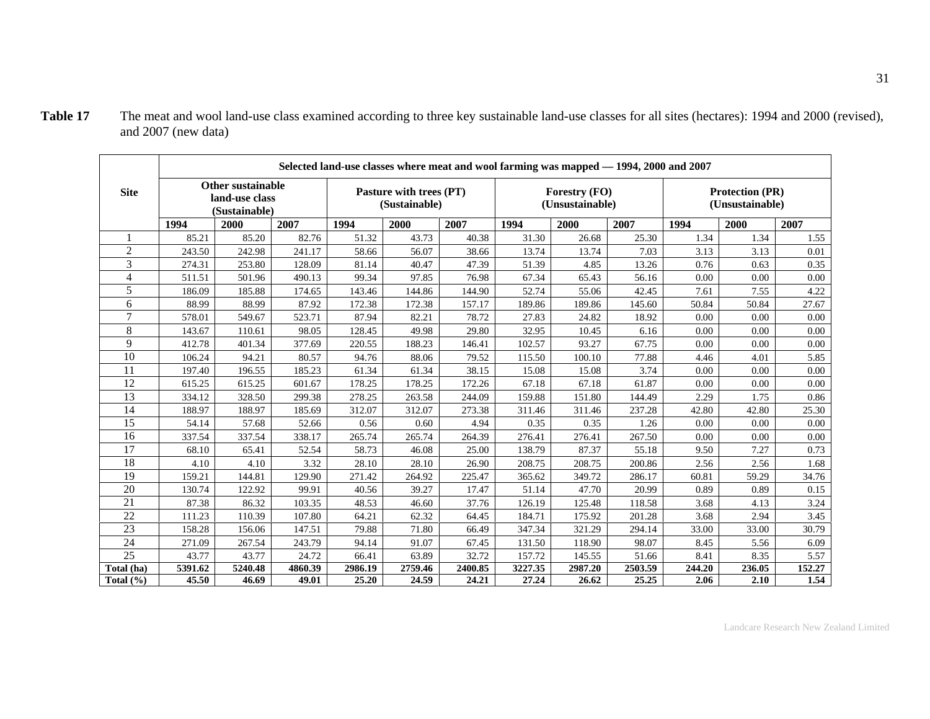|                         |         |                                                             |         |         |                                          |         |         | Selected land-use classes where meat and wool farming was mapped - 1994, 2000 and 2007 |         |        |                                           |          |
|-------------------------|---------|-------------------------------------------------------------|---------|---------|------------------------------------------|---------|---------|----------------------------------------------------------------------------------------|---------|--------|-------------------------------------------|----------|
| <b>Site</b>             |         | <b>Other sustainable</b><br>land-use class<br>(Sustainable) |         |         | Pasture with trees (PT)<br>(Sustainable) |         |         | Forestry (FO)<br>(Unsustainable)                                                       |         |        | <b>Protection (PR)</b><br>(Unsustainable) |          |
|                         | 1994    | 2000                                                        | 2007    | 1994    | 2000                                     | 2007    | 1994    | 2000                                                                                   | 2007    | 1994   | 2000                                      | 2007     |
|                         | 85.21   | 85.20                                                       | 82.76   | 51.32   | 43.73                                    | 40.38   | 31.30   | 26.68                                                                                  | 25.30   | 1.34   | 1.34                                      | 1.55     |
| $\overline{2}$          | 243.50  | 242.98                                                      | 241.17  | 58.66   | 56.07                                    | 38.66   | 13.74   | 13.74                                                                                  | 7.03    | 3.13   | 3.13                                      | 0.01     |
| $\overline{3}$          | 274.31  | 253.80                                                      | 128.09  | 81.14   | 40.47                                    | 47.39   | 51.39   | 4.85                                                                                   | 13.26   | 0.76   | 0.63                                      | 0.35     |
| $\overline{\mathbf{4}}$ | 511.51  | 501.96                                                      | 490.13  | 99.34   | 97.85                                    | 76.98   | 67.34   | 65.43                                                                                  | 56.16   | 0.00   | 0.00                                      | 0.00     |
| 5                       | 186.09  | 185.88                                                      | 174.65  | 143.46  | 144.86                                   | 144.90  | 52.74   | 55.06                                                                                  | 42.45   | 7.61   | 7.55                                      | 4.22     |
| 6                       | 88.99   | 88.99                                                       | 87.92   | 172.38  | 172.38                                   | 157.17  | 189.86  | 189.86                                                                                 | 145.60  | 50.84  | 50.84                                     | 27.67    |
| $\overline{7}$          | 578.01  | 549.67                                                      | 523.71  | 87.94   | 82.21                                    | 78.72   | 27.83   | 24.82                                                                                  | 18.92   | 0.00   | 0.00                                      | $0.00\,$ |
| 8                       | 143.67  | 110.61                                                      | 98.05   | 128.45  | 49.98                                    | 29.80   | 32.95   | 10.45                                                                                  | 6.16    | 0.00   | 0.00                                      | 0.00     |
| 9                       | 412.78  | 401.34                                                      | 377.69  | 220.55  | 188.23                                   | 146.41  | 102.57  | 93.27                                                                                  | 67.75   | 0.00   | 0.00                                      | 0.00     |
| 10                      | 106.24  | 94.21                                                       | 80.57   | 94.76   | 88.06                                    | 79.52   | 115.50  | 100.10                                                                                 | 77.88   | 4.46   | 4.01                                      | 5.85     |
| 11                      | 197.40  | 196.55                                                      | 185.23  | 61.34   | 61.34                                    | 38.15   | 15.08   | 15.08                                                                                  | 3.74    | 0.00   | 0.00                                      | 0.00     |
| 12                      | 615.25  | 615.25                                                      | 601.67  | 178.25  | 178.25                                   | 172.26  | 67.18   | 67.18                                                                                  | 61.87   | 0.00   | 0.00                                      | 0.00     |
| 13                      | 334.12  | 328.50                                                      | 299.38  | 278.25  | 263.58                                   | 244.09  | 159.88  | 151.80                                                                                 | 144.49  | 2.29   | 1.75                                      | 0.86     |
| 14                      | 188.97  | 188.97                                                      | 185.69  | 312.07  | 312.07                                   | 273.38  | 311.46  | 311.46                                                                                 | 237.28  | 42.80  | 42.80                                     | 25.30    |
| 15                      | 54.14   | 57.68                                                       | 52.66   | 0.56    | 0.60                                     | 4.94    | 0.35    | 0.35                                                                                   | 1.26    | 0.00   | 0.00                                      | 0.00     |
| 16                      | 337.54  | 337.54                                                      | 338.17  | 265.74  | 265.74                                   | 264.39  | 276.41  | 276.41                                                                                 | 267.50  | 0.00   | 0.00                                      | 0.00     |
| 17                      | 68.10   | 65.41                                                       | 52.54   | 58.73   | 46.08                                    | 25.00   | 138.79  | 87.37                                                                                  | 55.18   | 9.50   | 7.27                                      | 0.73     |
| 18                      | 4.10    | 4.10                                                        | 3.32    | 28.10   | 28.10                                    | 26.90   | 208.75  | 208.75                                                                                 | 200.86  | 2.56   | 2.56                                      | 1.68     |
| 19                      | 159.21  | 144.81                                                      | 129.90  | 271.42  | 264.92                                   | 225.47  | 365.62  | 349.72                                                                                 | 286.17  | 60.81  | 59.29                                     | 34.76    |
| 20                      | 130.74  | 122.92                                                      | 99.91   | 40.56   | 39.27                                    | 17.47   | 51.14   | 47.70                                                                                  | 20.99   | 0.89   | 0.89                                      | 0.15     |
| $\overline{21}$         | 87.38   | 86.32                                                       | 103.35  | 48.53   | 46.60                                    | 37.76   | 126.19  | 125.48                                                                                 | 118.58  | 3.68   | 4.13                                      | 3.24     |
| 22                      | 111.23  | 110.39                                                      | 107.80  | 64.21   | 62.32                                    | 64.45   | 184.71  | 175.92                                                                                 | 201.28  | 3.68   | 2.94                                      | 3.45     |
| 23                      | 158.28  | 156.06                                                      | 147.51  | 79.88   | 71.80                                    | 66.49   | 347.34  | 321.29                                                                                 | 294.14  | 33.00  | 33.00                                     | 30.79    |
| 24                      | 271.09  | 267.54                                                      | 243.79  | 94.14   | 91.07                                    | 67.45   | 131.50  | 118.90                                                                                 | 98.07   | 8.45   | 5.56                                      | 6.09     |
| 25                      | 43.77   | 43.77                                                       | 24.72   | 66.41   | 63.89                                    | 32.72   | 157.72  | 145.55                                                                                 | 51.66   | 8.41   | 8.35                                      | 5.57     |
| Total (ha)              | 5391.62 | 5240.48                                                     | 4860.39 | 2986.19 | 2759.46                                  | 2400.85 | 3227.35 | 2987.20                                                                                | 2503.59 | 244.20 | 236.05                                    | 152.27   |
| Total $(\% )$           | 45.50   | 46.69                                                       | 49.01   | 25.20   | 24.59                                    | 24.21   | 27.24   | 26.62                                                                                  | 25.25   | 2.06   | 2.10                                      | 1.54     |

Table 17 The meat and wool land-use class examined according to three key sustainable land-use classes for all sites (hectares): 1994 and 2000 (revised), and 2007 (new data)

Landcare Research New Zealand Limited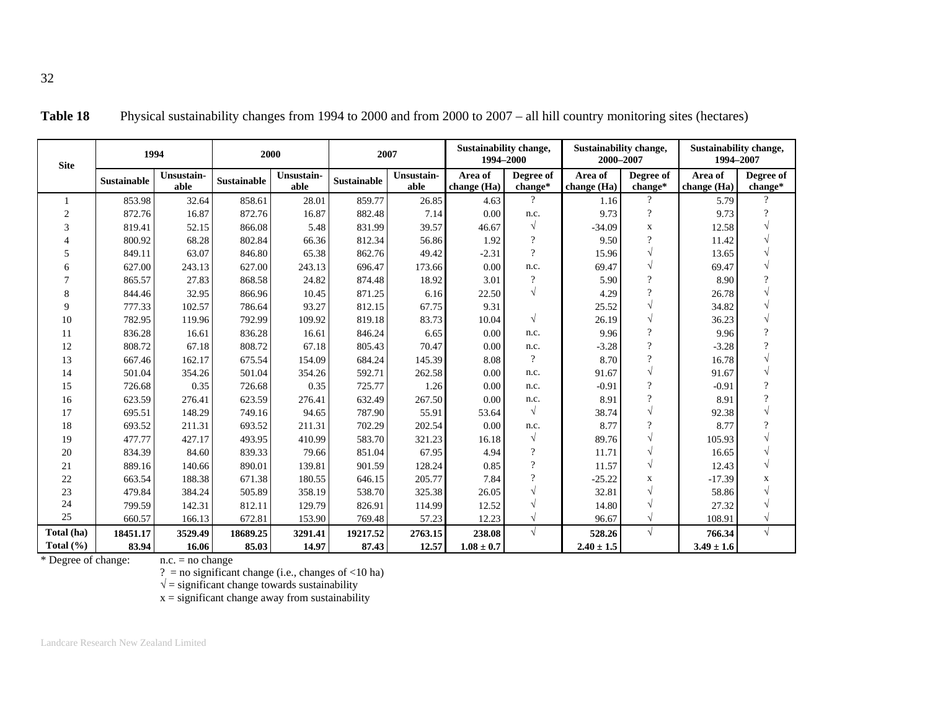| <b>Site</b>   |                    | 1994               |             | 2000               | 2007               |                    | <b>Sustainability change,</b><br>1994-2000 |                      | Sustainability change,<br>2000-2007 |                      | Sustainability change,<br>1994-2007 |                      |
|---------------|--------------------|--------------------|-------------|--------------------|--------------------|--------------------|--------------------------------------------|----------------------|-------------------------------------|----------------------|-------------------------------------|----------------------|
|               | <b>Sustainable</b> | Unsustain-<br>able | Sustainable | Unsustain-<br>able | <b>Sustainable</b> | Unsustain-<br>able | Area of<br>change (Ha)                     | Degree of<br>change* | Area of<br>change (Ha)              | Degree of<br>change* | Area of<br>change (Ha)              | Degree of<br>change* |
|               | 853.98             | 32.64              | 858.61      | 28.01              | 859.77             | 26.85              | 4.63                                       | $\gamma$             | 1.16                                | $\mathcal{P}$        | 5.79                                | $\gamma$             |
| 2             | 872.76             | 16.87              | 872.76      | 16.87              | 882.48             | 7.14               | 0.00                                       | n.c.                 | 9.73                                | $\gamma$             | 9.73                                | $\Omega$             |
| 3             | 819.41             | 52.15              | 866.08      | 5.48               | 831.99             | 39.57              | 46.67                                      | $\sqrt{ }$           | $-34.09$                            | $\mathbf X$          | 12.58                               |                      |
|               | 800.92             | 68.28              | 802.84      | 66.36              | 812.34             | 56.86              | 1.92                                       | $\gamma$             | 9.50                                | $\gamma$             | 11.42                               |                      |
| 5             | 849.11             | 63.07              | 846.80      | 65.38              | 862.76             | 49.42              | $-2.31$                                    | $\gamma$             | 15.96                               | $\sqrt{ }$           | 13.65                               |                      |
| 6             | 627.00             | 243.13             | 627.00      | 243.13             | 696.47             | 173.66             | 0.00                                       | n.c.                 | 69.47                               | $\sqrt{}$            | 69.47                               |                      |
|               | 865.57             | 27.83              | 868.58      | 24.82              | 874.48             | 18.92              | 3.01                                       | $\gamma$             | 5.90                                | $\gamma$             | 8.90                                | $\Omega$             |
| 8             | 844.46             | 32.95              | 866.96      | 10.45              | 871.25             | 6.16               | 22.50                                      |                      | 4.29                                | $\gamma$             | 26.78                               |                      |
| $\mathbf Q$   | 777.33             | 102.57             | 786.64      | 93.27              | 812.15             | 67.75              | 9.31                                       |                      | 25.52                               | $\sqrt{}$            | 34.82                               |                      |
| 10            | 782.95             | 119.96             | 792.99      | 109.92             | 819.18             | 83.73              | 10.04                                      | $\sqrt{ }$           | 26.19                               | $\sqrt{ }$           | 36.23                               |                      |
| 11            | 836.28             | 16.61              | 836.28      | 16.61              | 846.24             | 6.65               | 0.00                                       | n.c.                 | 9.96                                | $\gamma$             | 9.96                                | $\gamma$             |
| 12            | 808.72             | 67.18              | 808.72      | 67.18              | 805.43             | 70.47              | 0.00                                       | n.c.                 | $-3.28$                             | $\gamma$             | $-3.28$                             | $\Omega$             |
| 13            | 667.46             | 162.17             | 675.54      | 154.09             | 684.24             | 145.39             | 8.08                                       | $\gamma$             | 8.70                                | $\overline{?}$       | 16.78                               |                      |
| 14            | 501.04             | 354.26             | 501.04      | 354.26             | 592.71             | 262.58             | 0.00                                       | n.c.                 | 91.67                               | $\sqrt{}$            | 91.67                               |                      |
| 15            | 726.68             | 0.35               | 726.68      | 0.35               | 725.77             | 1.26               | 0.00                                       | n.c.                 | $-0.91$                             | $\gamma$             | $-0.91$                             | $\gamma$             |
| 16            | 623.59             | 276.41             | 623.59      | 276.41             | 632.49             | 267.50             | 0.00                                       | n.c.                 | 8.91                                | $\overline{?}$       | 8.91                                | $\Omega$             |
| 17            | 695.51             | 148.29             | 749.16      | 94.65              | 787.90             | 55.91              | 53.64                                      | $\sqrt{ }$           | 38.74                               | $\sqrt{}$            | 92.38                               |                      |
| 18            | 693.52             | 211.31             | 693.52      | 211.31             | 702.29             | 202.54             | 0.00                                       | n.c.                 | 8.77                                | $\gamma$             | 8.77                                | $\Omega$             |
| 19            | 477.77             | 427.17             | 493.95      | 410.99             | 583.70             | 321.23             | 16.18                                      | $\sqrt{ }$           | 89.76                               | $\sqrt{}$            | 105.93                              |                      |
| 20            | 834.39             | 84.60              | 839.33      | 79.66              | 851.04             | 67.95              | 4.94                                       | $\gamma$             | 11.71                               | $\sqrt{ }$           | 16.65                               |                      |
| 21            | 889.16             | 140.66             | 890.01      | 139.81             | 901.59             | 128.24             | 0.85                                       | $\Omega$             | 11.57                               | $\sqrt{}$            | 12.43                               |                      |
| 22            | 663.54             | 188.38             | 671.38      | 180.55             | 646.15             | 205.77             | 7.84                                       | $\gamma$             | $-25.22$                            | $\mathbf x$          | $-17.39$                            | X                    |
| 23            | 479.84             | 384.24             | 505.89      | 358.19             | 538.70             | 325.38             | 26.05                                      |                      | 32.81                               | $\sqrt{}$            | 58.86                               |                      |
| 24            | 799.59             | 142.31             | 812.11      | 129.79             | 826.91             | 114.99             | 12.52                                      |                      | 14.80                               | $\sqrt{2}$           | 27.32                               |                      |
| 25            | 660.57             | 166.13             | 672.81      | 153.90             | 769.48             | 57.23              | 12.23                                      | $\sqrt{ }$           | 96.67                               | $\sqrt{}$            | 108.91                              |                      |
| Total (ha)    | 18451.17           | 3529.49            | 18689.25    | 3291.41            | 19217.52           | 2763.15            | 238.08                                     |                      | 528.26                              | $\sqrt{ }$           | 766.34                              |                      |
| Total $(\% )$ | 83.94              | 16.06              | 85.03       | 14.97              | 87.43              | 12.57              | $1.08 \pm 0.7$                             |                      | $2.40 \pm 1.5$                      |                      | $3.49 \pm 1.6$                      |                      |

**Table 18** Physical sustainability changes from 1994 to 2000 and from 2000 to 2007 – all hill country monitoring sites (hectares)

\* Degree of change:

? = no significant change (i.e., changes of <10 ha)<br> $\sqrt{\ }$  = significant change towards sustainability<br>x = significant change away from sustainability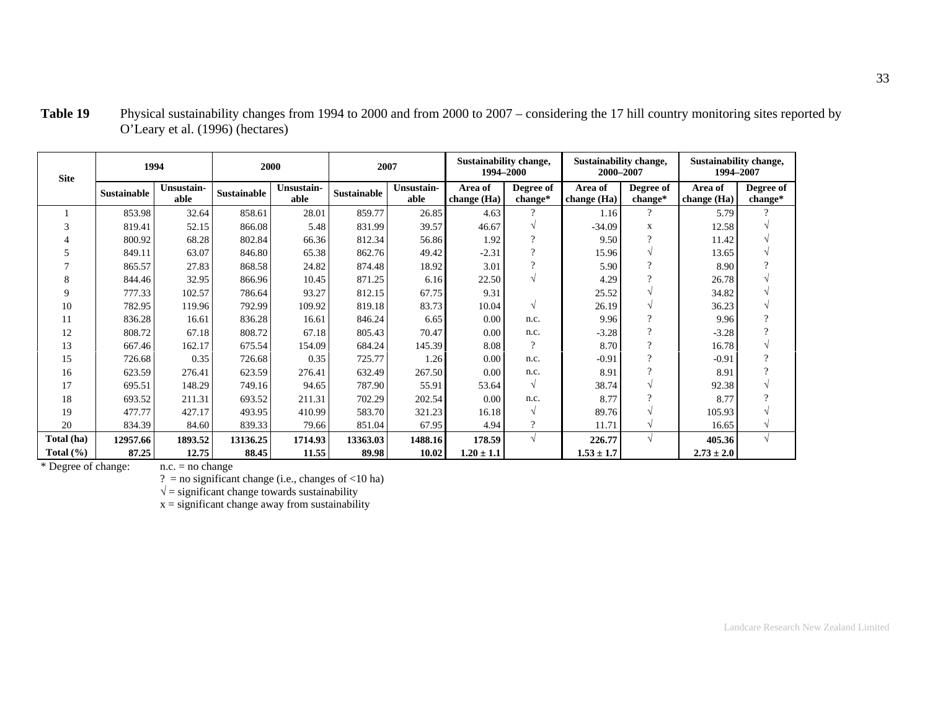| <b>Site</b>   |                    | 1994               |             | 2000               |                    | 2007               | Sustainability change,<br>1994-2000 |                      | Sustainability change,<br>2000-2007 |                      | Sustainability change,<br>1994-2007 |                      |
|---------------|--------------------|--------------------|-------------|--------------------|--------------------|--------------------|-------------------------------------|----------------------|-------------------------------------|----------------------|-------------------------------------|----------------------|
|               | <b>Sustainable</b> | Unsustain-<br>able | Sustainable | Unsustain-<br>able | <b>Sustainable</b> | Unsustain-<br>able | Area of<br>change (Ha)              | Degree of<br>change* | Area of<br>change (Ha)              | Degree of<br>change* | Area of<br>change (Ha)              | Degree of<br>change* |
|               | 853.98             | 32.64              | 858.61      | 28.01              | 859.77             | 26.85              | 4.63                                | $\Omega$             | 1.16                                | $\overline{?}$       | 5.79                                |                      |
| 3             | 819.41             | 52.15              | 866.08      | 5.48               | 831.99             | 39.57              | 46.67                               |                      | $-34.09$                            | X                    | 12.58                               |                      |
|               | 800.92             | 68.28              | 802.84      | 66.36              | 812.34             | 56.86              | 1.92                                | $\Omega$             | 9.50                                | $\Omega$             | 11.42                               | N                    |
| 5             | 849.11             | 63.07              | 846.80      | 65.38              | 862.76             | 49.42              | $-2.31$                             | $\Omega$             | 15.96                               | $\sqrt{ }$           | 13.65                               | $\sqrt{ }$           |
|               | 865.57             | 27.83              | 868.58      | 24.82              | 874.48             | 18.92              | 3.01                                | $\Omega$             | 5.90                                | $\Omega$             | 8.90                                | $\Omega$             |
| 8             | 844.46             | 32.95              | 866.96      | 10.45              | 871.25             | 6.16               | 22.50                               |                      | 4.29                                | $\Omega$             | 26.78                               |                      |
| 9             | 777.33             | 102.57             | 786.64      | 93.27              | 812.15             | 67.75              | 9.31                                |                      | 25.52                               | V                    | 34.82                               |                      |
| 10            | 782.95             | 119.96             | 792.99      | 109.92             | 819.18             | 83.73              | 10.04                               | $\sqrt{ }$           | 26.19                               | $\sqrt{ }$           | 36.23                               | $\sqrt{ }$           |
| 11            | 836.28             | 16.61              | 836.28      | 16.61              | 846.24             | 6.65               | 0.00                                | n.c.                 | 9.96                                | $\Omega$             | 9.96                                | $\gamma$             |
| 12            | 808.72             | 67.18              | 808.72      | 67.18              | 805.43             | 70.47              | 0.00                                | n.c.                 | $-3.28$                             | $\Omega$             | $-3.28$                             | $\Omega$             |
| 13            | 667.46             | 162.17             | 675.54      | 154.09             | 684.24             | 145.39             | 8.08                                | $\Omega$             | 8.70                                | $\Omega$             | 16.78                               | V                    |
| 15            | 726.68             | 0.35               | 726.68      | 0.35               | 725.77             | 1.26               | 0.00                                | n.c.                 | $-0.91$                             | $\Omega$             | $-0.91$                             | $\gamma$             |
| 16            | 623.59             | 276.41             | 623.59      | 276.41             | 632.49             | 267.50             | 0.00                                | n.c.                 | 8.91                                | $\Omega$             | 8.91                                | $\Omega$             |
| 17            | 695.51             | 148.29             | 749.16      | 94.65              | 787.90             | 55.91              | 53.64                               | $\sqrt{ }$           | 38.74                               | $\sqrt{ }$           | 92.38                               | $\sqrt{ }$           |
| 18            | 693.52             | 211.31             | 693.52      | 211.31             | 702.29             | 202.54             | 0.00                                | n.c.                 | 8.77                                | $\Omega$             | 8.77                                | $\Omega$             |
| 19            | 477.77             | 427.17             | 493.95      | 410.99             | 583.70             | 321.23             | 16.18                               | $\mathcal{L}$        | 89.76                               | V                    | 105.93                              |                      |
| 20            | 834.39             | 84.60              | 839.33      | 79.66              | 851.04             | 67.95              | 4.94                                | $\Omega$             | 11.71                               | $\sqrt{ }$           | 16.65                               | V                    |
| Total (ha)    | 12957.66           | 1893.52            | 13136.25    | 1714.93            | 13363.03           | 1488.16            | 178.59                              |                      | 226.77                              | $\sqrt{ }$           | 405.36                              | $\sqrt{ }$           |
| Total $(\% )$ | 87.25              | 12.75              | 88.45       | 11.55              | 89.98              | 10.02              | $1.20 \pm 1.1$                      |                      | $1.53 \pm 1.7$                      |                      | $2.73 \pm 2.0$                      |                      |

Table 19 Physical sustainability changes from 1994 to 2000 and from 2000 to 2007 – considering the 17 hill country monitoring sites reported by O'Leary et al. (1996) (hectares)

\* Degree of change:

 $? = no significant change (i.e., changes of  $<10$  ha)$ 

 $\sqrt{\ }$  = significant change towards sustainability  $x =$  significant change away from sustainability

Landcare Research New Zealand Limited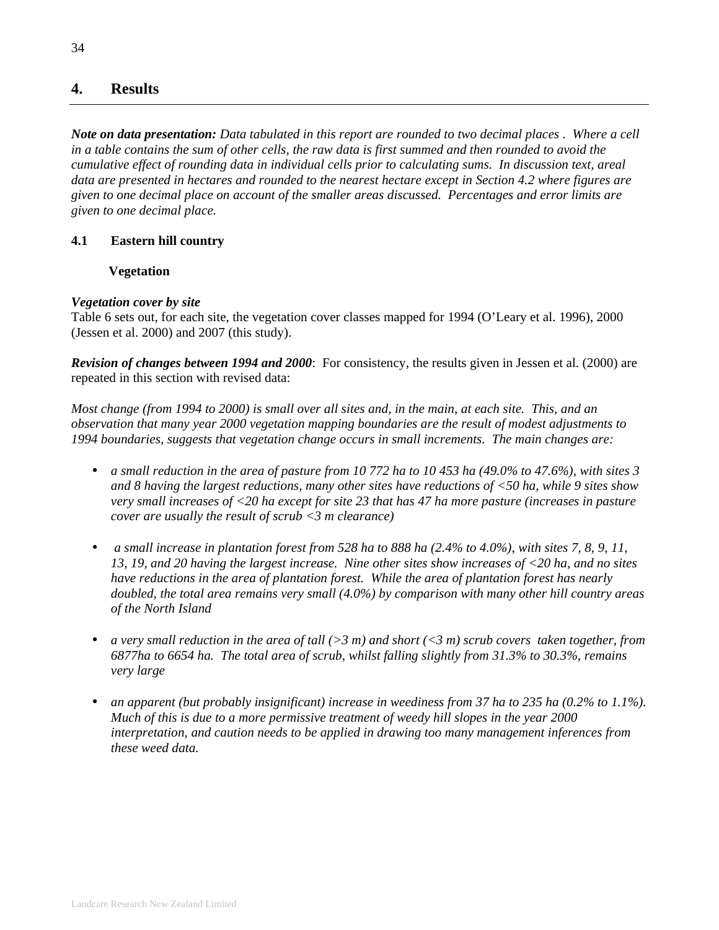# **4. Results**

*Note on data presentation: Data tabulated in this report are rounded to two decimal places . Where a cell in a table contains the sum of other cells, the raw data is first summed and then rounded to avoid the cumulative effect of rounding data in individual cells prior to calculating sums. In discussion text, areal data are presented in hectares and rounded to the nearest hectare except in Section 4.2 where figures are given to one decimal place on account of the smaller areas discussed. Percentages and error limits are given to one decimal place.* 

## **4.1 Eastern hill country**

## **Vegetation**

## *Vegetation cover by site*

Table 6 sets out, for each site, the vegetation cover classes mapped for 1994 (O'Leary et al. 1996), 2000 (Jessen et al. 2000) and 2007 (this study).

*Revision of changes between 1994 and 2000*: For consistency, the results given in Jessen et al. (2000) are repeated in this section with revised data:

*Most change (from 1994 to 2000) is small over all sites and, in the main, at each site. This, and an observation that many year 2000 vegetation mapping boundaries are the result of modest adjustments to 1994 boundaries, suggests that vegetation change occurs in small increments. The main changes are:* 

- *a small reduction in the area of pasture from 10 772 ha to 10 453 ha (49.0% to 47.6%), with sites 3 and 8 having the largest reductions, many other sites have reductions of <50 ha, while 9 sites show very small increases of <20 ha except for site 23 that has 47 ha more pasture (increases in pasture cover are usually the result of scrub <3 m clearance)*
- • *a small increase in plantation forest from 528 ha to 888 ha (2.4% to 4.0%), with sites 7, 8, 9, 11, 13, 19, and 20 having the largest increase. Nine other sites show increases of <20 ha, and no sites have reductions in the area of plantation forest. While the area of plantation forest has nearly doubled, the total area remains very small (4.0%) by comparison with many other hill country areas of the North Island*
- *a very small reduction in the area of tall (>3 m) and short (<3 m) scrub covers taken together, from 6877ha to 6654 ha. The total area of scrub, whilst falling slightly from 31.3% to 30.3%, remains very large*
- *an apparent (but probably insignificant) increase in weediness from 37 ha to 235 ha (0.2% to 1.1%). Much of this is due to a more permissive treatment of weedy hill slopes in the year 2000 interpretation, and caution needs to be applied in drawing too many management inferences from these weed data.*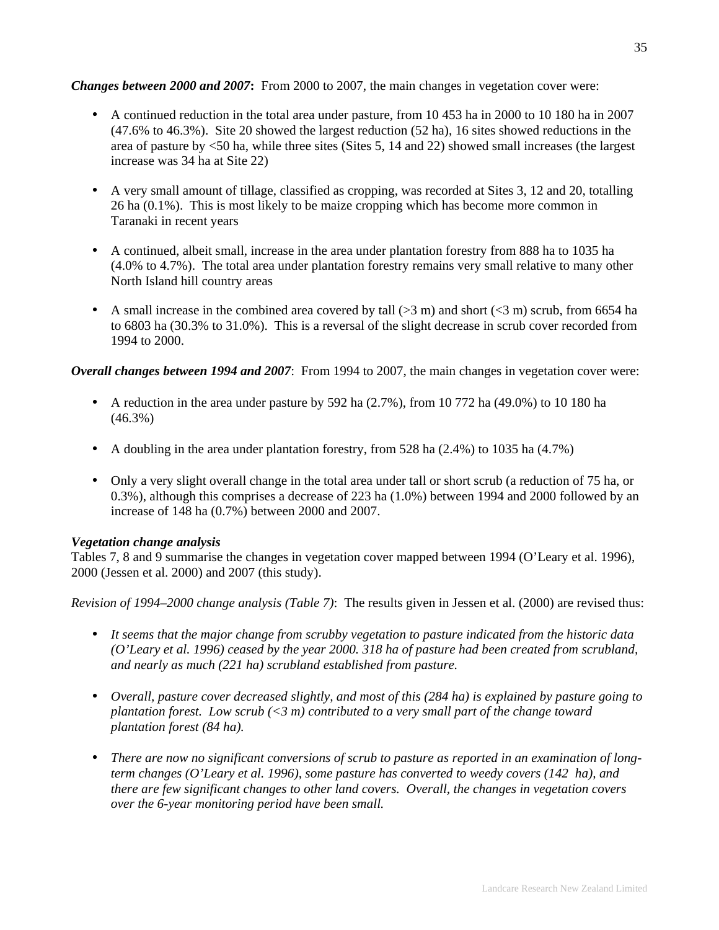### *Changes between 2000 and 2007***:** From 2000 to 2007, the main changes in vegetation cover were:

- A continued reduction in the total area under pasture, from 10 453 ha in 2000 to 10 180 ha in 2007 (47.6% to 46.3%). Site 20 showed the largest reduction (52 ha), 16 sites showed reductions in the area of pasture by <50 ha, while three sites (Sites 5, 14 and 22) showed small increases (the largest increase was 34 ha at Site 22)
- A very small amount of tillage, classified as cropping, was recorded at Sites 3, 12 and 20, totalling 26 ha (0.1%). This is most likely to be maize cropping which has become more common in Taranaki in recent years
- A continued, albeit small, increase in the area under plantation forestry from 888 ha to 1035 ha (4.0% to 4.7%). The total area under plantation forestry remains very small relative to many other North Island hill country areas
- A small increase in the combined area covered by tall  $(>3 \text{ m})$  and short  $(<3 \text{ m})$  scrub, from 6654 ha to 6803 ha (30.3% to 31.0%). This is a reversal of the slight decrease in scrub cover recorded from 1994 to 2000.

*Overall changes between 1994 and 2007*: From 1994 to 2007, the main changes in vegetation cover were:

- A reduction in the area under pasture by 592 ha  $(2.7\%)$ , from 10 772 ha  $(49.0\%)$  to 10 180 ha (46.3%)
- A doubling in the area under plantation forestry, from 528 ha  $(2.4%)$  to 1035 ha  $(4.7%)$
- Only a very slight overall change in the total area under tall or short scrub (a reduction of 75 ha, or 0.3%), although this comprises a decrease of 223 ha (1.0%) between 1994 and 2000 followed by an increase of 148 ha (0.7%) between 2000 and 2007.

# *Vegetation change analysis*

Tables 7, 8 and 9 summarise the changes in vegetation cover mapped between 1994 (O'Leary et al. 1996), 2000 (Jessen et al. 2000) and 2007 (this study).

*Revision of 1994–2000 change analysis (Table 7)*: The results given in Jessen et al. (2000) are revised thus:

- *It seems that the major change from scrubby vegetation to pasture indicated from the historic data (O'Leary et al. 1996) ceased by the year 2000. 318 ha of pasture had been created from scrubland, and nearly as much (221 ha) scrubland established from pasture.*
- *Overall, pasture cover decreased slightly, and most of this (284 ha) is explained by pasture going to plantation forest. Low scrub (<3 m) contributed to a very small part of the change toward plantation forest (84 ha).*
- *There are now no significant conversions of scrub to pasture as reported in an examination of longterm changes (O'Leary et al. 1996), some pasture has converted to weedy covers (142 ha), and there are few significant changes to other land covers. Overall, the changes in vegetation covers over the 6-year monitoring period have been small.*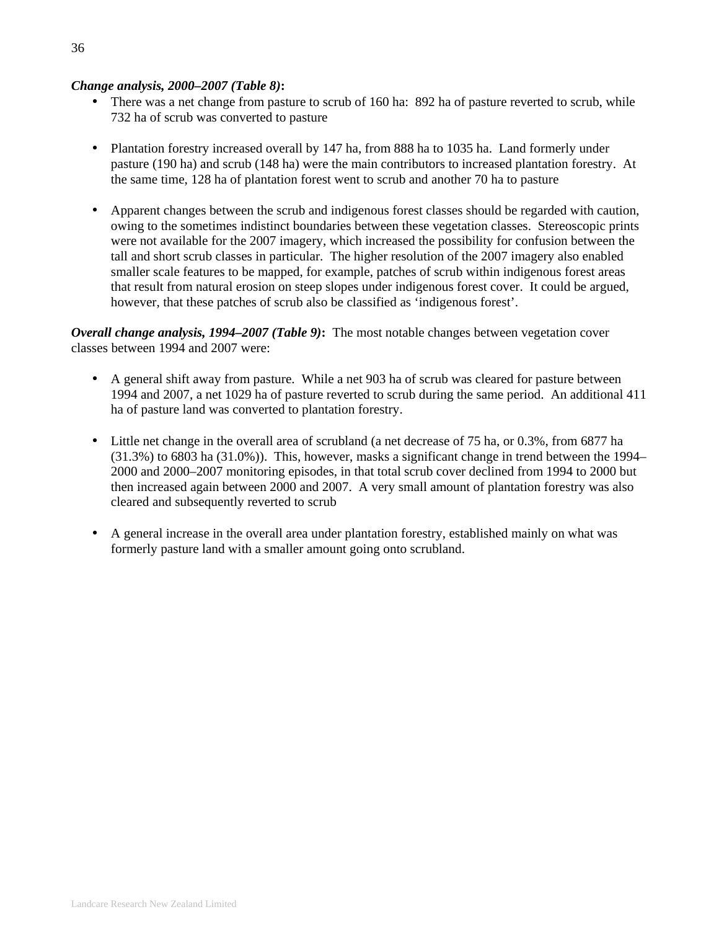### *Change analysis, 2000–2007 (Table 8)***:**

- There was a net change from pasture to scrub of 160 ha: 892 ha of pasture reverted to scrub, while 732 ha of scrub was converted to pasture
- Plantation forestry increased overall by 147 ha, from 888 ha to 1035 ha. Land formerly under pasture (190 ha) and scrub (148 ha) were the main contributors to increased plantation forestry. At the same time, 128 ha of plantation forest went to scrub and another 70 ha to pasture
- Apparent changes between the scrub and indigenous forest classes should be regarded with caution, owing to the sometimes indistinct boundaries between these vegetation classes. Stereoscopic prints were not available for the 2007 imagery, which increased the possibility for confusion between the tall and short scrub classes in particular. The higher resolution of the 2007 imagery also enabled smaller scale features to be mapped, for example, patches of scrub within indigenous forest areas that result from natural erosion on steep slopes under indigenous forest cover. It could be argued, however, that these patches of scrub also be classified as 'indigenous forest'.

*Overall change analysis, 1994–2007 (Table 9)***:** The most notable changes between vegetation cover classes between 1994 and 2007 were:

- A general shift away from pasture. While a net 903 ha of scrub was cleared for pasture between 1994 and 2007, a net 1029 ha of pasture reverted to scrub during the same period. An additional 411 ha of pasture land was converted to plantation forestry.
- Little net change in the overall area of scrubland (a net decrease of 75 ha, or 0.3%, from 6877 ha (31.3%) to 6803 ha (31.0%)). This, however, masks a significant change in trend between the 1994– 2000 and 2000–2007 monitoring episodes, in that total scrub cover declined from 1994 to 2000 but then increased again between 2000 and 2007. A very small amount of plantation forestry was also cleared and subsequently reverted to scrub
- A general increase in the overall area under plantation forestry, established mainly on what was formerly pasture land with a smaller amount going onto scrubland.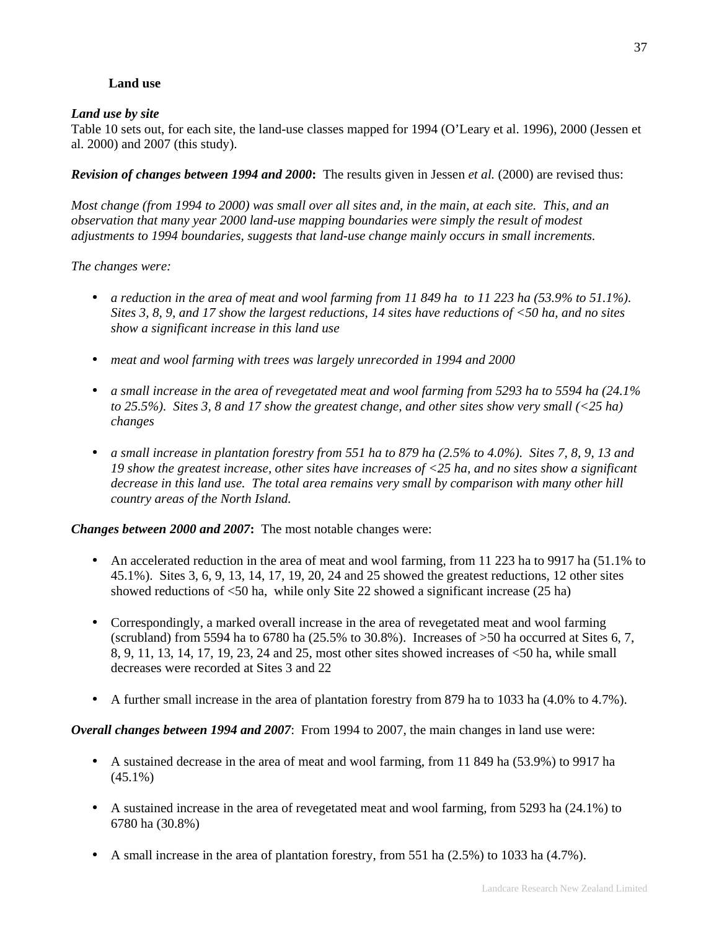# **Land use**

## *Land use by site*

Table 10 sets out, for each site, the land-use classes mapped for 1994 (O'Leary et al. 1996), 2000 (Jessen et al. 2000) and 2007 (this study).

*Revision of changes between 1994 and 2000***:** The results given in Jessen *et al.* (2000) are revised thus:

*Most change (from 1994 to 2000) was small over all sites and, in the main, at each site. This, and an observation that many year 2000 land-use mapping boundaries were simply the result of modest adjustments to 1994 boundaries, suggests that land-use change mainly occurs in small increments.* 

*The changes were:* 

- *a reduction in the area of meat and wool farming from 11 849 ha to 11 223 ha (53.9% to 51.1%). Sites 3, 8, 9, and 17 show the largest reductions, 14 sites have reductions of <50 ha, and no sites show a significant increase in this land use*
- *meat and wool farming with trees was largely unrecorded in 1994 and 2000*
- *a small increase in the area of revegetated meat and wool farming from 5293 ha to 5594 ha (24.1% to 25.5%). Sites 3, 8 and 17 show the greatest change, and other sites show very small (<25 ha) changes*
- *a small increase in plantation forestry from 551 ha to 879 ha (2.5% to 4.0%). Sites 7, 8, 9, 13 and 19 show the greatest increase, other sites have increases of <25 ha, and no sites show a significant decrease in this land use. The total area remains very small by comparison with many other hill country areas of the North Island.*

*Changes between 2000 and 2007***:** The most notable changes were:

- An accelerated reduction in the area of meat and wool farming, from 11 223 ha to 9917 ha (51.1% to 45.1%). Sites 3, 6, 9, 13, 14, 17, 19, 20, 24 and 25 showed the greatest reductions, 12 other sites showed reductions of <50 ha, while only Site 22 showed a significant increase (25 ha)
- Correspondingly, a marked overall increase in the area of revegetated meat and wool farming (scrubland) from 5594 ha to 6780 ha  $(25.5\%$  to 30.8%). Increases of  $>50$  ha occurred at Sites 6, 7, 8, 9, 11, 13, 14, 17, 19, 23, 24 and 25, most other sites showed increases of <50 ha, while small decreases were recorded at Sites 3 and 22
- A further small increase in the area of plantation forestry from 879 ha to 1033 ha (4.0% to 4.7%).

*Overall changes between 1994 and 2007*: From 1994 to 2007, the main changes in land use were:

- A sustained decrease in the area of meat and wool farming, from 11 849 ha (53.9%) to 9917 ha  $(45.1\%)$
- A sustained increase in the area of revegetated meat and wool farming, from 5293 ha (24.1%) to 6780 ha (30.8%)
- A small increase in the area of plantation forestry, from  $551$  ha  $(2.5%)$  to  $1033$  ha  $(4.7%).$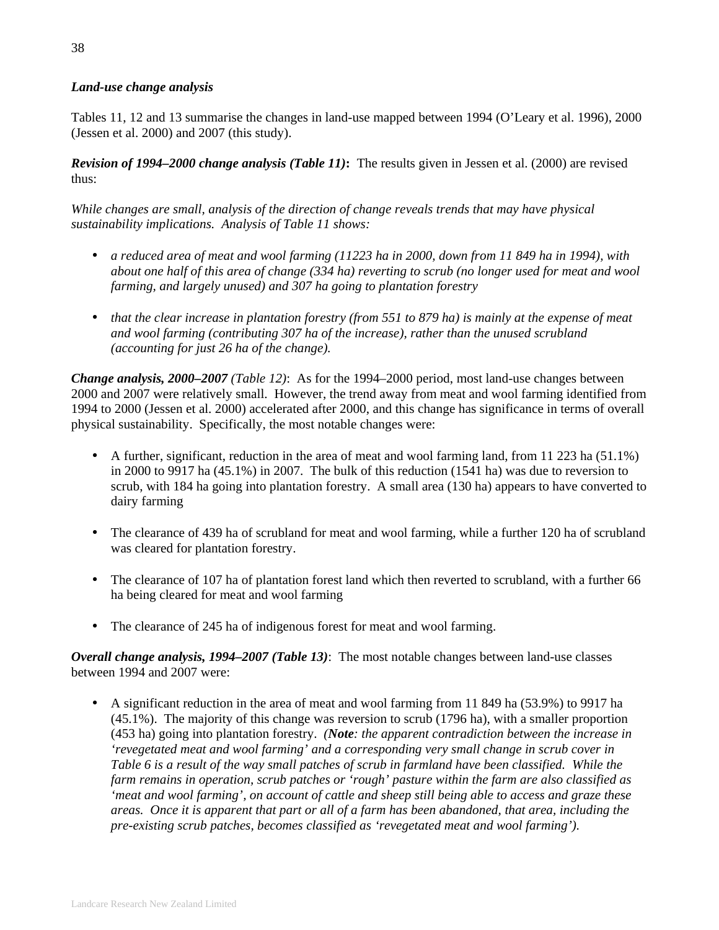# *Land-use change analysis*

Tables 11, 12 and 13 summarise the changes in land-use mapped between 1994 (O'Leary et al. 1996), 2000 (Jessen et al. 2000) and 2007 (this study).

*Revision of 1994–2000 change analysis (Table 11)***:** The results given in Jessen et al. (2000) are revised thus:

*While changes are small, analysis of the direction of change reveals trends that may have physical sustainability implications. Analysis of Table 11 shows:* 

- *a reduced area of meat and wool farming (11223 ha in 2000, down from 11 849 ha in 1994), with about one half of this area of change (334 ha) reverting to scrub (no longer used for meat and wool farming, and largely unused) and 307 ha going to plantation forestry*
- *that the clear increase in plantation forestry (from 551 to 879 ha) is mainly at the expense of meat and wool farming (contributing 307 ha of the increase), rather than the unused scrubland (accounting for just 26 ha of the change).*

*Change analysis, 2000–2007 (Table 12)*: As for the 1994–2000 period, most land-use changes between 2000 and 2007 were relatively small. However, the trend away from meat and wool farming identified from 1994 to 2000 (Jessen et al. 2000) accelerated after 2000, and this change has significance in terms of overall physical sustainability. Specifically, the most notable changes were:

- A further, significant, reduction in the area of meat and wool farming land, from 11 223 ha (51.1%) in 2000 to 9917 ha (45.1%) in 2007. The bulk of this reduction (1541 ha) was due to reversion to scrub, with 184 ha going into plantation forestry. A small area (130 ha) appears to have converted to dairy farming
- The clearance of 439 ha of scrubland for meat and wool farming, while a further 120 ha of scrubland was cleared for plantation forestry.
- The clearance of 107 ha of plantation forest land which then reverted to scrubland, with a further 66 ha being cleared for meat and wool farming
- The clearance of 245 ha of indigenous forest for meat and wool farming.

*Overall change analysis, 1994–2007 (Table 13)*: The most notable changes between land-use classes between 1994 and 2007 were:

• A significant reduction in the area of meat and wool farming from 11 849 ha (53.9%) to 9917 ha (45.1%). The majority of this change was reversion to scrub (1796 ha), with a smaller proportion (453 ha) going into plantation forestry. *(Note: the apparent contradiction between the increase in 'revegetated meat and wool farming' and a corresponding very small change in scrub cover in Table 6 is a result of the way small patches of scrub in farmland have been classified. While the farm remains in operation, scrub patches or 'rough' pasture within the farm are also classified as 'meat and wool farming', on account of cattle and sheep still being able to access and graze these areas. Once it is apparent that part or all of a farm has been abandoned, that area, including the pre-existing scrub patches, becomes classified as 'revegetated meat and wool farming').*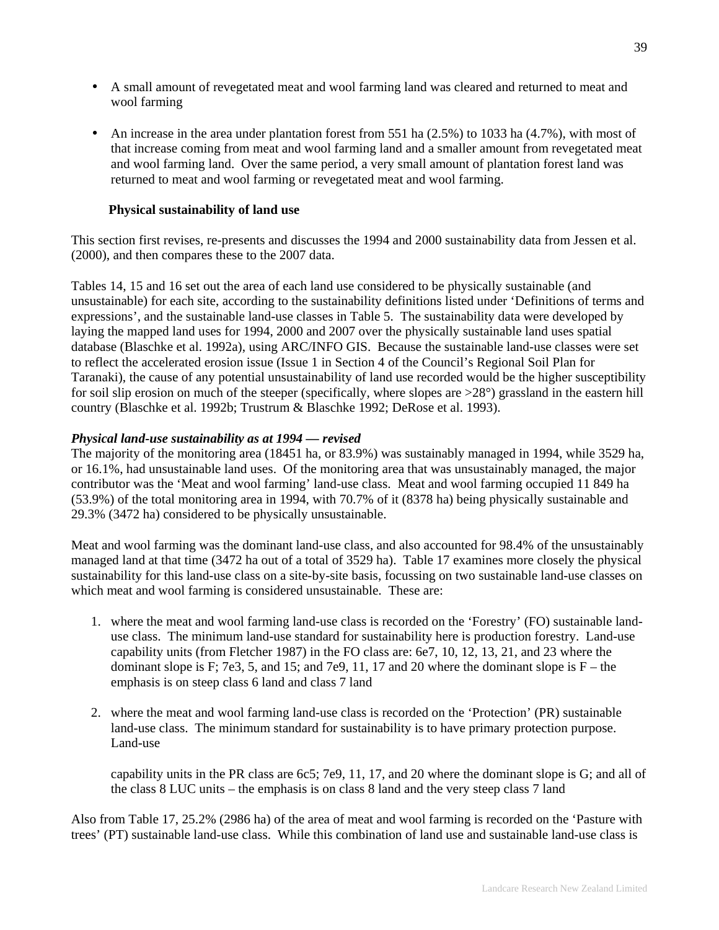- A small amount of revegetated meat and wool farming land was cleared and returned to meat and wool farming
- An increase in the area under plantation forest from 551 ha  $(2.5%)$  to 1033 ha  $(4.7%)$ , with most of that increase coming from meat and wool farming land and a smaller amount from revegetated meat and wool farming land. Over the same period, a very small amount of plantation forest land was returned to meat and wool farming or revegetated meat and wool farming.

### **Physical sustainability of land use**

This section first revises, re-presents and discusses the 1994 and 2000 sustainability data from Jessen et al. (2000), and then compares these to the 2007 data.

Tables 14, 15 and 16 set out the area of each land use considered to be physically sustainable (and unsustainable) for each site, according to the sustainability definitions listed under 'Definitions of terms and expressions', and the sustainable land-use classes in Table 5. The sustainability data were developed by laying the mapped land uses for 1994, 2000 and 2007 over the physically sustainable land uses spatial database (Blaschke et al. 1992a), using ARC/INFO GIS. Because the sustainable land-use classes were set to reflect the accelerated erosion issue (Issue 1 in Section 4 of the Council's Regional Soil Plan for Taranaki), the cause of any potential unsustainability of land use recorded would be the higher susceptibility for soil slip erosion on much of the steeper (specifically, where slopes are >28°) grassland in the eastern hill country (Blaschke et al. 1992b; Trustrum & Blaschke 1992; DeRose et al. 1993).

#### *Physical land-use sustainability as at 1994 — revised*

The majority of the monitoring area (18451 ha, or 83.9%) was sustainably managed in 1994, while 3529 ha, or 16.1%, had unsustainable land uses. Of the monitoring area that was unsustainably managed, the major contributor was the 'Meat and wool farming' land-use class. Meat and wool farming occupied 11 849 ha (53.9%) of the total monitoring area in 1994, with 70.7% of it (8378 ha) being physically sustainable and 29.3% (3472 ha) considered to be physically unsustainable.

Meat and wool farming was the dominant land-use class, and also accounted for 98.4% of the unsustainably managed land at that time (3472 ha out of a total of 3529 ha). Table 17 examines more closely the physical sustainability for this land-use class on a site-by-site basis, focussing on two sustainable land-use classes on which meat and wool farming is considered unsustainable. These are:

- 1. where the meat and wool farming land-use class is recorded on the 'Forestry' (FO) sustainable landuse class. The minimum land-use standard for sustainability here is production forestry. Land-use capability units (from Fletcher 1987) in the FO class are: 6e7, 10, 12, 13, 21, and 23 where the dominant slope is F; 7e3, 5, and 15; and 7e9, 11, 17 and 20 where the dominant slope is  $F$  – the emphasis is on steep class 6 land and class 7 land
- 2. where the meat and wool farming land-use class is recorded on the 'Protection' (PR) sustainable land-use class. The minimum standard for sustainability is to have primary protection purpose. Land-use

capability units in the PR class are 6c5; 7e9, 11, 17, and 20 where the dominant slope is G; and all of the class 8 LUC units – the emphasis is on class 8 land and the very steep class 7 land

Also from Table 17, 25.2% (2986 ha) of the area of meat and wool farming is recorded on the 'Pasture with trees' (PT) sustainable land-use class. While this combination of land use and sustainable land-use class is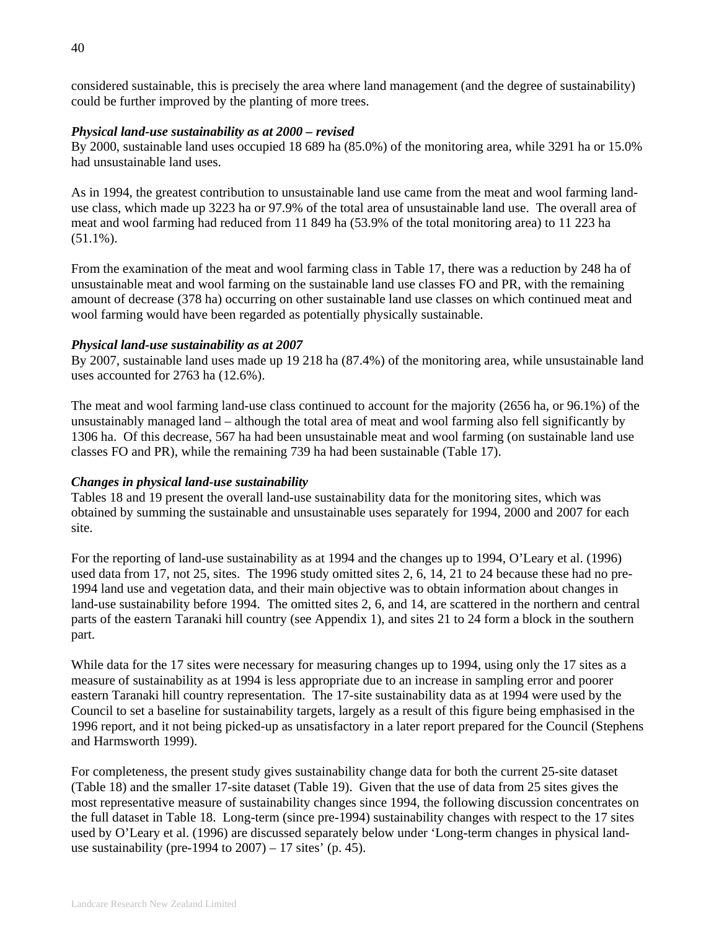considered sustainable, this is precisely the area where land management (and the degree of sustainability) could be further improved by the planting of more trees.

#### *Physical land-use sustainability as at 2000 – revised*

By 2000, sustainable land uses occupied 18 689 ha (85.0%) of the monitoring area, while 3291 ha or 15.0% had unsustainable land uses.

As in 1994, the greatest contribution to unsustainable land use came from the meat and wool farming landuse class, which made up 3223 ha or 97.9% of the total area of unsustainable land use. The overall area of meat and wool farming had reduced from 11 849 ha (53.9% of the total monitoring area) to 11 223 ha  $(51.1\%)$ .

From the examination of the meat and wool farming class in Table 17, there was a reduction by 248 ha of unsustainable meat and wool farming on the sustainable land use classes FO and PR, with the remaining amount of decrease (378 ha) occurring on other sustainable land use classes on which continued meat and wool farming would have been regarded as potentially physically sustainable.

#### *Physical land-use sustainability as at 2007*

By 2007, sustainable land uses made up 19 218 ha (87.4%) of the monitoring area, while unsustainable land uses accounted for 2763 ha (12.6%).

The meat and wool farming land-use class continued to account for the majority (2656 ha, or 96.1%) of the unsustainably managed land – although the total area of meat and wool farming also fell significantly by 1306 ha. Of this decrease, 567 ha had been unsustainable meat and wool farming (on sustainable land use classes FO and PR), while the remaining 739 ha had been sustainable (Table 17).

#### *Changes in physical land-use sustainability*

Tables 18 and 19 present the overall land-use sustainability data for the monitoring sites, which was obtained by summing the sustainable and unsustainable uses separately for 1994, 2000 and 2007 for each site.

For the reporting of land-use sustainability as at 1994 and the changes up to 1994, O'Leary et al. (1996) used data from 17, not 25, sites. The 1996 study omitted sites 2, 6, 14, 21 to 24 because these had no pre-1994 land use and vegetation data, and their main objective was to obtain information about changes in land-use sustainability before 1994. The omitted sites 2, 6, and 14, are scattered in the northern and central parts of the eastern Taranaki hill country (see Appendix 1), and sites 21 to 24 form a block in the southern part.

While data for the 17 sites were necessary for measuring changes up to 1994, using only the 17 sites as a measure of sustainability as at 1994 is less appropriate due to an increase in sampling error and poorer eastern Taranaki hill country representation. The 17-site sustainability data as at 1994 were used by the Council to set a baseline for sustainability targets, largely as a result of this figure being emphasised in the 1996 report, and it not being picked-up as unsatisfactory in a later report prepared for the Council (Stephens and Harmsworth 1999).

For completeness, the present study gives sustainability change data for both the current 25-site dataset (Table 18) and the smaller 17-site dataset (Table 19). Given that the use of data from 25 sites gives the most representative measure of sustainability changes since 1994, the following discussion concentrates on the full dataset in Table 18. Long-term (since pre-1994) sustainability changes with respect to the 17 sites used by O'Leary et al. (1996) are discussed separately below under 'Long-term changes in physical landuse sustainability (pre-1994 to  $2007$ ) – 17 sites' (p. 45).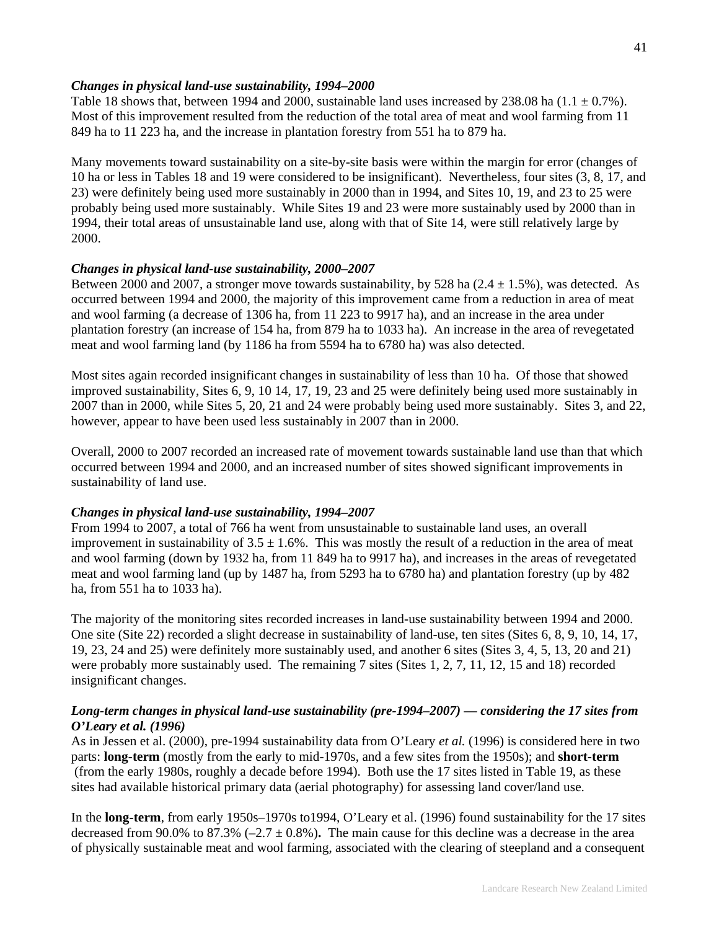### *Changes in physical land-use sustainability, 1994–2000*

Table 18 shows that, between 1994 and 2000, sustainable land uses increased by 238.08 ha  $(1.1 \pm 0.7\%)$ . Most of this improvement resulted from the reduction of the total area of meat and wool farming from 11 849 ha to 11 223 ha, and the increase in plantation forestry from 551 ha to 879 ha.

Many movements toward sustainability on a site-by-site basis were within the margin for error (changes of 10 ha or less in Tables 18 and 19 were considered to be insignificant). Nevertheless, four sites (3, 8, 17, and 23) were definitely being used more sustainably in 2000 than in 1994, and Sites 10, 19, and 23 to 25 were probably being used more sustainably. While Sites 19 and 23 were more sustainably used by 2000 than in 1994, their total areas of unsustainable land use, along with that of Site 14, were still relatively large by 2000.

### *Changes in physical land-use sustainability, 2000–2007*

Between 2000 and 2007, a stronger move towards sustainability, by 528 ha  $(2.4 \pm 1.5\%)$ , was detected. As occurred between 1994 and 2000, the majority of this improvement came from a reduction in area of meat and wool farming (a decrease of 1306 ha, from 11 223 to 9917 ha), and an increase in the area under plantation forestry (an increase of 154 ha, from 879 ha to 1033 ha). An increase in the area of revegetated meat and wool farming land (by 1186 ha from 5594 ha to 6780 ha) was also detected.

Most sites again recorded insignificant changes in sustainability of less than 10 ha. Of those that showed improved sustainability, Sites 6, 9, 10 14, 17, 19, 23 and 25 were definitely being used more sustainably in 2007 than in 2000, while Sites 5, 20, 21 and 24 were probably being used more sustainably. Sites 3, and 22, however, appear to have been used less sustainably in 2007 than in 2000.

Overall, 2000 to 2007 recorded an increased rate of movement towards sustainable land use than that which occurred between 1994 and 2000, and an increased number of sites showed significant improvements in sustainability of land use.

### *Changes in physical land-use sustainability, 1994–2007*

From 1994 to 2007, a total of 766 ha went from unsustainable to sustainable land uses, an overall improvement in sustainability of  $3.5 \pm 1.6\%$ . This was mostly the result of a reduction in the area of meat and wool farming (down by 1932 ha, from 11 849 ha to 9917 ha), and increases in the areas of revegetated meat and wool farming land (up by 1487 ha, from 5293 ha to 6780 ha) and plantation forestry (up by 482 ha, from 551 ha to 1033 ha).

The majority of the monitoring sites recorded increases in land-use sustainability between 1994 and 2000. One site (Site 22) recorded a slight decrease in sustainability of land-use, ten sites (Sites 6, 8, 9, 10, 14, 17, 19, 23, 24 and 25) were definitely more sustainably used, and another 6 sites (Sites 3, 4, 5, 13, 20 and 21) were probably more sustainably used. The remaining 7 sites (Sites 1, 2, 7, 11, 12, 15 and 18) recorded insignificant changes.

## *Long-term changes in physical land-use sustainability (pre-1994–2007) — considering the 17 sites from O'Leary et al. (1996)*

As in Jessen et al. (2000), pre-1994 sustainability data from O'Leary *et al.* (1996) is considered here in two parts: **long-term** (mostly from the early to mid-1970s, and a few sites from the 1950s); and **short-term** (from the early 1980s, roughly a decade before 1994). Both use the 17 sites listed in Table 19, as these sites had available historical primary data (aerial photography) for assessing land cover/land use.

In the **long-term**, from early 1950s–1970s to1994, O'Leary et al. (1996) found sustainability for the 17 sites decreased from 90.0% to 87.3% (–2.7 ± 0.8%)**.** The main cause for this decline was a decrease in the area of physically sustainable meat and wool farming, associated with the clearing of steepland and a consequent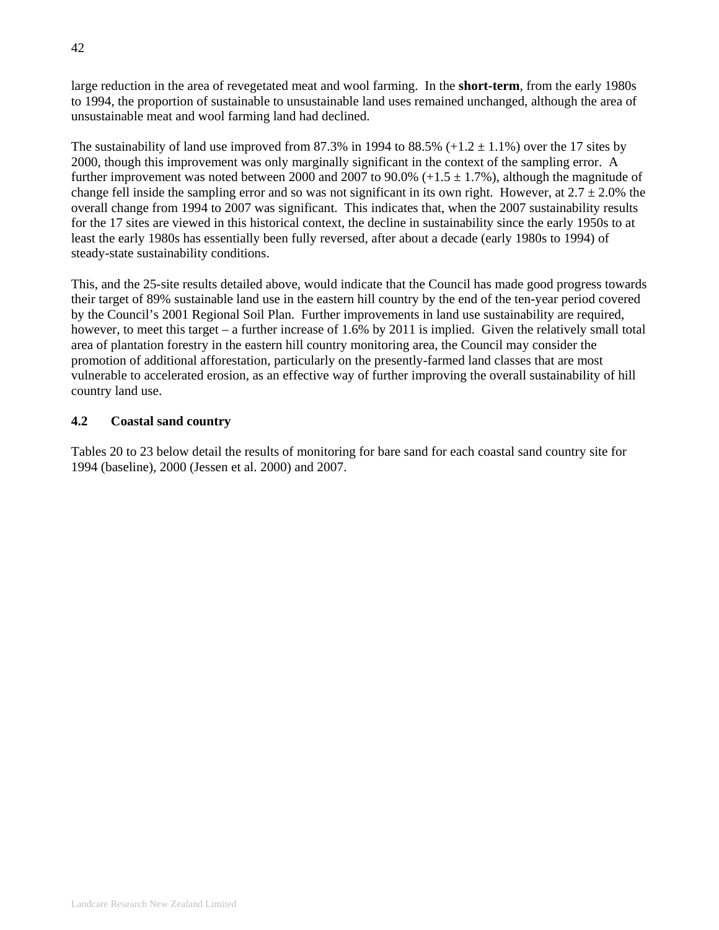large reduction in the area of revegetated meat and wool farming. In the **short-term**, from the early 1980s to 1994, the proportion of sustainable to unsustainable land uses remained unchanged, although the area of unsustainable meat and wool farming land had declined.

The sustainability of land use improved from 87.3% in 1994 to 88.5%  $(+1.2 \pm 1.1)$  over the 17 sites by 2000, though this improvement was only marginally significant in the context of the sampling error. A further improvement was noted between 2000 and 2007 to 90.0%  $(+1.5 \pm 1.7)$ , although the magnitude of change fell inside the sampling error and so was not significant in its own right. However, at  $2.7 \pm 2.0\%$  the overall change from 1994 to 2007 was significant. This indicates that, when the 2007 sustainability results for the 17 sites are viewed in this historical context, the decline in sustainability since the early 1950s to at least the early 1980s has essentially been fully reversed, after about a decade (early 1980s to 1994) of steady-state sustainability conditions.

This, and the 25-site results detailed above, would indicate that the Council has made good progress towards their target of 89% sustainable land use in the eastern hill country by the end of the ten-year period covered by the Council's 2001 Regional Soil Plan. Further improvements in land use sustainability are required, however, to meet this target – a further increase of 1.6% by 2011 is implied. Given the relatively small total area of plantation forestry in the eastern hill country monitoring area, the Council may consider the promotion of additional afforestation, particularly on the presently-farmed land classes that are most vulnerable to accelerated erosion, as an effective way of further improving the overall sustainability of hill country land use.

## **4.2 Coastal sand country**

Tables 20 to 23 below detail the results of monitoring for bare sand for each coastal sand country site for 1994 (baseline), 2000 (Jessen et al. 2000) and 2007.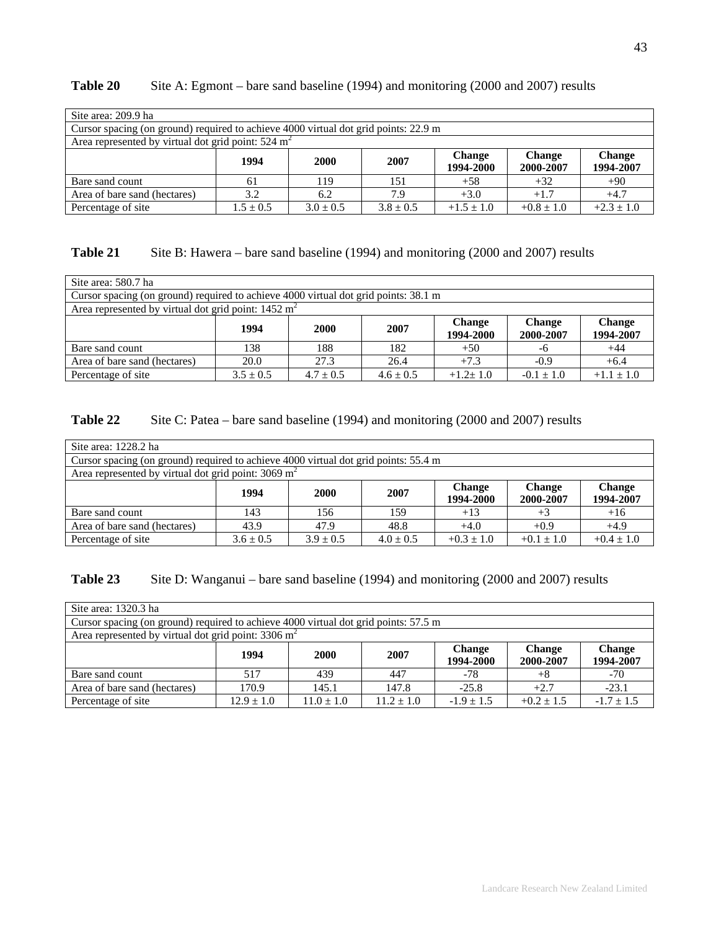| Site area: 209.9 ha                                                                 |               |               |               |                            |                            |                            |
|-------------------------------------------------------------------------------------|---------------|---------------|---------------|----------------------------|----------------------------|----------------------------|
| Cursor spacing (on ground) required to achieve 4000 virtual dot grid points: 22.9 m |               |               |               |                            |                            |                            |
| Area represented by virtual dot grid point: $524 \text{ m}^2$                       |               |               |               |                            |                            |                            |
|                                                                                     | 1994          | <b>2000</b>   | 2007          | <b>Change</b><br>1994-2000 | <b>Change</b><br>2000-2007 | <b>Change</b><br>1994-2007 |
| Bare sand count                                                                     | 61            | 119           | 151           | $+58$                      | $+32$                      | $+90$                      |
| Area of bare sand (hectares)                                                        | 3.2           | 6.2           | 7.9           | $+3.0$                     | $+1.7$                     | $+4.7$                     |
| Percentage of site                                                                  | $1.5 \pm 0.5$ | $3.0 \pm 0.5$ | $3.8 \pm 0.5$ | $+1.5 + 1.0$               | $+0.8 \pm 1.0$             | $+2.3 \pm 1.0$             |

# Table 20 Site A: Egmont – bare sand baseline (1994) and monitoring (2000 and 2007) results

# **Table 21** Site B: Hawera – bare sand baseline (1994) and monitoring (2000 and 2007) results

| Site area: 580.7 ha                                                                 |               |               |               |                            |                            |                            |
|-------------------------------------------------------------------------------------|---------------|---------------|---------------|----------------------------|----------------------------|----------------------------|
| Cursor spacing (on ground) required to achieve 4000 virtual dot grid points: 38.1 m |               |               |               |                            |                            |                            |
| Area represented by virtual dot grid point: $1452 \text{ m}^2$                      |               |               |               |                            |                            |                            |
|                                                                                     | 1994          | 2000          | 2007          | <b>Change</b><br>1994-2000 | <b>Change</b><br>2000-2007 | <b>Change</b><br>1994-2007 |
| Bare sand count                                                                     | 138           | 188           | 182           | $+50$                      | -6                         | $+44$                      |
| Area of bare sand (hectares)                                                        | 20.0          | 27.3          | 26.4          | $+7.3$                     | $-0.9$                     | $+6.4$                     |
| Percentage of site                                                                  | $3.5 \pm 0.5$ | $4.7 \pm 0.5$ | $4.6 \pm 0.5$ | $+1.2 \pm 1.0$             | $-0.1 \pm 1.0$             | $+1.1 \pm 1.0$             |

## **Table 22** Site C: Patea – bare sand baseline (1994) and monitoring (2000 and 2007) results

| Site area: 1228.2 ha                                                                |               |             |               |                            |                            |                            |  |  |  |
|-------------------------------------------------------------------------------------|---------------|-------------|---------------|----------------------------|----------------------------|----------------------------|--|--|--|
| Cursor spacing (on ground) required to achieve 4000 virtual dot grid points: 55.4 m |               |             |               |                            |                            |                            |  |  |  |
| Area represented by virtual dot grid point: $3069 \text{ m}^2$                      |               |             |               |                            |                            |                            |  |  |  |
|                                                                                     | 1994          | 2000        | 2007          | <b>Change</b><br>1994-2000 | <b>Change</b><br>2000-2007 | <b>Change</b><br>1994-2007 |  |  |  |
| Bare sand count                                                                     | 143           | 156         | 159           | $+13$                      | $+3$                       | $+16$                      |  |  |  |
| Area of bare sand (hectares)                                                        | 43.9          | 47.9        | 48.8          | $+4.0$                     | $+0.9$                     | $+4.9$                     |  |  |  |
| Percentage of site                                                                  | $3.6 \pm 0.5$ | $3.9 + 0.5$ | $4.0 \pm 0.5$ | $+0.3 \pm 1.0$             | $+0.1 \pm 1.0$             | $+0.4 \pm 1.0$             |  |  |  |

# **Table 23** Site D: Wanganui – bare sand baseline (1994) and monitoring (2000 and 2007) results

| Site area: 1320.3 ha                                                                |                |             |                |                            |                            |                            |  |  |  |
|-------------------------------------------------------------------------------------|----------------|-------------|----------------|----------------------------|----------------------------|----------------------------|--|--|--|
| Cursor spacing (on ground) required to achieve 4000 virtual dot grid points: 57.5 m |                |             |                |                            |                            |                            |  |  |  |
| Area represented by virtual dot grid point: $3306 \text{ m}^2$                      |                |             |                |                            |                            |                            |  |  |  |
|                                                                                     | 1994           | 2000        | 2007           | <b>Change</b><br>1994-2000 | <b>Change</b><br>2000-2007 | <b>Change</b><br>1994-2007 |  |  |  |
| Bare sand count                                                                     | 517            | 439         | 447            | $-78$                      | $+8$                       | $-70$                      |  |  |  |
| Area of bare sand (hectares)                                                        | 170.9          | 145.1       | 147.8          | $-25.8$                    | $+2.7$                     | $-23.1$                    |  |  |  |
| Percentage of site                                                                  | $12.9 \pm 1.0$ | $1.0 + 1.0$ | $11.2 \pm 1.0$ | $-1.9 \pm 1.5$             | $+0.2 \pm 1.5$             | $-1.7 \pm 1.5$             |  |  |  |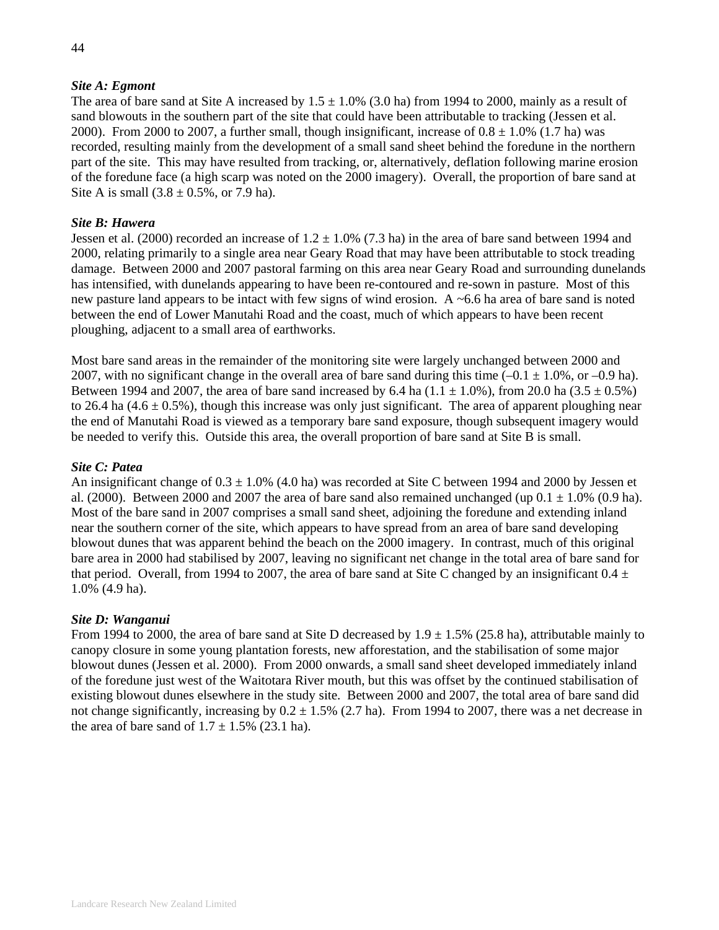### *Site A: Egmont*

The area of bare sand at Site A increased by  $1.5 \pm 1.0\%$  (3.0 ha) from 1994 to 2000, mainly as a result of sand blowouts in the southern part of the site that could have been attributable to tracking (Jessen et al. 2000). From 2000 to 2007, a further small, though insignificant, increase of  $0.8 \pm 1.0\%$  (1.7 ha) was recorded, resulting mainly from the development of a small sand sheet behind the foredune in the northern part of the site. This may have resulted from tracking, or, alternatively, deflation following marine erosion of the foredune face (a high scarp was noted on the 2000 imagery). Overall, the proportion of bare sand at Site A is small  $(3.8 \pm 0.5\% , \text{ or } 7.9 \text{ ha})$ .

### *Site B: Hawera*

Jessen et al. (2000) recorded an increase of  $1.2 \pm 1.0\%$  (7.3 ha) in the area of bare sand between 1994 and 2000, relating primarily to a single area near Geary Road that may have been attributable to stock treading damage. Between 2000 and 2007 pastoral farming on this area near Geary Road and surrounding dunelands has intensified, with dunelands appearing to have been re-contoured and re-sown in pasture. Most of this new pasture land appears to be intact with few signs of wind erosion. A ~6.6 ha area of bare sand is noted between the end of Lower Manutahi Road and the coast, much of which appears to have been recent ploughing, adjacent to a small area of earthworks.

Most bare sand areas in the remainder of the monitoring site were largely unchanged between 2000 and 2007, with no significant change in the overall area of bare sand during this time  $(-0.1 \pm 1.0\%$ , or  $-0.9$  ha). Between 1994 and 2007, the area of bare sand increased by 6.4 ha  $(1.1 \pm 1.0\%)$ , from 20.0 ha  $(3.5 \pm 0.5\%)$ to 26.4 ha  $(4.6 \pm 0.5\%)$ , though this increase was only just significant. The area of apparent ploughing near the end of Manutahi Road is viewed as a temporary bare sand exposure, though subsequent imagery would be needed to verify this. Outside this area, the overall proportion of bare sand at Site B is small.

#### *Site C: Patea*

An insignificant change of  $0.3 \pm 1.0\%$  (4.0 ha) was recorded at Site C between 1994 and 2000 by Jessen et al. (2000). Between 2000 and 2007 the area of bare sand also remained unchanged (up  $0.1 \pm 1.0\%$  (0.9 ha). Most of the bare sand in 2007 comprises a small sand sheet, adjoining the foredune and extending inland near the southern corner of the site, which appears to have spread from an area of bare sand developing blowout dunes that was apparent behind the beach on the 2000 imagery. In contrast, much of this original bare area in 2000 had stabilised by 2007, leaving no significant net change in the total area of bare sand for that period. Overall, from 1994 to 2007, the area of bare sand at Site C changed by an insignificant  $0.4 \pm$ 1.0% (4.9 ha).

### *Site D: Wanganui*

From 1994 to 2000, the area of bare sand at Site D decreased by  $1.9 \pm 1.5\%$  (25.8 ha), attributable mainly to canopy closure in some young plantation forests, new afforestation, and the stabilisation of some major blowout dunes (Jessen et al. 2000). From 2000 onwards, a small sand sheet developed immediately inland of the foredune just west of the Waitotara River mouth, but this was offset by the continued stabilisation of existing blowout dunes elsewhere in the study site. Between 2000 and 2007, the total area of bare sand did not change significantly, increasing by  $0.2 \pm 1.5\%$  (2.7 ha). From 1994 to 2007, there was a net decrease in the area of bare sand of  $1.7 \pm 1.5\%$  (23.1 ha).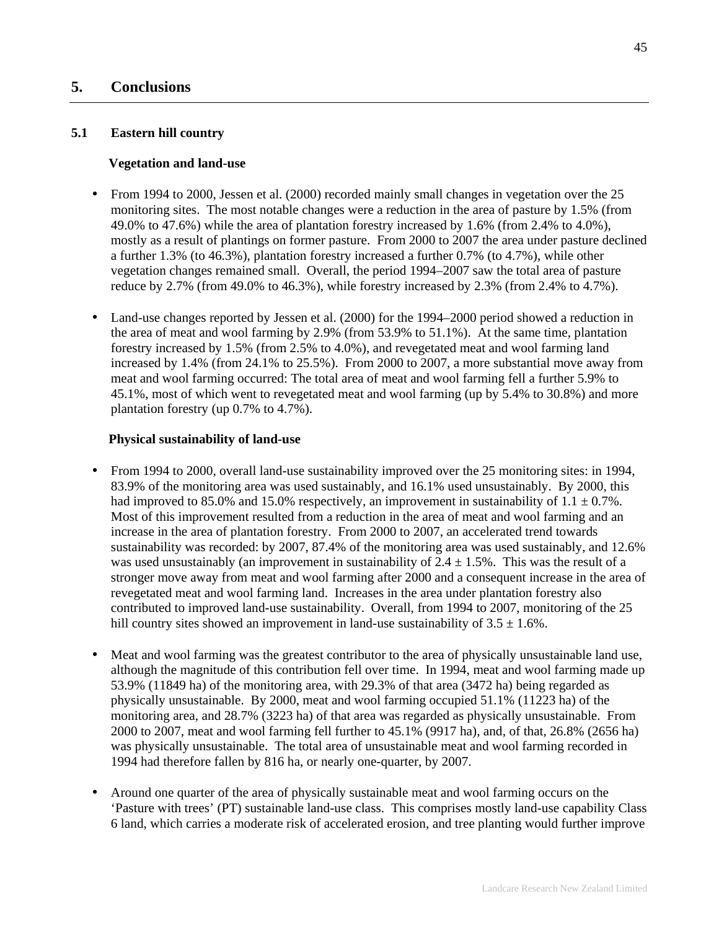# **5. Conclusions**

#### **5.1 Eastern hill country**

#### **Vegetation and land-use**

- From 1994 to 2000, Jessen et al. (2000) recorded mainly small changes in vegetation over the 25 monitoring sites. The most notable changes were a reduction in the area of pasture by 1.5% (from 49.0% to 47.6%) while the area of plantation forestry increased by 1.6% (from 2.4% to 4.0%), mostly as a result of plantings on former pasture. From 2000 to 2007 the area under pasture declined a further 1.3% (to 46.3%), plantation forestry increased a further 0.7% (to 4.7%), while other vegetation changes remained small. Overall, the period 1994–2007 saw the total area of pasture reduce by 2.7% (from 49.0% to 46.3%), while forestry increased by 2.3% (from 2.4% to 4.7%).
- Land-use changes reported by Jessen et al. (2000) for the 1994–2000 period showed a reduction in the area of meat and wool farming by 2.9% (from 53.9% to 51.1%). At the same time, plantation forestry increased by 1.5% (from 2.5% to 4.0%), and revegetated meat and wool farming land increased by 1.4% (from 24.1% to 25.5%). From 2000 to 2007, a more substantial move away from meat and wool farming occurred: The total area of meat and wool farming fell a further 5.9% to 45.1%, most of which went to revegetated meat and wool farming (up by 5.4% to 30.8%) and more plantation forestry (up 0.7% to 4.7%).

#### **Physical sustainability of land-use**

- From 1994 to 2000, overall land-use sustainability improved over the 25 monitoring sites: in 1994, 83.9% of the monitoring area was used sustainably, and 16.1% used unsustainably. By 2000, this had improved to 85.0% and 15.0% respectively, an improvement in sustainability of  $1.1 \pm 0.7$ %. Most of this improvement resulted from a reduction in the area of meat and wool farming and an increase in the area of plantation forestry. From 2000 to 2007, an accelerated trend towards sustainability was recorded: by 2007, 87.4% of the monitoring area was used sustainably, and 12.6% was used unsustainably (an improvement in sustainability of  $2.4 \pm 1.5\%$ ). This was the result of a stronger move away from meat and wool farming after 2000 and a consequent increase in the area of revegetated meat and wool farming land. Increases in the area under plantation forestry also contributed to improved land-use sustainability. Overall, from 1994 to 2007, monitoring of the 25 hill country sites showed an improvement in land-use sustainability of  $3.5 \pm 1.6\%$ .
- Meat and wool farming was the greatest contributor to the area of physically unsustainable land use, although the magnitude of this contribution fell over time. In 1994, meat and wool farming made up 53.9% (11849 ha) of the monitoring area, with 29.3% of that area (3472 ha) being regarded as physically unsustainable. By 2000, meat and wool farming occupied 51.1% (11223 ha) of the monitoring area, and 28.7% (3223 ha) of that area was regarded as physically unsustainable. From 2000 to 2007, meat and wool farming fell further to 45.1% (9917 ha), and, of that, 26.8% (2656 ha) was physically unsustainable. The total area of unsustainable meat and wool farming recorded in 1994 had therefore fallen by 816 ha, or nearly one-quarter, by 2007.
- Around one quarter of the area of physically sustainable meat and wool farming occurs on the 'Pasture with trees' (PT) sustainable land-use class. This comprises mostly land-use capability Class 6 land, which carries a moderate risk of accelerated erosion, and tree planting would further improve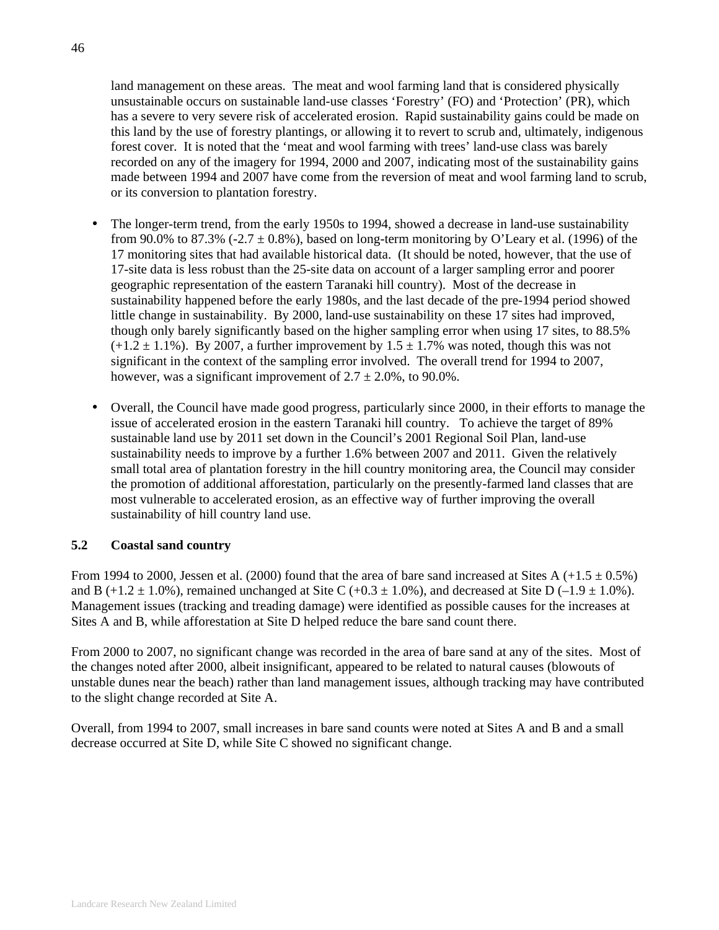land management on these areas. The meat and wool farming land that is considered physically unsustainable occurs on sustainable land-use classes 'Forestry' (FO) and 'Protection' (PR), which has a severe to very severe risk of accelerated erosion. Rapid sustainability gains could be made on this land by the use of forestry plantings, or allowing it to revert to scrub and, ultimately, indigenous forest cover. It is noted that the 'meat and wool farming with trees' land-use class was barely recorded on any of the imagery for 1994, 2000 and 2007, indicating most of the sustainability gains made between 1994 and 2007 have come from the reversion of meat and wool farming land to scrub, or its conversion to plantation forestry.

- The longer-term trend, from the early 1950s to 1994, showed a decrease in land-use sustainability from 90.0% to 87.3% (-2.7  $\pm$  0.8%), based on long-term monitoring by O'Leary et al. (1996) of the 17 monitoring sites that had available historical data. (It should be noted, however, that the use of 17-site data is less robust than the 25-site data on account of a larger sampling error and poorer geographic representation of the eastern Taranaki hill country). Most of the decrease in sustainability happened before the early 1980s, and the last decade of the pre-1994 period showed little change in sustainability. By 2000, land-use sustainability on these 17 sites had improved, though only barely significantly based on the higher sampling error when using 17 sites, to 88.5%  $(+1.2 \pm 1.1\%)$ . By 2007, a further improvement by  $1.5 \pm 1.7\%$  was noted, though this was not significant in the context of the sampling error involved. The overall trend for 1994 to 2007, however, was a significant improvement of  $2.7 \pm 2.0\%$ , to 90.0%.
- Overall, the Council have made good progress, particularly since 2000, in their efforts to manage the issue of accelerated erosion in the eastern Taranaki hill country. To achieve the target of 89% sustainable land use by 2011 set down in the Council's 2001 Regional Soil Plan, land-use sustainability needs to improve by a further 1.6% between 2007 and 2011. Given the relatively small total area of plantation forestry in the hill country monitoring area, the Council may consider the promotion of additional afforestation, particularly on the presently-farmed land classes that are most vulnerable to accelerated erosion, as an effective way of further improving the overall sustainability of hill country land use.

# **5.2 Coastal sand country**

From 1994 to 2000, Jessen et al. (2000) found that the area of bare sand increased at Sites A (+1.5  $\pm$  0.5%) and B (+1.2  $\pm$  1.0%), remained unchanged at Site C (+0.3  $\pm$  1.0%), and decreased at Site D (-1.9  $\pm$  1.0%). Management issues (tracking and treading damage) were identified as possible causes for the increases at Sites A and B, while afforestation at Site D helped reduce the bare sand count there.

From 2000 to 2007, no significant change was recorded in the area of bare sand at any of the sites. Most of the changes noted after 2000, albeit insignificant, appeared to be related to natural causes (blowouts of unstable dunes near the beach) rather than land management issues, although tracking may have contributed to the slight change recorded at Site A.

Overall, from 1994 to 2007, small increases in bare sand counts were noted at Sites A and B and a small decrease occurred at Site D, while Site C showed no significant change.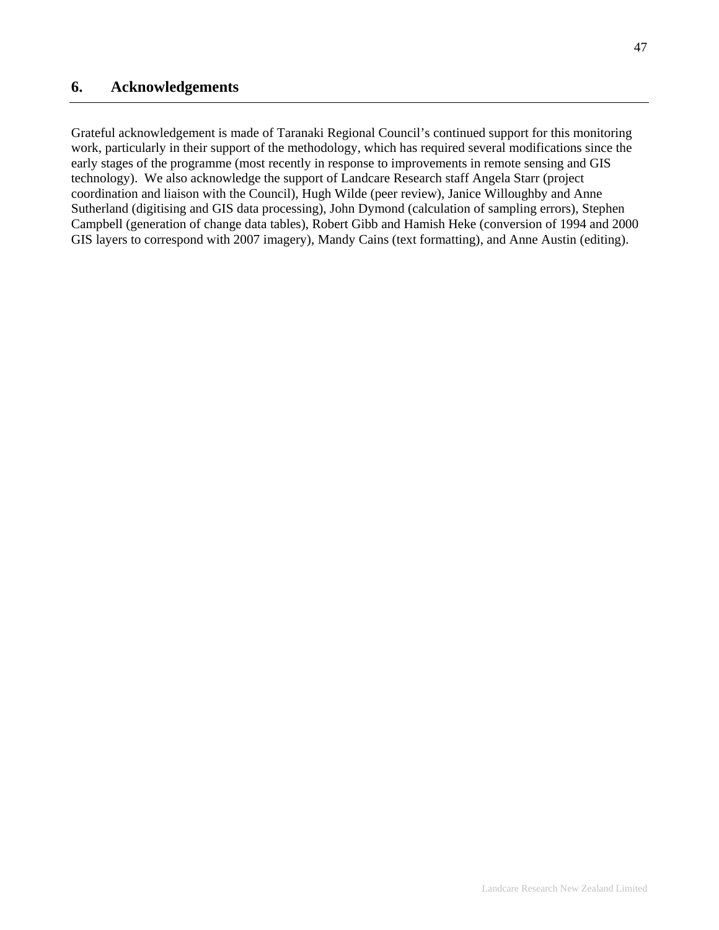Grateful acknowledgement is made of Taranaki Regional Council's continued support for this monitoring work, particularly in their support of the methodology, which has required several modifications since the early stages of the programme (most recently in response to improvements in remote sensing and GIS technology). We also acknowledge the support of Landcare Research staff Angela Starr (project coordination and liaison with the Council), Hugh Wilde (peer review), Janice Willoughby and Anne Sutherland (digitising and GIS data processing), John Dymond (calculation of sampling errors), Stephen Campbell (generation of change data tables), Robert Gibb and Hamish Heke (conversion of 1994 and 2000 GIS layers to correspond with 2007 imagery), Mandy Cains (text formatting), and Anne Austin (editing).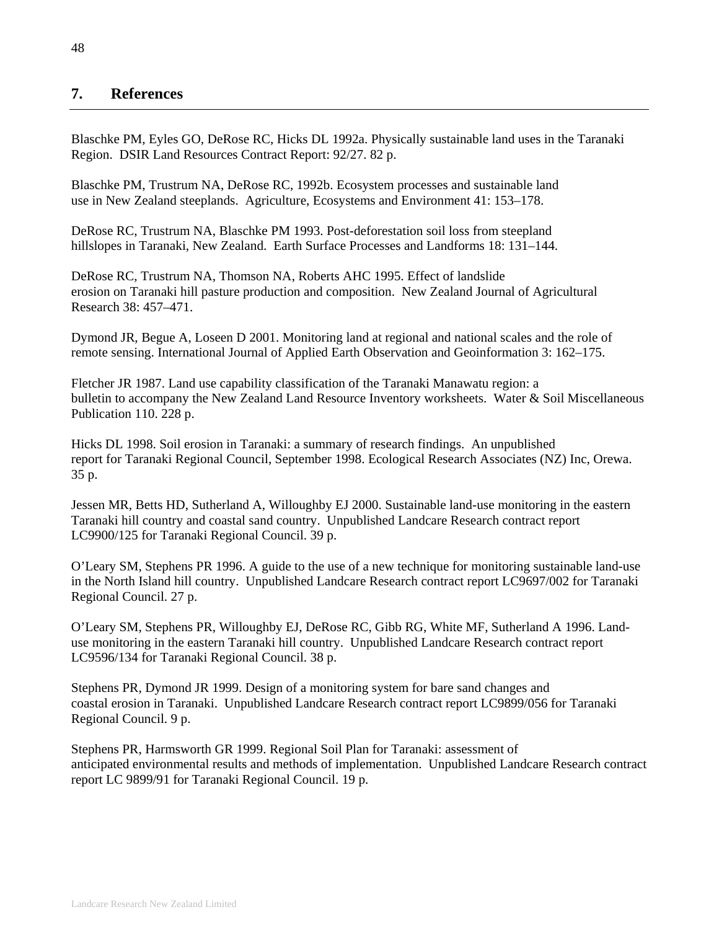# **7. References**

Blaschke PM, Eyles GO, DeRose RC, Hicks DL 1992a. Physically sustainable land uses in the Taranaki Region. DSIR Land Resources Contract Report: 92/27. 82 p.

Blaschke PM, Trustrum NA, DeRose RC, 1992b. Ecosystem processes and sustainable land use in New Zealand steeplands. Agriculture, Ecosystems and Environment 41: 153–178.

DeRose RC, Trustrum NA, Blaschke PM 1993. Post-deforestation soil loss from steepland hillslopes in Taranaki, New Zealand. Earth Surface Processes and Landforms 18: 131–144.

DeRose RC, Trustrum NA, Thomson NA, Roberts AHC 1995. Effect of landslide erosion on Taranaki hill pasture production and composition. New Zealand Journal of Agricultural Research 38: 457–471.

Dymond JR, Begue A, Loseen D 2001. Monitoring land at regional and national scales and the role of remote sensing. International Journal of Applied Earth Observation and Geoinformation 3: 162–175.

Fletcher JR 1987. Land use capability classification of the Taranaki Manawatu region: a bulletin to accompany the New Zealand Land Resource Inventory worksheets. Water & Soil Miscellaneous Publication 110. 228 p.

Hicks DL 1998. Soil erosion in Taranaki: a summary of research findings. An unpublished report for Taranaki Regional Council, September 1998. Ecological Research Associates (NZ) Inc, Orewa. 35 p.

Jessen MR, Betts HD, Sutherland A, Willoughby EJ 2000. Sustainable land-use monitoring in the eastern Taranaki hill country and coastal sand country. Unpublished Landcare Research contract report LC9900/125 for Taranaki Regional Council. 39 p.

O'Leary SM, Stephens PR 1996. A guide to the use of a new technique for monitoring sustainable land-use in the North Island hill country. Unpublished Landcare Research contract report LC9697/002 for Taranaki Regional Council. 27 p.

O'Leary SM, Stephens PR, Willoughby EJ, DeRose RC, Gibb RG, White MF, Sutherland A 1996. Landuse monitoring in the eastern Taranaki hill country. Unpublished Landcare Research contract report LC9596/134 for Taranaki Regional Council. 38 p.

Stephens PR, Dymond JR 1999. Design of a monitoring system for bare sand changes and coastal erosion in Taranaki. Unpublished Landcare Research contract report LC9899/056 for Taranaki Regional Council. 9 p.

Stephens PR, Harmsworth GR 1999. Regional Soil Plan for Taranaki: assessment of anticipated environmental results and methods of implementation. Unpublished Landcare Research contract report LC 9899/91 for Taranaki Regional Council. 19 p.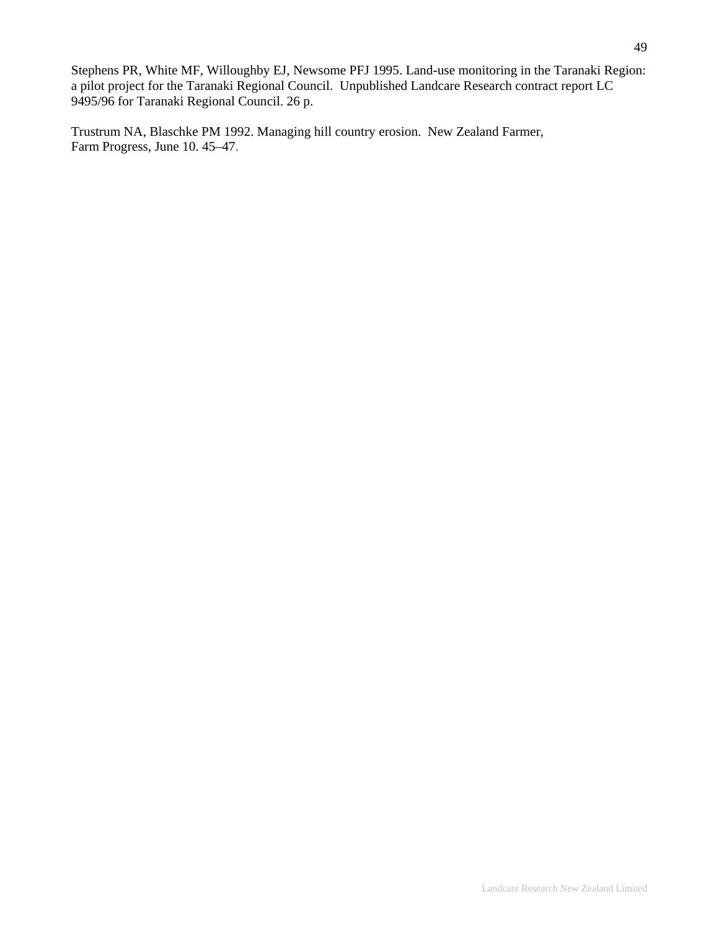Stephens PR, White MF, Willoughby EJ, Newsome PFJ 1995. Land-use monitoring in the Taranaki Region: a pilot project for the Taranaki Regional Council. Unpublished Landcare Research contract report LC 9495/96 for Taranaki Regional Council. 26 p.

Trustrum NA, Blaschke PM 1992. Managing hill country erosion. New Zealand Farmer, Farm Progress, June 10. 45–47.